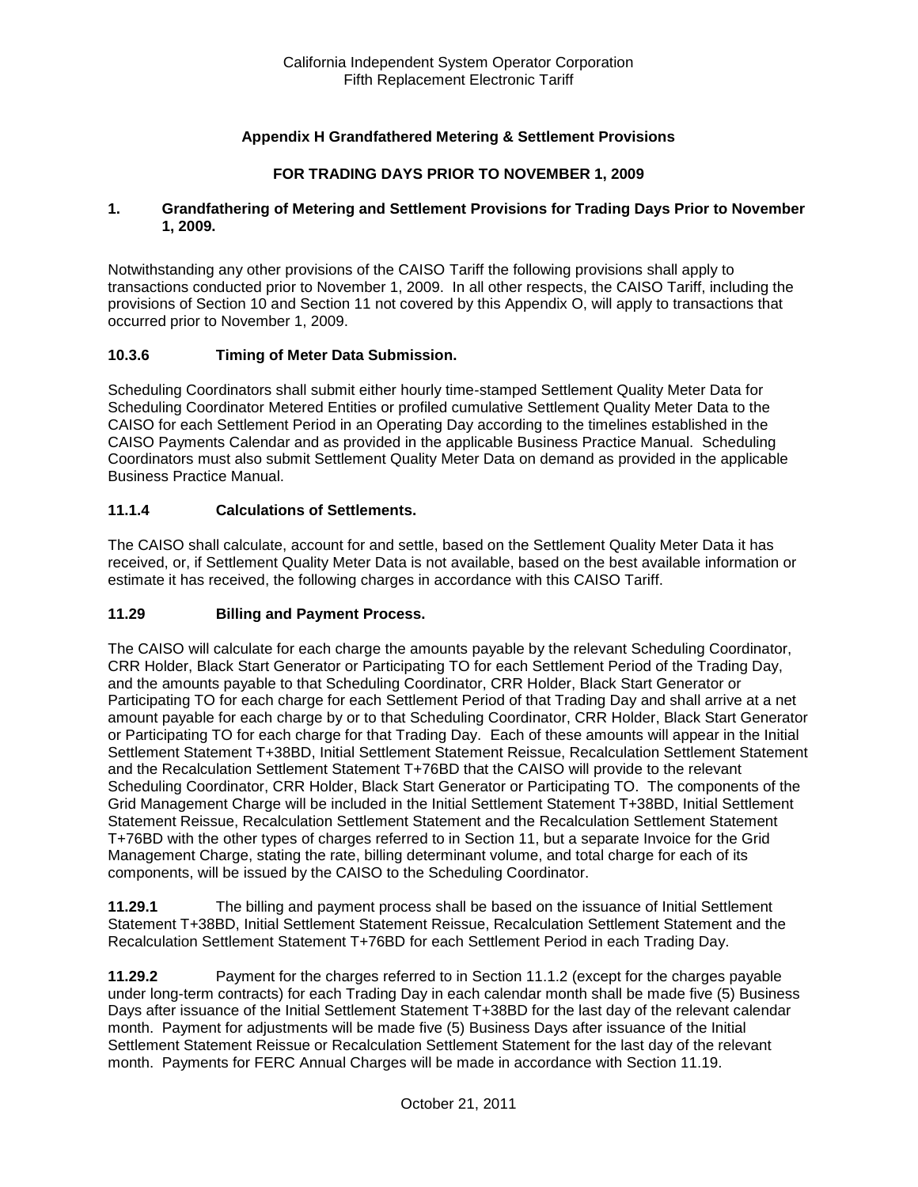## **Appendix H Grandfathered Metering & Settlement Provisions**

### **FOR TRADING DAYS PRIOR TO NOVEMBER 1, 2009**

#### **1. Grandfathering of Metering and Settlement Provisions for Trading Days Prior to November 1, 2009.**

Notwithstanding any other provisions of the CAISO Tariff the following provisions shall apply to transactions conducted prior to November 1, 2009. In all other respects, the CAISO Tariff, including the provisions of Section 10 and Section 11 not covered by this Appendix O, will apply to transactions that occurred prior to November 1, 2009.

### **10.3.6 Timing of Meter Data Submission.**

Scheduling Coordinators shall submit either hourly time-stamped Settlement Quality Meter Data for Scheduling Coordinator Metered Entities or profiled cumulative Settlement Quality Meter Data to the CAISO for each Settlement Period in an Operating Day according to the timelines established in the CAISO Payments Calendar and as provided in the applicable Business Practice Manual. Scheduling Coordinators must also submit Settlement Quality Meter Data on demand as provided in the applicable Business Practice Manual.

### **11.1.4 Calculations of Settlements.**

The CAISO shall calculate, account for and settle, based on the Settlement Quality Meter Data it has received, or, if Settlement Quality Meter Data is not available, based on the best available information or estimate it has received, the following charges in accordance with this CAISO Tariff.

### **11.29 Billing and Payment Process.**

The CAISO will calculate for each charge the amounts payable by the relevant Scheduling Coordinator, CRR Holder, Black Start Generator or Participating TO for each Settlement Period of the Trading Day, and the amounts payable to that Scheduling Coordinator, CRR Holder, Black Start Generator or Participating TO for each charge for each Settlement Period of that Trading Day and shall arrive at a net amount payable for each charge by or to that Scheduling Coordinator, CRR Holder, Black Start Generator or Participating TO for each charge for that Trading Day. Each of these amounts will appear in the Initial Settlement Statement T+38BD, Initial Settlement Statement Reissue, Recalculation Settlement Statement and the Recalculation Settlement Statement T+76BD that the CAISO will provide to the relevant Scheduling Coordinator, CRR Holder, Black Start Generator or Participating TO. The components of the Grid Management Charge will be included in the Initial Settlement Statement T+38BD, Initial Settlement Statement Reissue, Recalculation Settlement Statement and the Recalculation Settlement Statement T+76BD with the other types of charges referred to in Section 11, but a separate Invoice for the Grid Management Charge, stating the rate, billing determinant volume, and total charge for each of its components, will be issued by the CAISO to the Scheduling Coordinator.

**11.29.1** The billing and payment process shall be based on the issuance of Initial Settlement Statement T+38BD, Initial Settlement Statement Reissue, Recalculation Settlement Statement and the Recalculation Settlement Statement T+76BD for each Settlement Period in each Trading Day.

**11.29.2** Payment for the charges referred to in Section 11.1.2 (except for the charges payable under long-term contracts) for each Trading Day in each calendar month shall be made five (5) Business Days after issuance of the Initial Settlement Statement T+38BD for the last day of the relevant calendar month. Payment for adjustments will be made five (5) Business Days after issuance of the Initial Settlement Statement Reissue or Recalculation Settlement Statement for the last day of the relevant month. Payments for FERC Annual Charges will be made in accordance with Section 11.19.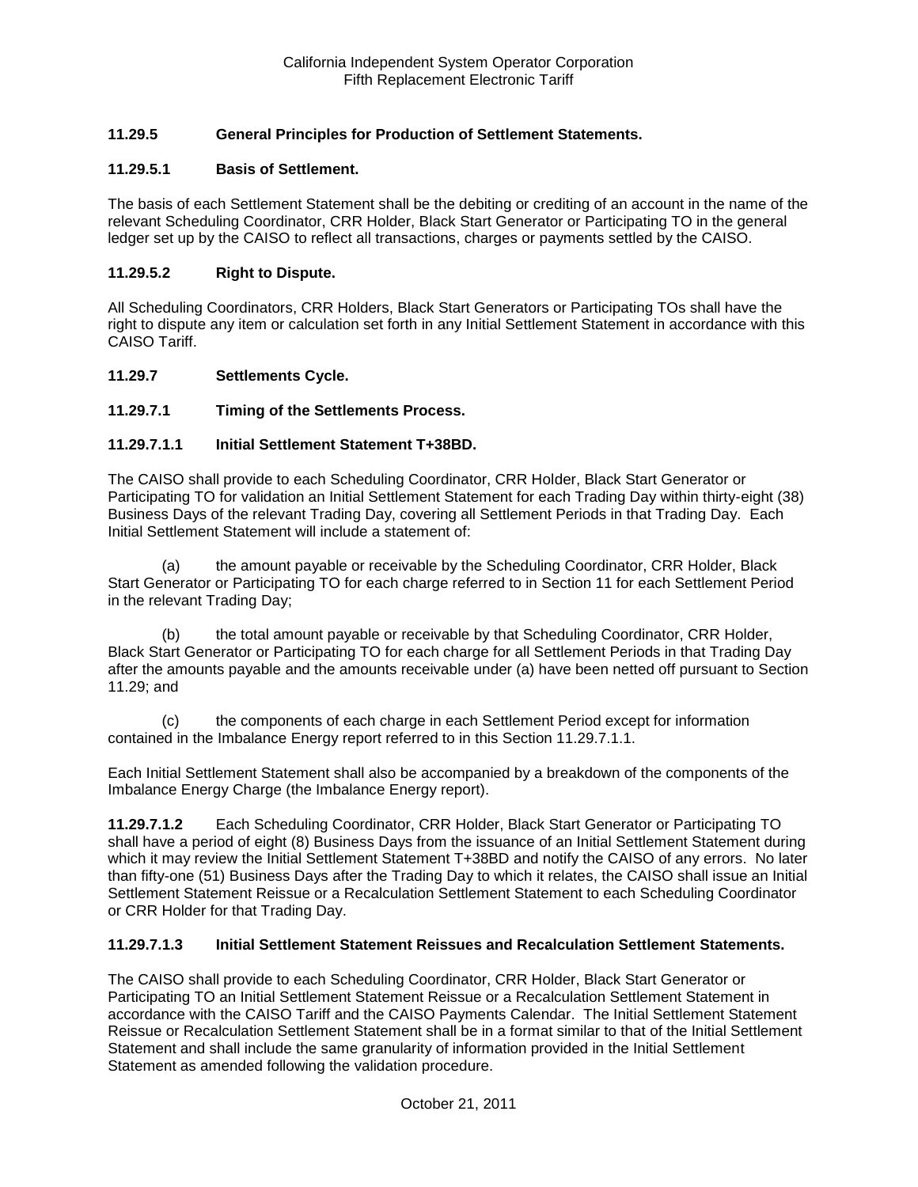## **11.29.5 General Principles for Production of Settlement Statements.**

### **11.29.5.1 Basis of Settlement.**

The basis of each Settlement Statement shall be the debiting or crediting of an account in the name of the relevant Scheduling Coordinator, CRR Holder, Black Start Generator or Participating TO in the general ledger set up by the CAISO to reflect all transactions, charges or payments settled by the CAISO.

#### **11.29.5.2 Right to Dispute.**

All Scheduling Coordinators, CRR Holders, Black Start Generators or Participating TOs shall have the right to dispute any item or calculation set forth in any Initial Settlement Statement in accordance with this CAISO Tariff.

#### **11.29.7 Settlements Cycle.**

### **11.29.7.1 Timing of the Settlements Process.**

#### **11.29.7.1.1 Initial Settlement Statement T+38BD.**

The CAISO shall provide to each Scheduling Coordinator, CRR Holder, Black Start Generator or Participating TO for validation an Initial Settlement Statement for each Trading Day within thirty-eight (38) Business Days of the relevant Trading Day, covering all Settlement Periods in that Trading Day. Each Initial Settlement Statement will include a statement of:

(a) the amount payable or receivable by the Scheduling Coordinator, CRR Holder, Black Start Generator or Participating TO for each charge referred to in Section 11 for each Settlement Period in the relevant Trading Day;

(b) the total amount payable or receivable by that Scheduling Coordinator, CRR Holder, Black Start Generator or Participating TO for each charge for all Settlement Periods in that Trading Day after the amounts payable and the amounts receivable under (a) have been netted off pursuant to Section 11.29; and

(c) the components of each charge in each Settlement Period except for information contained in the Imbalance Energy report referred to in this Section 11.29.7.1.1.

Each Initial Settlement Statement shall also be accompanied by a breakdown of the components of the Imbalance Energy Charge (the Imbalance Energy report).

**11.29.7.1.2** Each Scheduling Coordinator, CRR Holder, Black Start Generator or Participating TO shall have a period of eight (8) Business Days from the issuance of an Initial Settlement Statement during which it may review the Initial Settlement Statement T+38BD and notify the CAISO of any errors. No later than fifty-one (51) Business Days after the Trading Day to which it relates, the CAISO shall issue an Initial Settlement Statement Reissue or a Recalculation Settlement Statement to each Scheduling Coordinator or CRR Holder for that Trading Day.

#### **11.29.7.1.3 Initial Settlement Statement Reissues and Recalculation Settlement Statements.**

The CAISO shall provide to each Scheduling Coordinator, CRR Holder, Black Start Generator or Participating TO an Initial Settlement Statement Reissue or a Recalculation Settlement Statement in accordance with the CAISO Tariff and the CAISO Payments Calendar. The Initial Settlement Statement Reissue or Recalculation Settlement Statement shall be in a format similar to that of the Initial Settlement Statement and shall include the same granularity of information provided in the Initial Settlement Statement as amended following the validation procedure.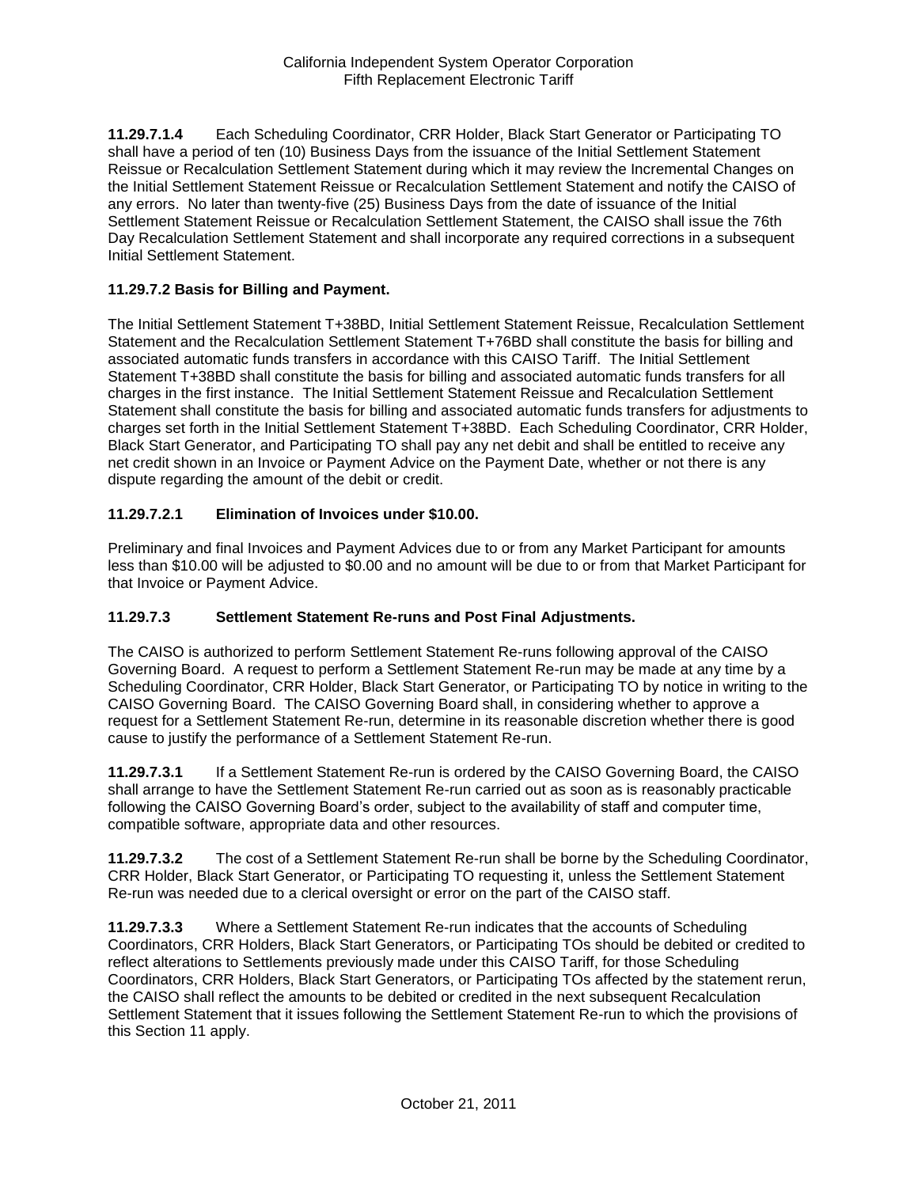**11.29.7.1.4** Each Scheduling Coordinator, CRR Holder, Black Start Generator or Participating TO shall have a period of ten (10) Business Days from the issuance of the Initial Settlement Statement Reissue or Recalculation Settlement Statement during which it may review the Incremental Changes on the Initial Settlement Statement Reissue or Recalculation Settlement Statement and notify the CAISO of any errors. No later than twenty-five (25) Business Days from the date of issuance of the Initial Settlement Statement Reissue or Recalculation Settlement Statement, the CAISO shall issue the 76th Day Recalculation Settlement Statement and shall incorporate any required corrections in a subsequent Initial Settlement Statement.

### **11.29.7.2 Basis for Billing and Payment.**

The Initial Settlement Statement T+38BD, Initial Settlement Statement Reissue, Recalculation Settlement Statement and the Recalculation Settlement Statement T+76BD shall constitute the basis for billing and associated automatic funds transfers in accordance with this CAISO Tariff. The Initial Settlement Statement T+38BD shall constitute the basis for billing and associated automatic funds transfers for all charges in the first instance. The Initial Settlement Statement Reissue and Recalculation Settlement Statement shall constitute the basis for billing and associated automatic funds transfers for adjustments to charges set forth in the Initial Settlement Statement T+38BD. Each Scheduling Coordinator, CRR Holder, Black Start Generator, and Participating TO shall pay any net debit and shall be entitled to receive any net credit shown in an Invoice or Payment Advice on the Payment Date, whether or not there is any dispute regarding the amount of the debit or credit.

## **11.29.7.2.1 Elimination of Invoices under \$10.00.**

Preliminary and final Invoices and Payment Advices due to or from any Market Participant for amounts less than \$10.00 will be adjusted to \$0.00 and no amount will be due to or from that Market Participant for that Invoice or Payment Advice.

### **11.29.7.3 Settlement Statement Re-runs and Post Final Adjustments.**

The CAISO is authorized to perform Settlement Statement Re-runs following approval of the CAISO Governing Board. A request to perform a Settlement Statement Re-run may be made at any time by a Scheduling Coordinator, CRR Holder, Black Start Generator, or Participating TO by notice in writing to the CAISO Governing Board. The CAISO Governing Board shall, in considering whether to approve a request for a Settlement Statement Re-run, determine in its reasonable discretion whether there is good cause to justify the performance of a Settlement Statement Re-run.

**11.29.7.3.1** If a Settlement Statement Re-run is ordered by the CAISO Governing Board, the CAISO shall arrange to have the Settlement Statement Re-run carried out as soon as is reasonably practicable following the CAISO Governing Board's order, subject to the availability of staff and computer time, compatible software, appropriate data and other resources.

**11.29.7.3.2** The cost of a Settlement Statement Re-run shall be borne by the Scheduling Coordinator, CRR Holder, Black Start Generator, or Participating TO requesting it, unless the Settlement Statement Re-run was needed due to a clerical oversight or error on the part of the CAISO staff.

**11.29.7.3.3** Where a Settlement Statement Re-run indicates that the accounts of Scheduling Coordinators, CRR Holders, Black Start Generators, or Participating TOs should be debited or credited to reflect alterations to Settlements previously made under this CAISO Tariff, for those Scheduling Coordinators, CRR Holders, Black Start Generators, or Participating TOs affected by the statement rerun, the CAISO shall reflect the amounts to be debited or credited in the next subsequent Recalculation Settlement Statement that it issues following the Settlement Statement Re-run to which the provisions of this Section 11 apply.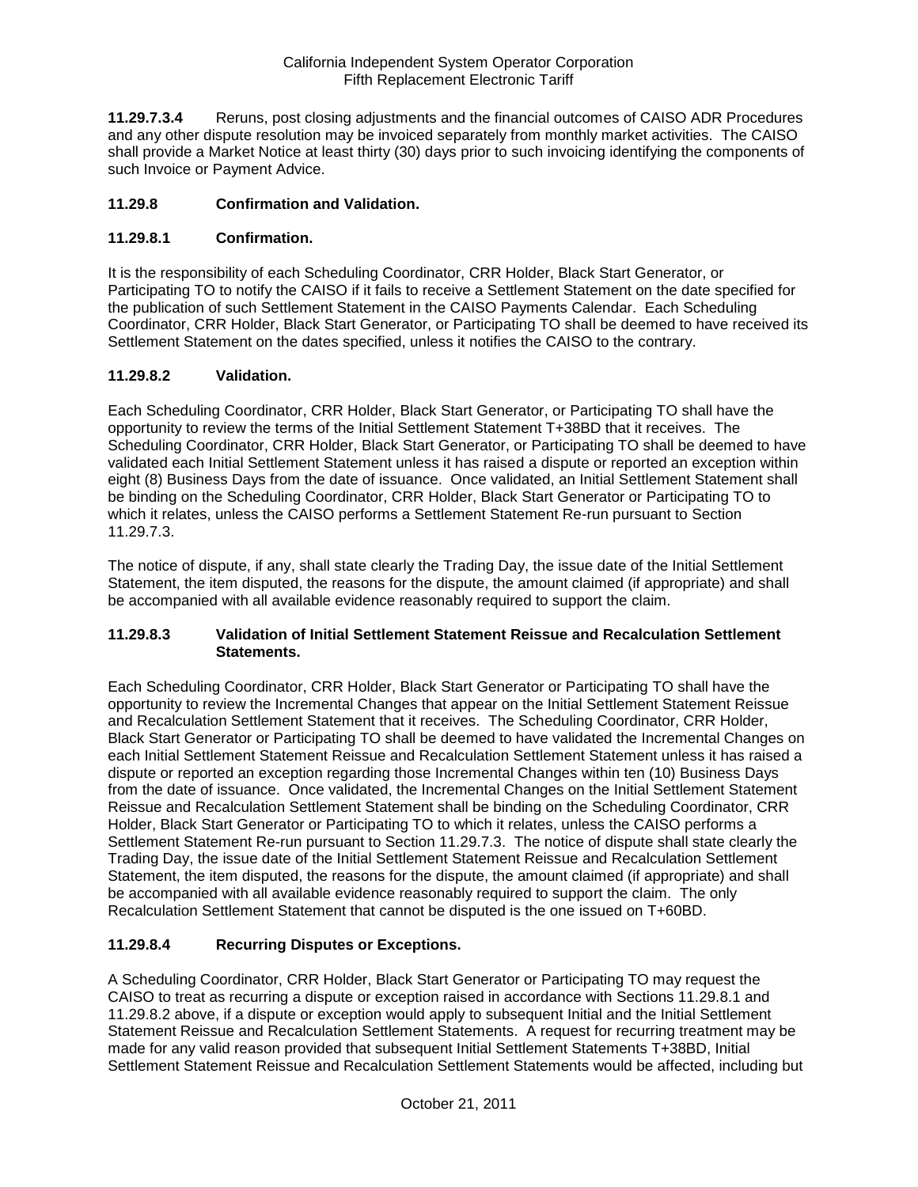**11.29.7.3.4** Reruns, post closing adjustments and the financial outcomes of CAISO ADR Procedures and any other dispute resolution may be invoiced separately from monthly market activities. The CAISO shall provide a Market Notice at least thirty (30) days prior to such invoicing identifying the components of such Invoice or Payment Advice.

### **11.29.8 Confirmation and Validation.**

## **11.29.8.1 Confirmation.**

It is the responsibility of each Scheduling Coordinator, CRR Holder, Black Start Generator, or Participating TO to notify the CAISO if it fails to receive a Settlement Statement on the date specified for the publication of such Settlement Statement in the CAISO Payments Calendar. Each Scheduling Coordinator, CRR Holder, Black Start Generator, or Participating TO shall be deemed to have received its Settlement Statement on the dates specified, unless it notifies the CAISO to the contrary.

## **11.29.8.2 Validation.**

Each Scheduling Coordinator, CRR Holder, Black Start Generator, or Participating TO shall have the opportunity to review the terms of the Initial Settlement Statement T+38BD that it receives. The Scheduling Coordinator, CRR Holder, Black Start Generator, or Participating TO shall be deemed to have validated each Initial Settlement Statement unless it has raised a dispute or reported an exception within eight (8) Business Days from the date of issuance. Once validated, an Initial Settlement Statement shall be binding on the Scheduling Coordinator, CRR Holder, Black Start Generator or Participating TO to which it relates, unless the CAISO performs a Settlement Statement Re-run pursuant to Section 11.29.7.3.

The notice of dispute, if any, shall state clearly the Trading Day, the issue date of the Initial Settlement Statement, the item disputed, the reasons for the dispute, the amount claimed (if appropriate) and shall be accompanied with all available evidence reasonably required to support the claim.

### **11.29.8.3 Validation of Initial Settlement Statement Reissue and Recalculation Settlement Statements.**

Each Scheduling Coordinator, CRR Holder, Black Start Generator or Participating TO shall have the opportunity to review the Incremental Changes that appear on the Initial Settlement Statement Reissue and Recalculation Settlement Statement that it receives. The Scheduling Coordinator, CRR Holder, Black Start Generator or Participating TO shall be deemed to have validated the Incremental Changes on each Initial Settlement Statement Reissue and Recalculation Settlement Statement unless it has raised a dispute or reported an exception regarding those Incremental Changes within ten (10) Business Days from the date of issuance. Once validated, the Incremental Changes on the Initial Settlement Statement Reissue and Recalculation Settlement Statement shall be binding on the Scheduling Coordinator, CRR Holder, Black Start Generator or Participating TO to which it relates, unless the CAISO performs a Settlement Statement Re-run pursuant to Section 11.29.7.3. The notice of dispute shall state clearly the Trading Day, the issue date of the Initial Settlement Statement Reissue and Recalculation Settlement Statement, the item disputed, the reasons for the dispute, the amount claimed (if appropriate) and shall be accompanied with all available evidence reasonably required to support the claim. The only Recalculation Settlement Statement that cannot be disputed is the one issued on T+60BD.

### **11.29.8.4 Recurring Disputes or Exceptions.**

A Scheduling Coordinator, CRR Holder, Black Start Generator or Participating TO may request the CAISO to treat as recurring a dispute or exception raised in accordance with Sections 11.29.8.1 and 11.29.8.2 above, if a dispute or exception would apply to subsequent Initial and the Initial Settlement Statement Reissue and Recalculation Settlement Statements. A request for recurring treatment may be made for any valid reason provided that subsequent Initial Settlement Statements T+38BD, Initial Settlement Statement Reissue and Recalculation Settlement Statements would be affected, including but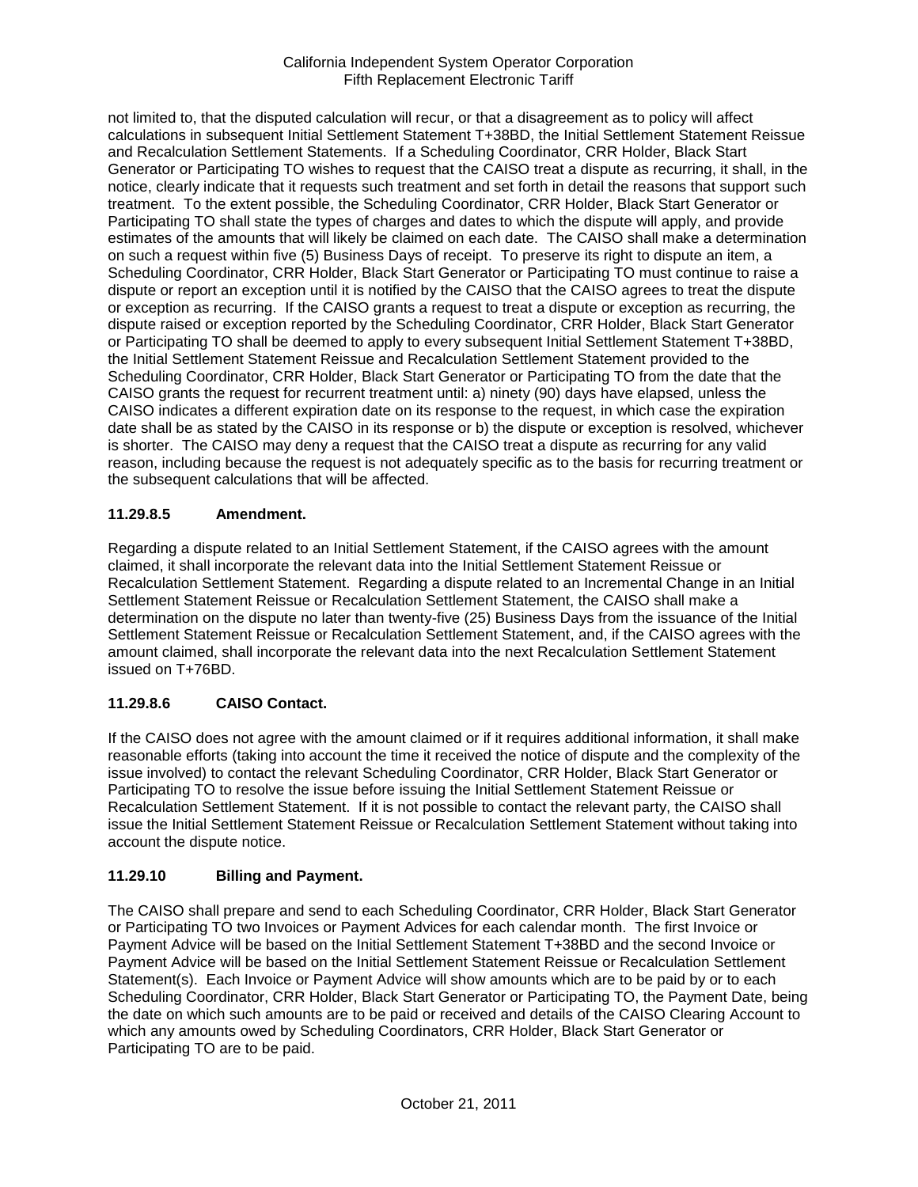not limited to, that the disputed calculation will recur, or that a disagreement as to policy will affect calculations in subsequent Initial Settlement Statement T+38BD, the Initial Settlement Statement Reissue and Recalculation Settlement Statements. If a Scheduling Coordinator, CRR Holder, Black Start Generator or Participating TO wishes to request that the CAISO treat a dispute as recurring, it shall, in the notice, clearly indicate that it requests such treatment and set forth in detail the reasons that support such treatment. To the extent possible, the Scheduling Coordinator, CRR Holder, Black Start Generator or Participating TO shall state the types of charges and dates to which the dispute will apply, and provide estimates of the amounts that will likely be claimed on each date. The CAISO shall make a determination on such a request within five (5) Business Days of receipt. To preserve its right to dispute an item, a Scheduling Coordinator, CRR Holder, Black Start Generator or Participating TO must continue to raise a dispute or report an exception until it is notified by the CAISO that the CAISO agrees to treat the dispute or exception as recurring. If the CAISO grants a request to treat a dispute or exception as recurring, the dispute raised or exception reported by the Scheduling Coordinator, CRR Holder, Black Start Generator or Participating TO shall be deemed to apply to every subsequent Initial Settlement Statement T+38BD, the Initial Settlement Statement Reissue and Recalculation Settlement Statement provided to the Scheduling Coordinator, CRR Holder, Black Start Generator or Participating TO from the date that the CAISO grants the request for recurrent treatment until: a) ninety (90) days have elapsed, unless the CAISO indicates a different expiration date on its response to the request, in which case the expiration date shall be as stated by the CAISO in its response or b) the dispute or exception is resolved, whichever is shorter. The CAISO may deny a request that the CAISO treat a dispute as recurring for any valid reason, including because the request is not adequately specific as to the basis for recurring treatment or the subsequent calculations that will be affected.

## **11.29.8.5 Amendment.**

Regarding a dispute related to an Initial Settlement Statement, if the CAISO agrees with the amount claimed, it shall incorporate the relevant data into the Initial Settlement Statement Reissue or Recalculation Settlement Statement. Regarding a dispute related to an Incremental Change in an Initial Settlement Statement Reissue or Recalculation Settlement Statement, the CAISO shall make a determination on the dispute no later than twenty-five (25) Business Days from the issuance of the Initial Settlement Statement Reissue or Recalculation Settlement Statement, and, if the CAISO agrees with the amount claimed, shall incorporate the relevant data into the next Recalculation Settlement Statement issued on T+76BD.

## **11.29.8.6 CAISO Contact.**

If the CAISO does not agree with the amount claimed or if it requires additional information, it shall make reasonable efforts (taking into account the time it received the notice of dispute and the complexity of the issue involved) to contact the relevant Scheduling Coordinator, CRR Holder, Black Start Generator or Participating TO to resolve the issue before issuing the Initial Settlement Statement Reissue or Recalculation Settlement Statement. If it is not possible to contact the relevant party, the CAISO shall issue the Initial Settlement Statement Reissue or Recalculation Settlement Statement without taking into account the dispute notice.

## **11.29.10 Billing and Payment.**

The CAISO shall prepare and send to each Scheduling Coordinator, CRR Holder, Black Start Generator or Participating TO two Invoices or Payment Advices for each calendar month. The first Invoice or Payment Advice will be based on the Initial Settlement Statement T+38BD and the second Invoice or Payment Advice will be based on the Initial Settlement Statement Reissue or Recalculation Settlement Statement(s). Each Invoice or Payment Advice will show amounts which are to be paid by or to each Scheduling Coordinator, CRR Holder, Black Start Generator or Participating TO, the Payment Date, being the date on which such amounts are to be paid or received and details of the CAISO Clearing Account to which any amounts owed by Scheduling Coordinators, CRR Holder, Black Start Generator or Participating TO are to be paid.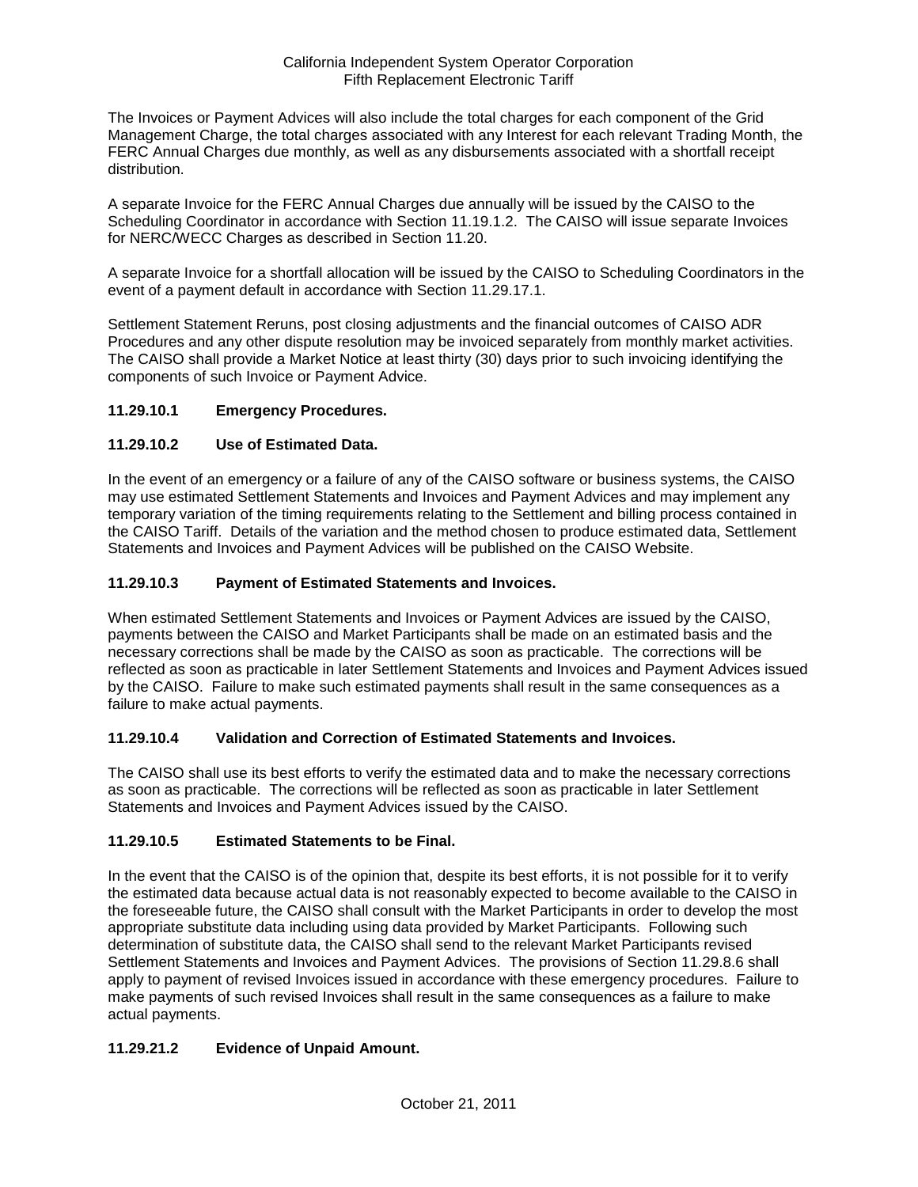The Invoices or Payment Advices will also include the total charges for each component of the Grid Management Charge, the total charges associated with any Interest for each relevant Trading Month, the FERC Annual Charges due monthly, as well as any disbursements associated with a shortfall receipt distribution.

A separate Invoice for the FERC Annual Charges due annually will be issued by the CAISO to the Scheduling Coordinator in accordance with Section 11.19.1.2. The CAISO will issue separate Invoices for NERC/WECC Charges as described in Section 11.20.

A separate Invoice for a shortfall allocation will be issued by the CAISO to Scheduling Coordinators in the event of a payment default in accordance with Section 11.29.17.1.

Settlement Statement Reruns, post closing adjustments and the financial outcomes of CAISO ADR Procedures and any other dispute resolution may be invoiced separately from monthly market activities. The CAISO shall provide a Market Notice at least thirty (30) days prior to such invoicing identifying the components of such Invoice or Payment Advice.

## **11.29.10.1 Emergency Procedures.**

## **11.29.10.2 Use of Estimated Data.**

In the event of an emergency or a failure of any of the CAISO software or business systems, the CAISO may use estimated Settlement Statements and Invoices and Payment Advices and may implement any temporary variation of the timing requirements relating to the Settlement and billing process contained in the CAISO Tariff. Details of the variation and the method chosen to produce estimated data, Settlement Statements and Invoices and Payment Advices will be published on the CAISO Website.

### **11.29.10.3 Payment of Estimated Statements and Invoices.**

When estimated Settlement Statements and Invoices or Payment Advices are issued by the CAISO, payments between the CAISO and Market Participants shall be made on an estimated basis and the necessary corrections shall be made by the CAISO as soon as practicable. The corrections will be reflected as soon as practicable in later Settlement Statements and Invoices and Payment Advices issued by the CAISO. Failure to make such estimated payments shall result in the same consequences as a failure to make actual payments.

### **11.29.10.4 Validation and Correction of Estimated Statements and Invoices.**

The CAISO shall use its best efforts to verify the estimated data and to make the necessary corrections as soon as practicable. The corrections will be reflected as soon as practicable in later Settlement Statements and Invoices and Payment Advices issued by the CAISO.

### **11.29.10.5 Estimated Statements to be Final.**

In the event that the CAISO is of the opinion that, despite its best efforts, it is not possible for it to verify the estimated data because actual data is not reasonably expected to become available to the CAISO in the foreseeable future, the CAISO shall consult with the Market Participants in order to develop the most appropriate substitute data including using data provided by Market Participants. Following such determination of substitute data, the CAISO shall send to the relevant Market Participants revised Settlement Statements and Invoices and Payment Advices. The provisions of Section 11.29.8.6 shall apply to payment of revised Invoices issued in accordance with these emergency procedures. Failure to make payments of such revised Invoices shall result in the same consequences as a failure to make actual payments.

## **11.29.21.2 Evidence of Unpaid Amount.**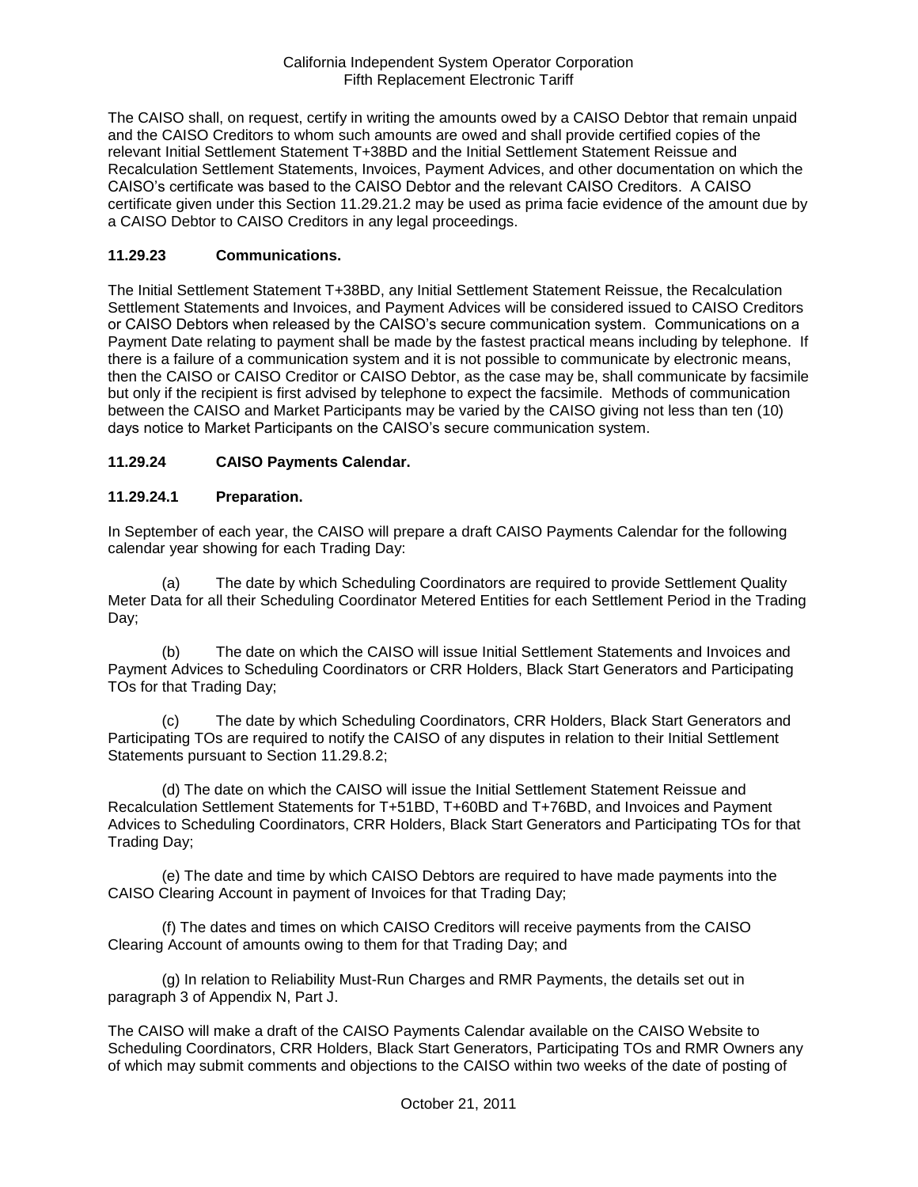The CAISO shall, on request, certify in writing the amounts owed by a CAISO Debtor that remain unpaid and the CAISO Creditors to whom such amounts are owed and shall provide certified copies of the relevant Initial Settlement Statement T+38BD and the Initial Settlement Statement Reissue and Recalculation Settlement Statements, Invoices, Payment Advices, and other documentation on which the CAISO's certificate was based to the CAISO Debtor and the relevant CAISO Creditors. A CAISO certificate given under this Section 11.29.21.2 may be used as prima facie evidence of the amount due by a CAISO Debtor to CAISO Creditors in any legal proceedings.

### **11.29.23 Communications.**

The Initial Settlement Statement T+38BD, any Initial Settlement Statement Reissue, the Recalculation Settlement Statements and Invoices, and Payment Advices will be considered issued to CAISO Creditors or CAISO Debtors when released by the CAISO's secure communication system. Communications on a Payment Date relating to payment shall be made by the fastest practical means including by telephone. If there is a failure of a communication system and it is not possible to communicate by electronic means, then the CAISO or CAISO Creditor or CAISO Debtor, as the case may be, shall communicate by facsimile but only if the recipient is first advised by telephone to expect the facsimile. Methods of communication between the CAISO and Market Participants may be varied by the CAISO giving not less than ten (10) days notice to Market Participants on the CAISO's secure communication system.

## **11.29.24 CAISO Payments Calendar.**

### **11.29.24.1 Preparation.**

In September of each year, the CAISO will prepare a draft CAISO Payments Calendar for the following calendar year showing for each Trading Day:

(a) The date by which Scheduling Coordinators are required to provide Settlement Quality Meter Data for all their Scheduling Coordinator Metered Entities for each Settlement Period in the Trading Day;

(b) The date on which the CAISO will issue Initial Settlement Statements and Invoices and Payment Advices to Scheduling Coordinators or CRR Holders, Black Start Generators and Participating TOs for that Trading Day;

(c) The date by which Scheduling Coordinators, CRR Holders, Black Start Generators and Participating TOs are required to notify the CAISO of any disputes in relation to their Initial Settlement Statements pursuant to Section 11.29.8.2;

(d) The date on which the CAISO will issue the Initial Settlement Statement Reissue and Recalculation Settlement Statements for T+51BD, T+60BD and T+76BD, and Invoices and Payment Advices to Scheduling Coordinators, CRR Holders, Black Start Generators and Participating TOs for that Trading Day;

(e) The date and time by which CAISO Debtors are required to have made payments into the CAISO Clearing Account in payment of Invoices for that Trading Day;

(f) The dates and times on which CAISO Creditors will receive payments from the CAISO Clearing Account of amounts owing to them for that Trading Day; and

(g) In relation to Reliability Must-Run Charges and RMR Payments, the details set out in paragraph 3 of Appendix N, Part J.

The CAISO will make a draft of the CAISO Payments Calendar available on the CAISO Website to Scheduling Coordinators, CRR Holders, Black Start Generators, Participating TOs and RMR Owners any of which may submit comments and objections to the CAISO within two weeks of the date of posting of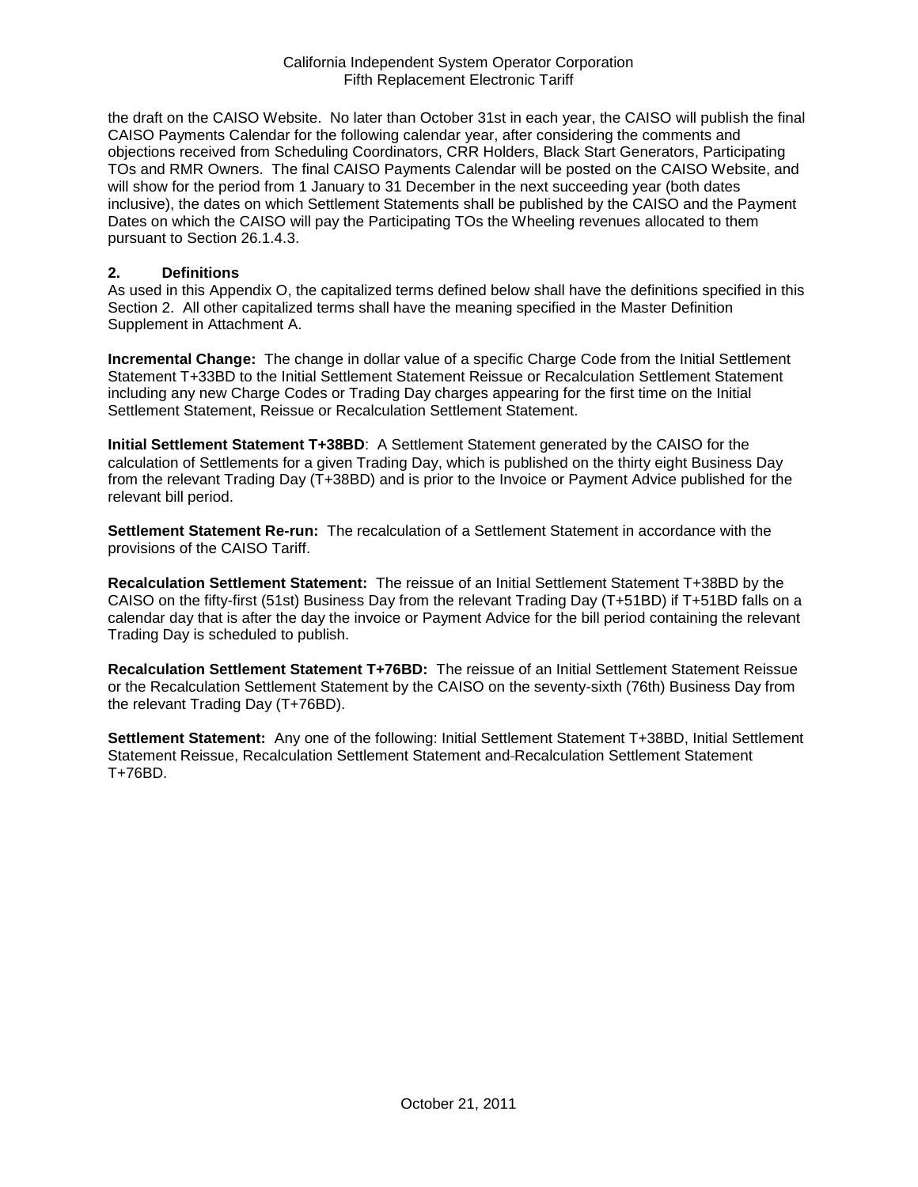the draft on the CAISO Website. No later than October 31st in each year, the CAISO will publish the final CAISO Payments Calendar for the following calendar year, after considering the comments and objections received from Scheduling Coordinators, CRR Holders, Black Start Generators, Participating TOs and RMR Owners. The final CAISO Payments Calendar will be posted on the CAISO Website, and will show for the period from 1 January to 31 December in the next succeeding year (both dates inclusive), the dates on which Settlement Statements shall be published by the CAISO and the Payment Dates on which the CAISO will pay the Participating TOs the Wheeling revenues allocated to them pursuant to Section 26.1.4.3.

#### **2. Definitions**

As used in this Appendix O, the capitalized terms defined below shall have the definitions specified in this Section 2. All other capitalized terms shall have the meaning specified in the Master Definition Supplement in Attachment A.

**Incremental Change:** The change in dollar value of a specific Charge Code from the Initial Settlement Statement T+33BD to the Initial Settlement Statement Reissue or Recalculation Settlement Statement including any new Charge Codes or Trading Day charges appearing for the first time on the Initial Settlement Statement, Reissue or Recalculation Settlement Statement.

**Initial Settlement Statement T+38BD**: A Settlement Statement generated by the CAISO for the calculation of Settlements for a given Trading Day, which is published on the thirty eight Business Day from the relevant Trading Day (T+38BD) and is prior to the Invoice or Payment Advice published for the relevant bill period.

**Settlement Statement Re-run:** The recalculation of a Settlement Statement in accordance with the provisions of the CAISO Tariff.

**Recalculation Settlement Statement:** The reissue of an Initial Settlement Statement T+38BD by the CAISO on the fifty-first (51st) Business Day from the relevant Trading Day (T+51BD) if T+51BD falls on a calendar day that is after the day the invoice or Payment Advice for the bill period containing the relevant Trading Day is scheduled to publish.

**Recalculation Settlement Statement T+76BD:** The reissue of an Initial Settlement Statement Reissue or the Recalculation Settlement Statement by the CAISO on the seventy-sixth (76th) Business Day from the relevant Trading Day (T+76BD).

**Settlement Statement:** Any one of the following: Initial Settlement Statement T+38BD, Initial Settlement Statement Reissue, Recalculation Settlement Statement and Recalculation Settlement Statement T+76BD.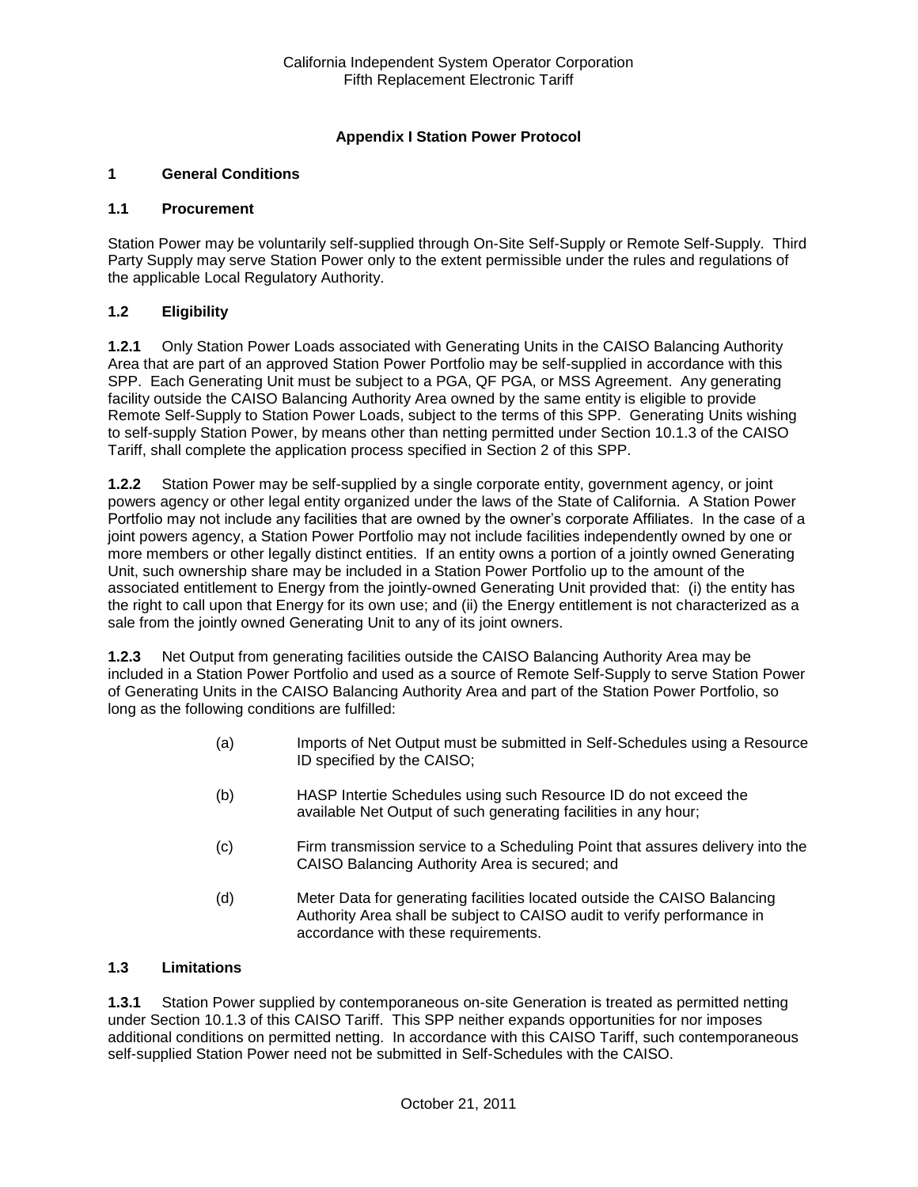## **Appendix I Station Power Protocol**

### **1 General Conditions**

#### **1.1 Procurement**

Station Power may be voluntarily self-supplied through On-Site Self-Supply or Remote Self-Supply. Third Party Supply may serve Station Power only to the extent permissible under the rules and regulations of the applicable Local Regulatory Authority.

### **1.2 Eligibility**

**1.2.1** Only Station Power Loads associated with Generating Units in the CAISO Balancing Authority Area that are part of an approved Station Power Portfolio may be self-supplied in accordance with this SPP. Each Generating Unit must be subject to a PGA, QF PGA, or MSS Agreement. Any generating facility outside the CAISO Balancing Authority Area owned by the same entity is eligible to provide Remote Self-Supply to Station Power Loads, subject to the terms of this SPP. Generating Units wishing to self-supply Station Power, by means other than netting permitted under Section 10.1.3 of the CAISO Tariff, shall complete the application process specified in Section 2 of this SPP.

**1.2.2** Station Power may be self-supplied by a single corporate entity, government agency, or joint powers agency or other legal entity organized under the laws of the State of California. A Station Power Portfolio may not include any facilities that are owned by the owner's corporate Affiliates. In the case of a joint powers agency, a Station Power Portfolio may not include facilities independently owned by one or more members or other legally distinct entities. If an entity owns a portion of a jointly owned Generating Unit, such ownership share may be included in a Station Power Portfolio up to the amount of the associated entitlement to Energy from the jointly-owned Generating Unit provided that: (i) the entity has the right to call upon that Energy for its own use; and (ii) the Energy entitlement is not characterized as a sale from the jointly owned Generating Unit to any of its joint owners.

**1.2.3** Net Output from generating facilities outside the CAISO Balancing Authority Area may be included in a Station Power Portfolio and used as a source of Remote Self-Supply to serve Station Power of Generating Units in the CAISO Balancing Authority Area and part of the Station Power Portfolio, so long as the following conditions are fulfilled:

- (a) Imports of Net Output must be submitted in Self-Schedules using a Resource ID specified by the CAISO;
- (b) HASP Intertie Schedules using such Resource ID do not exceed the available Net Output of such generating facilities in any hour;
- (c) Firm transmission service to a Scheduling Point that assures delivery into the CAISO Balancing Authority Area is secured; and
- (d) Meter Data for generating facilities located outside the CAISO Balancing Authority Area shall be subject to CAISO audit to verify performance in accordance with these requirements.

### **1.3 Limitations**

**1.3.1** Station Power supplied by contemporaneous on-site Generation is treated as permitted netting under Section 10.1.3 of this CAISO Tariff. This SPP neither expands opportunities for nor imposes additional conditions on permitted netting. In accordance with this CAISO Tariff, such contemporaneous self-supplied Station Power need not be submitted in Self-Schedules with the CAISO.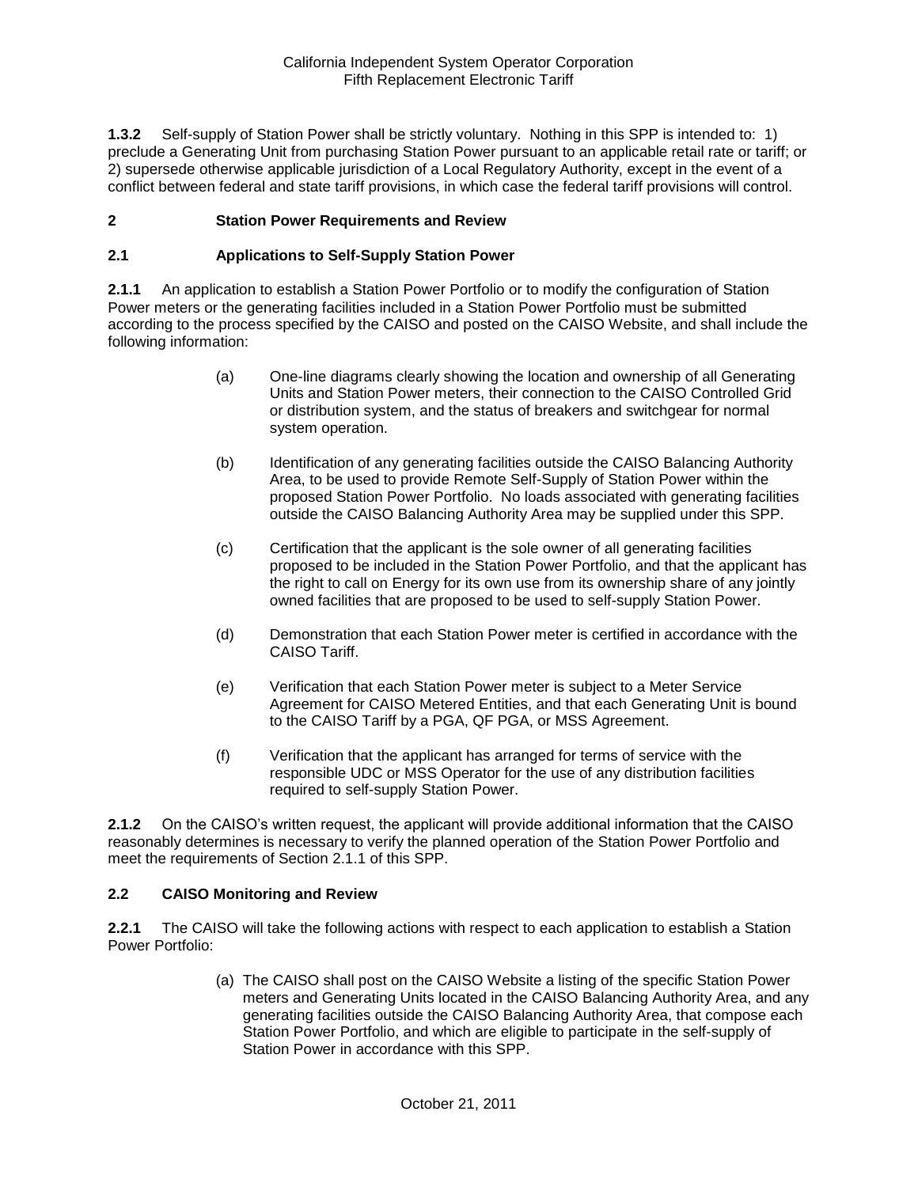**1.3.2** Self-supply of Station Power shall be strictly voluntary. Nothing in this SPP is intended to: 1) preclude a Generating Unit from purchasing Station Power pursuant to an applicable retail rate or tariff; or 2) supersede otherwise applicable jurisdiction of a Local Regulatory Authority, except in the event of a conflict between federal and state tariff provisions, in which case the federal tariff provisions will control.

### **2 Station Power Requirements and Review**

### **2.1 Applications to Self-Supply Station Power**

**2.1.1** An application to establish a Station Power Portfolio or to modify the configuration of Station Power meters or the generating facilities included in a Station Power Portfolio must be submitted according to the process specified by the CAISO and posted on the CAISO Website, and shall include the following information:

- (a) One-line diagrams clearly showing the location and ownership of all Generating Units and Station Power meters, their connection to the CAISO Controlled Grid or distribution system, and the status of breakers and switchgear for normal system operation.
- (b) Identification of any generating facilities outside the CAISO Balancing Authority Area, to be used to provide Remote Self-Supply of Station Power within the proposed Station Power Portfolio. No loads associated with generating facilities outside the CAISO Balancing Authority Area may be supplied under this SPP.
- (c) Certification that the applicant is the sole owner of all generating facilities proposed to be included in the Station Power Portfolio, and that the applicant has the right to call on Energy for its own use from its ownership share of any jointly owned facilities that are proposed to be used to self-supply Station Power.
- (d) Demonstration that each Station Power meter is certified in accordance with the CAISO Tariff.
- (e) Verification that each Station Power meter is subject to a Meter Service Agreement for CAISO Metered Entities, and that each Generating Unit is bound to the CAISO Tariff by a PGA, QF PGA, or MSS Agreement.
- (f) Verification that the applicant has arranged for terms of service with the responsible UDC or MSS Operator for the use of any distribution facilities required to self-supply Station Power.

**2.1.2** On the CAISO's written request, the applicant will provide additional information that the CAISO reasonably determines is necessary to verify the planned operation of the Station Power Portfolio and meet the requirements of Section 2.1.1 of this SPP.

### **2.2 CAISO Monitoring and Review**

**2.2.1** The CAISO will take the following actions with respect to each application to establish a Station Power Portfolio:

> (a) The CAISO shall post on the CAISO Website a listing of the specific Station Power meters and Generating Units located in the CAISO Balancing Authority Area, and any generating facilities outside the CAISO Balancing Authority Area, that compose each Station Power Portfolio, and which are eligible to participate in the self-supply of Station Power in accordance with this SPP.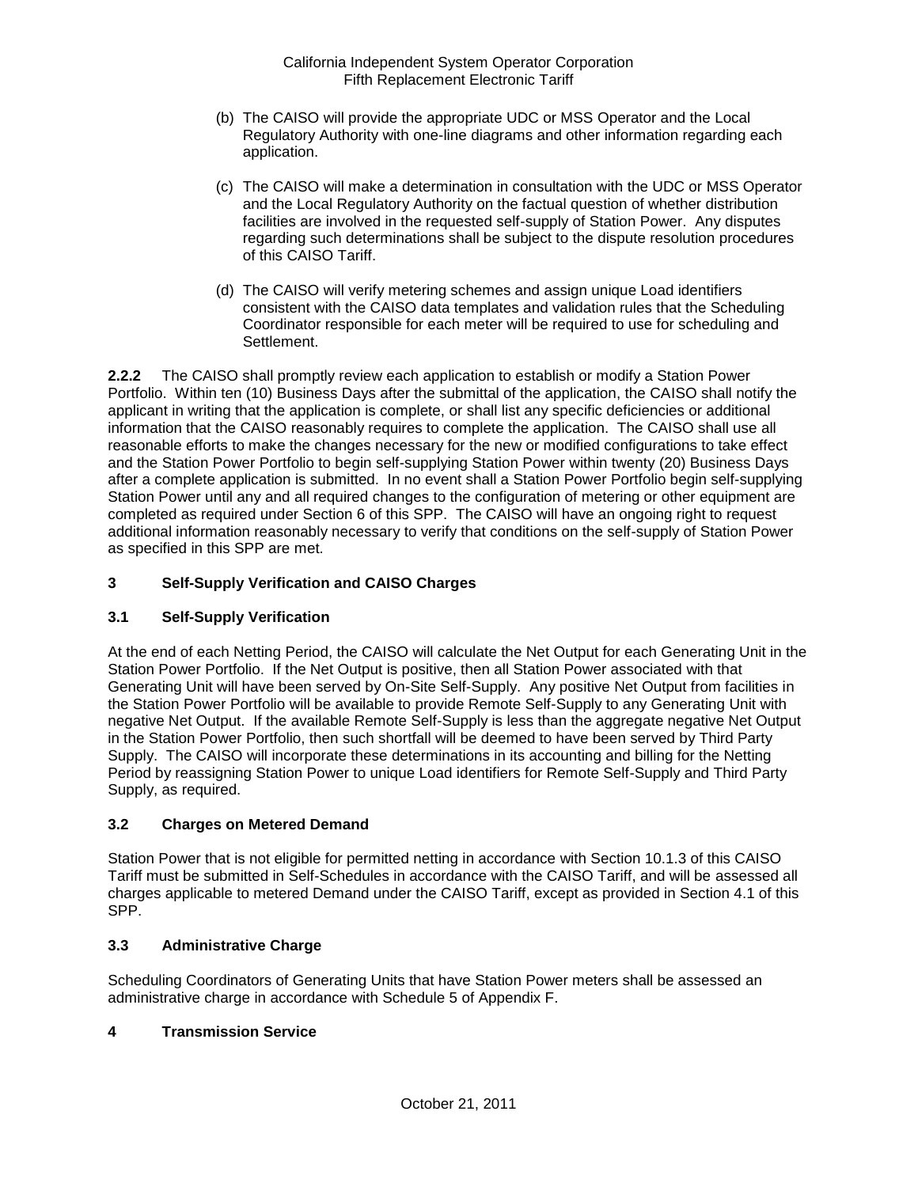- (b) The CAISO will provide the appropriate UDC or MSS Operator and the Local Regulatory Authority with one-line diagrams and other information regarding each application.
- (c) The CAISO will make a determination in consultation with the UDC or MSS Operator and the Local Regulatory Authority on the factual question of whether distribution facilities are involved in the requested self-supply of Station Power. Any disputes regarding such determinations shall be subject to the dispute resolution procedures of this CAISO Tariff.
- (d) The CAISO will verify metering schemes and assign unique Load identifiers consistent with the CAISO data templates and validation rules that the Scheduling Coordinator responsible for each meter will be required to use for scheduling and Settlement.

**2.2.2** The CAISO shall promptly review each application to establish or modify a Station Power Portfolio. Within ten (10) Business Days after the submittal of the application, the CAISO shall notify the applicant in writing that the application is complete, or shall list any specific deficiencies or additional information that the CAISO reasonably requires to complete the application. The CAISO shall use all reasonable efforts to make the changes necessary for the new or modified configurations to take effect and the Station Power Portfolio to begin self-supplying Station Power within twenty (20) Business Days after a complete application is submitted. In no event shall a Station Power Portfolio begin self-supplying Station Power until any and all required changes to the configuration of metering or other equipment are completed as required under Section 6 of this SPP. The CAISO will have an ongoing right to request additional information reasonably necessary to verify that conditions on the self-supply of Station Power as specified in this SPP are met.

## **3 Self-Supply Verification and CAISO Charges**

### **3.1 Self-Supply Verification**

At the end of each Netting Period, the CAISO will calculate the Net Output for each Generating Unit in the Station Power Portfolio. If the Net Output is positive, then all Station Power associated with that Generating Unit will have been served by On-Site Self-Supply. Any positive Net Output from facilities in the Station Power Portfolio will be available to provide Remote Self-Supply to any Generating Unit with negative Net Output. If the available Remote Self-Supply is less than the aggregate negative Net Output in the Station Power Portfolio, then such shortfall will be deemed to have been served by Third Party Supply. The CAISO will incorporate these determinations in its accounting and billing for the Netting Period by reassigning Station Power to unique Load identifiers for Remote Self-Supply and Third Party Supply, as required.

## **3.2 Charges on Metered Demand**

Station Power that is not eligible for permitted netting in accordance with Section 10.1.3 of this CAISO Tariff must be submitted in Self-Schedules in accordance with the CAISO Tariff, and will be assessed all charges applicable to metered Demand under the CAISO Tariff, except as provided in Section 4.1 of this SPP.

### **3.3 Administrative Charge**

Scheduling Coordinators of Generating Units that have Station Power meters shall be assessed an administrative charge in accordance with Schedule 5 of Appendix F.

### **4 Transmission Service**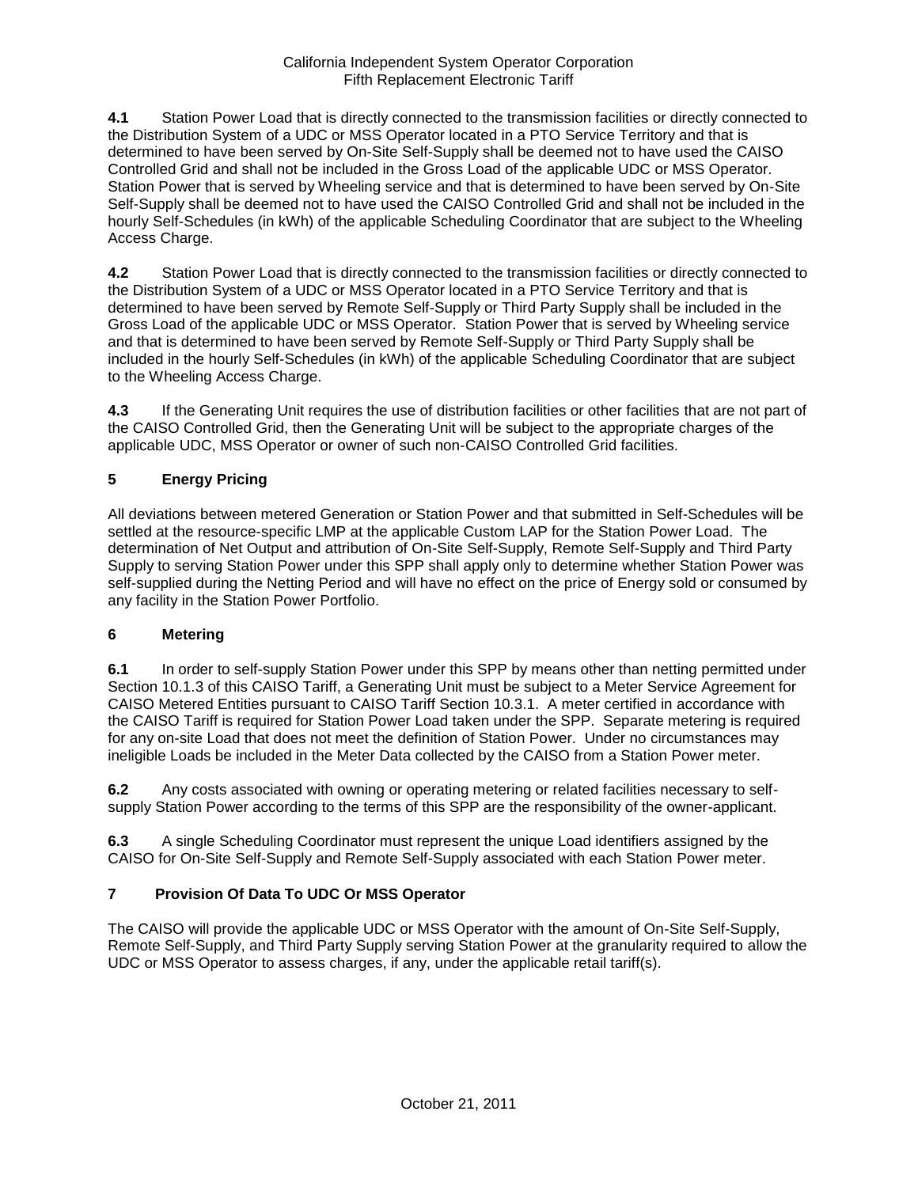**4.1** Station Power Load that is directly connected to the transmission facilities or directly connected to the Distribution System of a UDC or MSS Operator located in a PTO Service Territory and that is determined to have been served by On-Site Self-Supply shall be deemed not to have used the CAISO Controlled Grid and shall not be included in the Gross Load of the applicable UDC or MSS Operator. Station Power that is served by Wheeling service and that is determined to have been served by On-Site Self-Supply shall be deemed not to have used the CAISO Controlled Grid and shall not be included in the hourly Self-Schedules (in kWh) of the applicable Scheduling Coordinator that are subject to the Wheeling Access Charge.

**4.2** Station Power Load that is directly connected to the transmission facilities or directly connected to the Distribution System of a UDC or MSS Operator located in a PTO Service Territory and that is determined to have been served by Remote Self-Supply or Third Party Supply shall be included in the Gross Load of the applicable UDC or MSS Operator. Station Power that is served by Wheeling service and that is determined to have been served by Remote Self-Supply or Third Party Supply shall be included in the hourly Self-Schedules (in kWh) of the applicable Scheduling Coordinator that are subject to the Wheeling Access Charge.

**4.3** If the Generating Unit requires the use of distribution facilities or other facilities that are not part of the CAISO Controlled Grid, then the Generating Unit will be subject to the appropriate charges of the applicable UDC, MSS Operator or owner of such non-CAISO Controlled Grid facilities.

## **5 Energy Pricing**

All deviations between metered Generation or Station Power and that submitted in Self-Schedules will be settled at the resource-specific LMP at the applicable Custom LAP for the Station Power Load. The determination of Net Output and attribution of On-Site Self-Supply, Remote Self-Supply and Third Party Supply to serving Station Power under this SPP shall apply only to determine whether Station Power was self-supplied during the Netting Period and will have no effect on the price of Energy sold or consumed by any facility in the Station Power Portfolio.

## **6 Metering**

**6.1** In order to self-supply Station Power under this SPP by means other than netting permitted under Section 10.1.3 of this CAISO Tariff, a Generating Unit must be subject to a Meter Service Agreement for CAISO Metered Entities pursuant to CAISO Tariff Section 10.3.1. A meter certified in accordance with the CAISO Tariff is required for Station Power Load taken under the SPP. Separate metering is required for any on-site Load that does not meet the definition of Station Power. Under no circumstances may ineligible Loads be included in the Meter Data collected by the CAISO from a Station Power meter.

**6.2** Any costs associated with owning or operating metering or related facilities necessary to selfsupply Station Power according to the terms of this SPP are the responsibility of the owner-applicant.

**6.3** A single Scheduling Coordinator must represent the unique Load identifiers assigned by the CAISO for On-Site Self-Supply and Remote Self-Supply associated with each Station Power meter.

## **7 Provision Of Data To UDC Or MSS Operator**

The CAISO will provide the applicable UDC or MSS Operator with the amount of On-Site Self-Supply, Remote Self-Supply, and Third Party Supply serving Station Power at the granularity required to allow the UDC or MSS Operator to assess charges, if any, under the applicable retail tariff(s).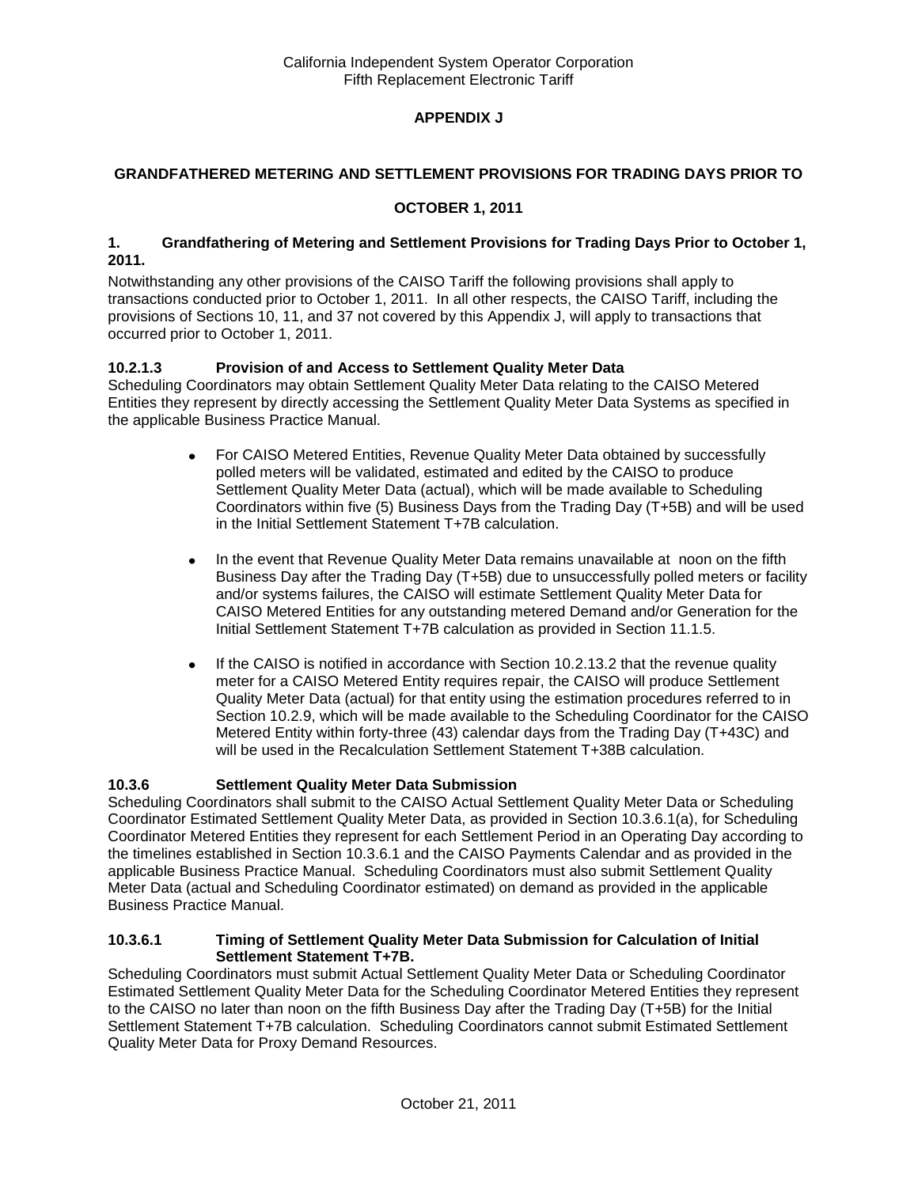## **APPENDIX J**

### **GRANDFATHERED METERING AND SETTLEMENT PROVISIONS FOR TRADING DAYS PRIOR TO**

### **OCTOBER 1, 2011**

#### **1. Grandfathering of Metering and Settlement Provisions for Trading Days Prior to October 1, 2011.**

Notwithstanding any other provisions of the CAISO Tariff the following provisions shall apply to transactions conducted prior to October 1, 2011. In all other respects, the CAISO Tariff, including the provisions of Sections 10, 11, and 37 not covered by this Appendix J, will apply to transactions that occurred prior to October 1, 2011.

## **10.2.1.3 Provision of and Access to Settlement Quality Meter Data**

Scheduling Coordinators may obtain Settlement Quality Meter Data relating to the CAISO Metered Entities they represent by directly accessing the Settlement Quality Meter Data Systems as specified in the applicable Business Practice Manual.

- For CAISO Metered Entities, Revenue Quality Meter Data obtained by successfully  $\bullet$ polled meters will be validated, estimated and edited by the CAISO to produce Settlement Quality Meter Data (actual), which will be made available to Scheduling Coordinators within five (5) Business Days from the Trading Day (T+5B) and will be used in the Initial Settlement Statement T+7B calculation.
- In the event that Revenue Quality Meter Data remains unavailable at noon on the fifth  $\bullet$ Business Day after the Trading Day (T+5B) due to unsuccessfully polled meters or facility and/or systems failures, the CAISO will estimate Settlement Quality Meter Data for CAISO Metered Entities for any outstanding metered Demand and/or Generation for the Initial Settlement Statement T+7B calculation as provided in Section 11.1.5.
- If the CAISO is notified in accordance with Section 10.2.13.2 that the revenue quality  $\bullet$ meter for a CAISO Metered Entity requires repair, the CAISO will produce Settlement Quality Meter Data (actual) for that entity using the estimation procedures referred to in Section 10.2.9, which will be made available to the Scheduling Coordinator for the CAISO Metered Entity within forty-three (43) calendar days from the Trading Day (T+43C) and will be used in the Recalculation Settlement Statement T+38B calculation.

### **10.3.6 Settlement Quality Meter Data Submission**

Scheduling Coordinators shall submit to the CAISO Actual Settlement Quality Meter Data or Scheduling Coordinator Estimated Settlement Quality Meter Data, as provided in Section 10.3.6.1(a), for Scheduling Coordinator Metered Entities they represent for each Settlement Period in an Operating Day according to the timelines established in Section 10.3.6.1 and the CAISO Payments Calendar and as provided in the applicable Business Practice Manual. Scheduling Coordinators must also submit Settlement Quality Meter Data (actual and Scheduling Coordinator estimated) on demand as provided in the applicable Business Practice Manual.

#### **10.3.6.1 Timing of Settlement Quality Meter Data Submission for Calculation of Initial Settlement Statement T+7B.**

Scheduling Coordinators must submit Actual Settlement Quality Meter Data or Scheduling Coordinator Estimated Settlement Quality Meter Data for the Scheduling Coordinator Metered Entities they represent to the CAISO no later than noon on the fifth Business Day after the Trading Day (T+5B) for the Initial Settlement Statement T+7B calculation. Scheduling Coordinators cannot submit Estimated Settlement Quality Meter Data for Proxy Demand Resources.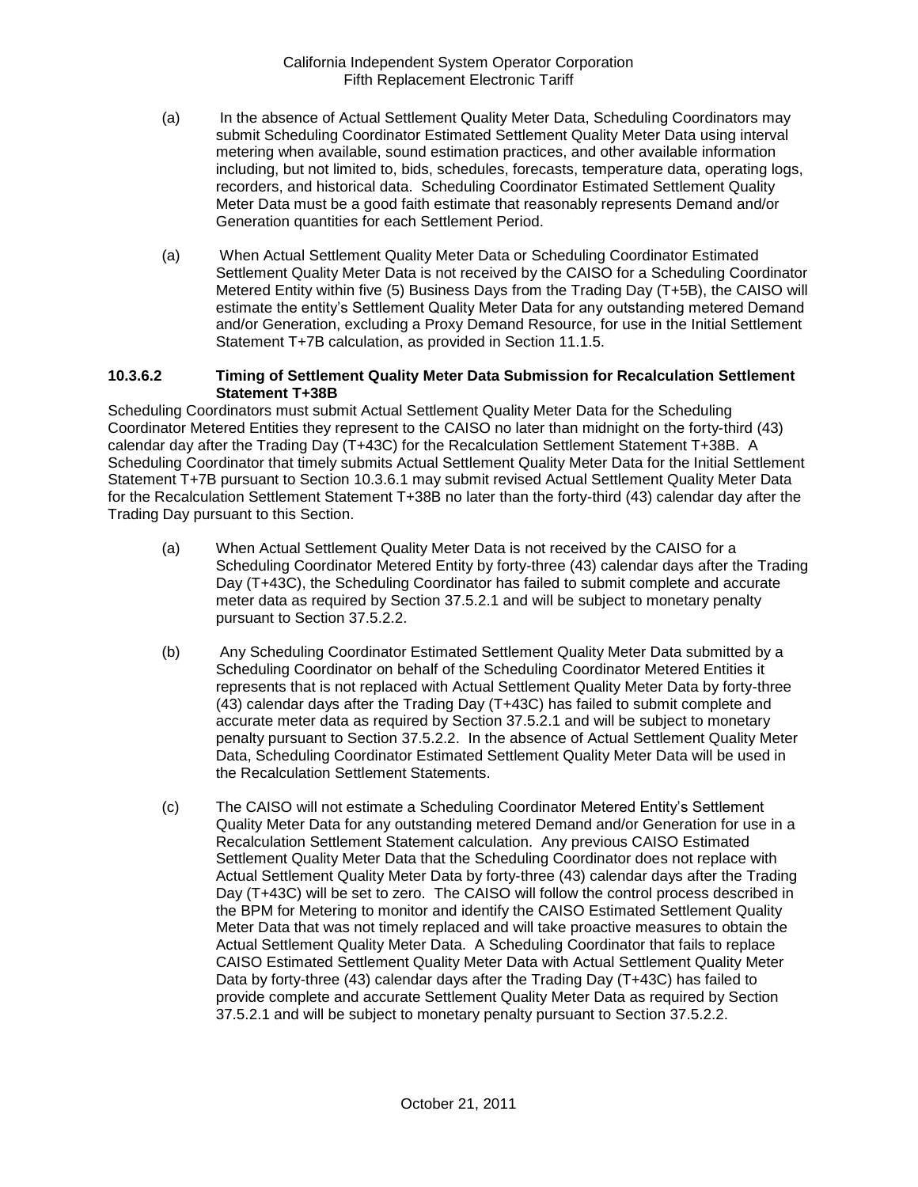- (a) In the absence of Actual Settlement Quality Meter Data, Scheduling Coordinators may submit Scheduling Coordinator Estimated Settlement Quality Meter Data using interval metering when available, sound estimation practices, and other available information including, but not limited to, bids, schedules, forecasts, temperature data, operating logs, recorders, and historical data. Scheduling Coordinator Estimated Settlement Quality Meter Data must be a good faith estimate that reasonably represents Demand and/or Generation quantities for each Settlement Period.
- (a) When Actual Settlement Quality Meter Data or Scheduling Coordinator Estimated Settlement Quality Meter Data is not received by the CAISO for a Scheduling Coordinator Metered Entity within five (5) Business Days from the Trading Day (T+5B), the CAISO will estimate the entity's Settlement Quality Meter Data for any outstanding metered Demand and/or Generation, excluding a Proxy Demand Resource, for use in the Initial Settlement Statement T+7B calculation, as provided in Section 11.1.5.

#### **10.3.6.2 Timing of Settlement Quality Meter Data Submission for Recalculation Settlement Statement T+38B**

Scheduling Coordinators must submit Actual Settlement Quality Meter Data for the Scheduling Coordinator Metered Entities they represent to the CAISO no later than midnight on the forty-third (43) calendar day after the Trading Day (T+43C) for the Recalculation Settlement Statement T+38B. A Scheduling Coordinator that timely submits Actual Settlement Quality Meter Data for the Initial Settlement Statement T+7B pursuant to Section 10.3.6.1 may submit revised Actual Settlement Quality Meter Data for the Recalculation Settlement Statement T+38B no later than the forty-third (43) calendar day after the Trading Day pursuant to this Section.

- (a) When Actual Settlement Quality Meter Data is not received by the CAISO for a Scheduling Coordinator Metered Entity by forty-three (43) calendar days after the Trading Day (T+43C), the Scheduling Coordinator has failed to submit complete and accurate meter data as required by Section 37.5.2.1 and will be subject to monetary penalty pursuant to Section 37.5.2.2.
- (b) Any Scheduling Coordinator Estimated Settlement Quality Meter Data submitted by a Scheduling Coordinator on behalf of the Scheduling Coordinator Metered Entities it represents that is not replaced with Actual Settlement Quality Meter Data by forty-three (43) calendar days after the Trading Day (T+43C) has failed to submit complete and accurate meter data as required by Section 37.5.2.1 and will be subject to monetary penalty pursuant to Section 37.5.2.2. In the absence of Actual Settlement Quality Meter Data, Scheduling Coordinator Estimated Settlement Quality Meter Data will be used in the Recalculation Settlement Statements.
- (c) The CAISO will not estimate a Scheduling Coordinator Metered Entity's Settlement Quality Meter Data for any outstanding metered Demand and/or Generation for use in a Recalculation Settlement Statement calculation. Any previous CAISO Estimated Settlement Quality Meter Data that the Scheduling Coordinator does not replace with Actual Settlement Quality Meter Data by forty-three (43) calendar days after the Trading Day (T+43C) will be set to zero. The CAISO will follow the control process described in the BPM for Metering to monitor and identify the CAISO Estimated Settlement Quality Meter Data that was not timely replaced and will take proactive measures to obtain the Actual Settlement Quality Meter Data. A Scheduling Coordinator that fails to replace CAISO Estimated Settlement Quality Meter Data with Actual Settlement Quality Meter Data by forty-three (43) calendar days after the Trading Day (T+43C) has failed to provide complete and accurate Settlement Quality Meter Data as required by Section 37.5.2.1 and will be subject to monetary penalty pursuant to Section 37.5.2.2.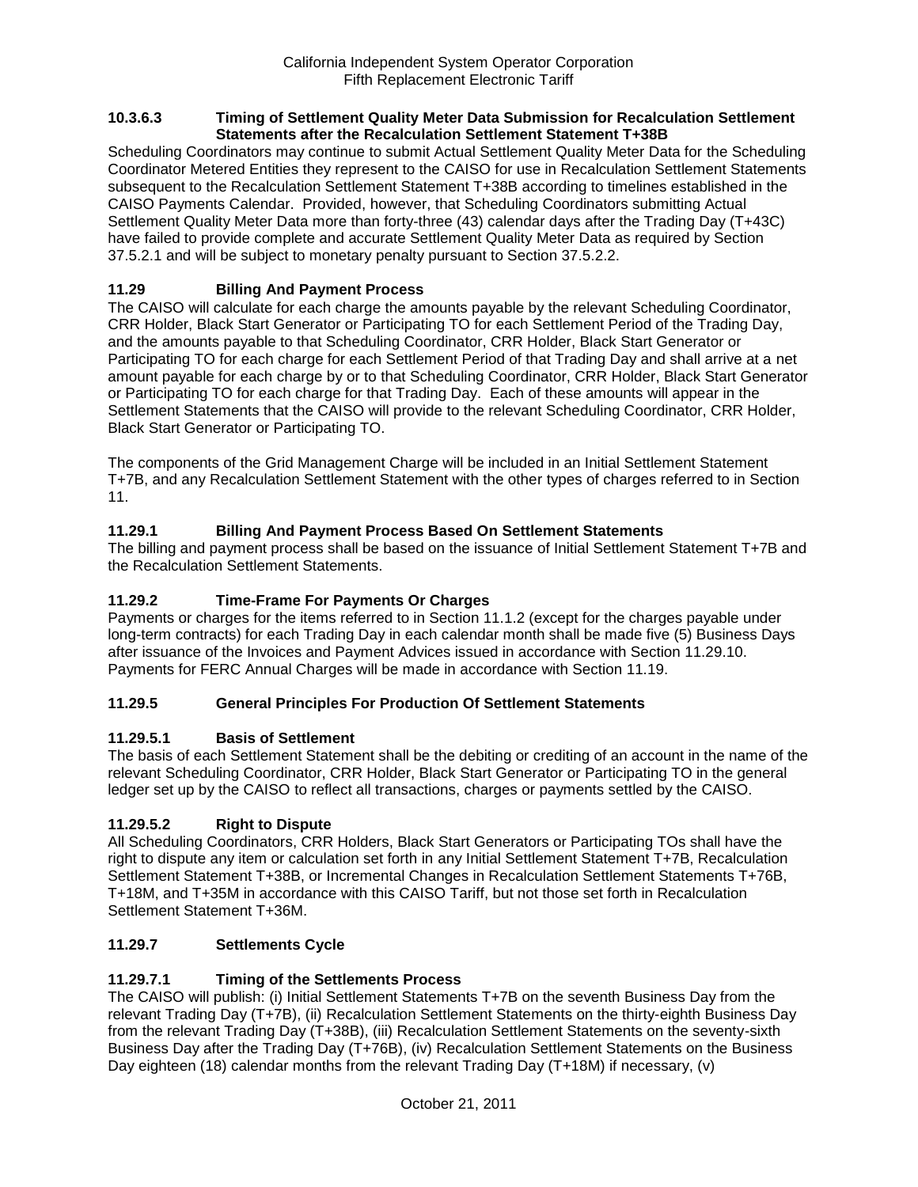#### **10.3.6.3 Timing of Settlement Quality Meter Data Submission for Recalculation Settlement Statements after the Recalculation Settlement Statement T+38B**

Scheduling Coordinators may continue to submit Actual Settlement Quality Meter Data for the Scheduling Coordinator Metered Entities they represent to the CAISO for use in Recalculation Settlement Statements subsequent to the Recalculation Settlement Statement T+38B according to timelines established in the CAISO Payments Calendar. Provided, however, that Scheduling Coordinators submitting Actual Settlement Quality Meter Data more than forty-three (43) calendar days after the Trading Day (T+43C) have failed to provide complete and accurate Settlement Quality Meter Data as required by Section 37.5.2.1 and will be subject to monetary penalty pursuant to Section 37.5.2.2.

## **11.29 Billing And Payment Process**

The CAISO will calculate for each charge the amounts payable by the relevant Scheduling Coordinator, CRR Holder, Black Start Generator or Participating TO for each Settlement Period of the Trading Day, and the amounts payable to that Scheduling Coordinator, CRR Holder, Black Start Generator or Participating TO for each charge for each Settlement Period of that Trading Day and shall arrive at a net amount payable for each charge by or to that Scheduling Coordinator, CRR Holder, Black Start Generator or Participating TO for each charge for that Trading Day. Each of these amounts will appear in the Settlement Statements that the CAISO will provide to the relevant Scheduling Coordinator, CRR Holder, Black Start Generator or Participating TO.

The components of the Grid Management Charge will be included in an Initial Settlement Statement T+7B, and any Recalculation Settlement Statement with the other types of charges referred to in Section 11.

## **11.29.1 Billing And Payment Process Based On Settlement Statements**

The billing and payment process shall be based on the issuance of Initial Settlement Statement T+7B and the Recalculation Settlement Statements.

### **11.29.2 Time-Frame For Payments Or Charges**

Payments or charges for the items referred to in Section 11.1.2 (except for the charges payable under long-term contracts) for each Trading Day in each calendar month shall be made five (5) Business Days after issuance of the Invoices and Payment Advices issued in accordance with Section 11.29.10. Payments for FERC Annual Charges will be made in accordance with Section 11.19.

### **11.29.5 General Principles For Production Of Settlement Statements**

### **11.29.5.1 Basis of Settlement**

The basis of each Settlement Statement shall be the debiting or crediting of an account in the name of the relevant Scheduling Coordinator, CRR Holder, Black Start Generator or Participating TO in the general ledger set up by the CAISO to reflect all transactions, charges or payments settled by the CAISO.

### **11.29.5.2 Right to Dispute**

All Scheduling Coordinators, CRR Holders, Black Start Generators or Participating TOs shall have the right to dispute any item or calculation set forth in any Initial Settlement Statement T+7B, Recalculation Settlement Statement T+38B, or Incremental Changes in Recalculation Settlement Statements T+76B, T+18M, and T+35M in accordance with this CAISO Tariff, but not those set forth in Recalculation Settlement Statement T+36M.

### **11.29.7 Settlements Cycle**

## **11.29.7.1 Timing of the Settlements Process**

The CAISO will publish: (i) Initial Settlement Statements T+7B on the seventh Business Day from the relevant Trading Day (T+7B), (ii) Recalculation Settlement Statements on the thirty-eighth Business Day from the relevant Trading Day (T+38B), (iii) Recalculation Settlement Statements on the seventy-sixth Business Day after the Trading Day (T+76B), (iv) Recalculation Settlement Statements on the Business Day eighteen (18) calendar months from the relevant Trading Day (T+18M) if necessary, (v)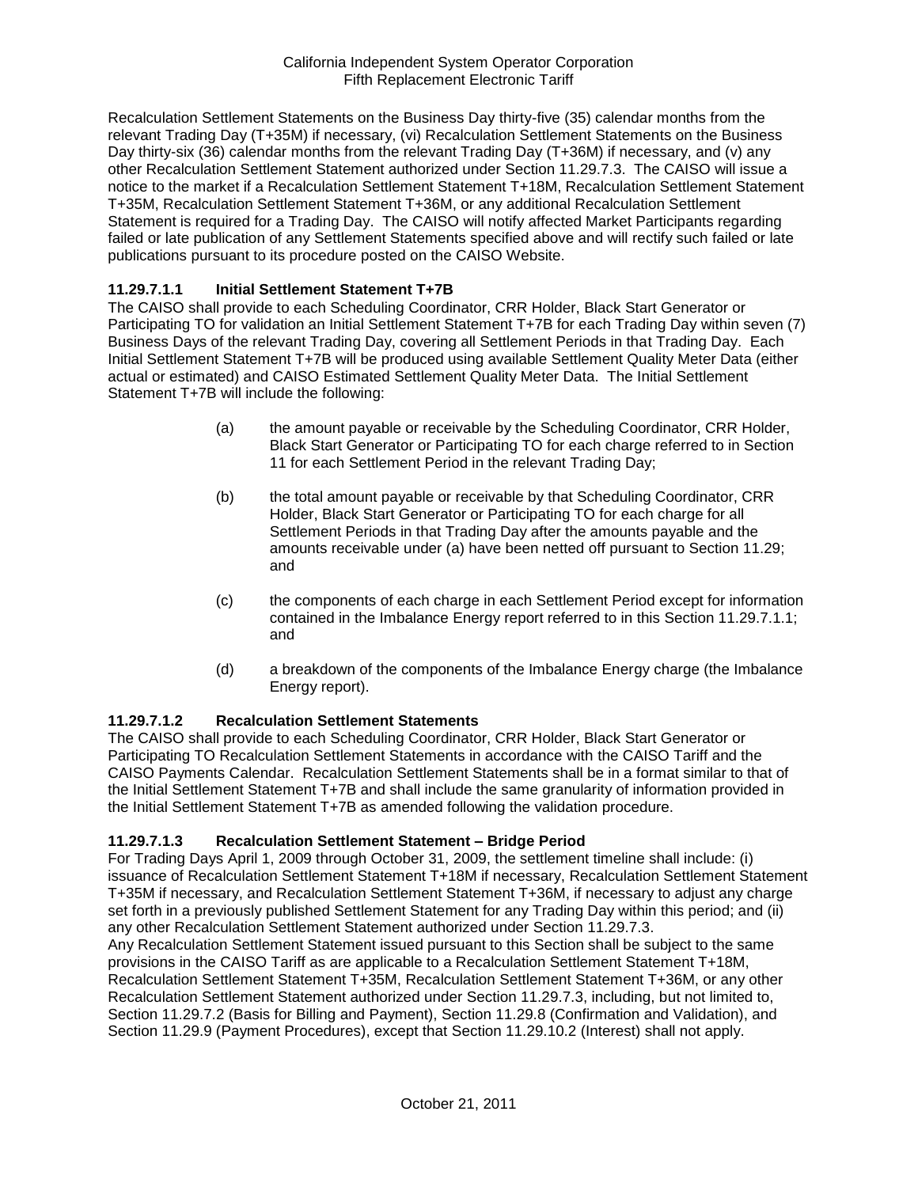Recalculation Settlement Statements on the Business Day thirty-five (35) calendar months from the relevant Trading Day (T+35M) if necessary, (vi) Recalculation Settlement Statements on the Business Day thirty-six (36) calendar months from the relevant Trading Day (T+36M) if necessary, and (v) any other Recalculation Settlement Statement authorized under Section 11.29.7.3. The CAISO will issue a notice to the market if a Recalculation Settlement Statement T+18M, Recalculation Settlement Statement T+35M, Recalculation Settlement Statement T+36M, or any additional Recalculation Settlement Statement is required for a Trading Day. The CAISO will notify affected Market Participants regarding failed or late publication of any Settlement Statements specified above and will rectify such failed or late publications pursuant to its procedure posted on the CAISO Website.

### **11.29.7.1.1 Initial Settlement Statement T+7B**

The CAISO shall provide to each Scheduling Coordinator, CRR Holder, Black Start Generator or Participating TO for validation an Initial Settlement Statement T+7B for each Trading Day within seven (7) Business Days of the relevant Trading Day, covering all Settlement Periods in that Trading Day. Each Initial Settlement Statement T+7B will be produced using available Settlement Quality Meter Data (either actual or estimated) and CAISO Estimated Settlement Quality Meter Data. The Initial Settlement Statement T+7B will include the following:

- (a) the amount payable or receivable by the Scheduling Coordinator, CRR Holder, Black Start Generator or Participating TO for each charge referred to in Section 11 for each Settlement Period in the relevant Trading Day;
- (b) the total amount payable or receivable by that Scheduling Coordinator, CRR Holder, Black Start Generator or Participating TO for each charge for all Settlement Periods in that Trading Day after the amounts payable and the amounts receivable under (a) have been netted off pursuant to Section 11.29; and
- (c) the components of each charge in each Settlement Period except for information contained in the Imbalance Energy report referred to in this Section 11.29.7.1.1; and
- (d) a breakdown of the components of the Imbalance Energy charge (the Imbalance Energy report).

### **11.29.7.1.2 Recalculation Settlement Statements**

The CAISO shall provide to each Scheduling Coordinator, CRR Holder, Black Start Generator or Participating TO Recalculation Settlement Statements in accordance with the CAISO Tariff and the CAISO Payments Calendar. Recalculation Settlement Statements shall be in a format similar to that of the Initial Settlement Statement T+7B and shall include the same granularity of information provided in the Initial Settlement Statement T+7B as amended following the validation procedure.

### **11.29.7.1.3 Recalculation Settlement Statement – Bridge Period**

For Trading Days April 1, 2009 through October 31, 2009, the settlement timeline shall include: (i) issuance of Recalculation Settlement Statement T+18M if necessary, Recalculation Settlement Statement T+35M if necessary, and Recalculation Settlement Statement T+36M, if necessary to adjust any charge set forth in a previously published Settlement Statement for any Trading Day within this period; and (ii) any other Recalculation Settlement Statement authorized under Section 11.29.7.3.

Any Recalculation Settlement Statement issued pursuant to this Section shall be subject to the same provisions in the CAISO Tariff as are applicable to a Recalculation Settlement Statement T+18M, Recalculation Settlement Statement T+35M, Recalculation Settlement Statement T+36M, or any other Recalculation Settlement Statement authorized under Section 11.29.7.3, including, but not limited to, Section 11.29.7.2 (Basis for Billing and Payment), Section 11.29.8 (Confirmation and Validation), and Section 11.29.9 (Payment Procedures), except that Section 11.29.10.2 (Interest) shall not apply.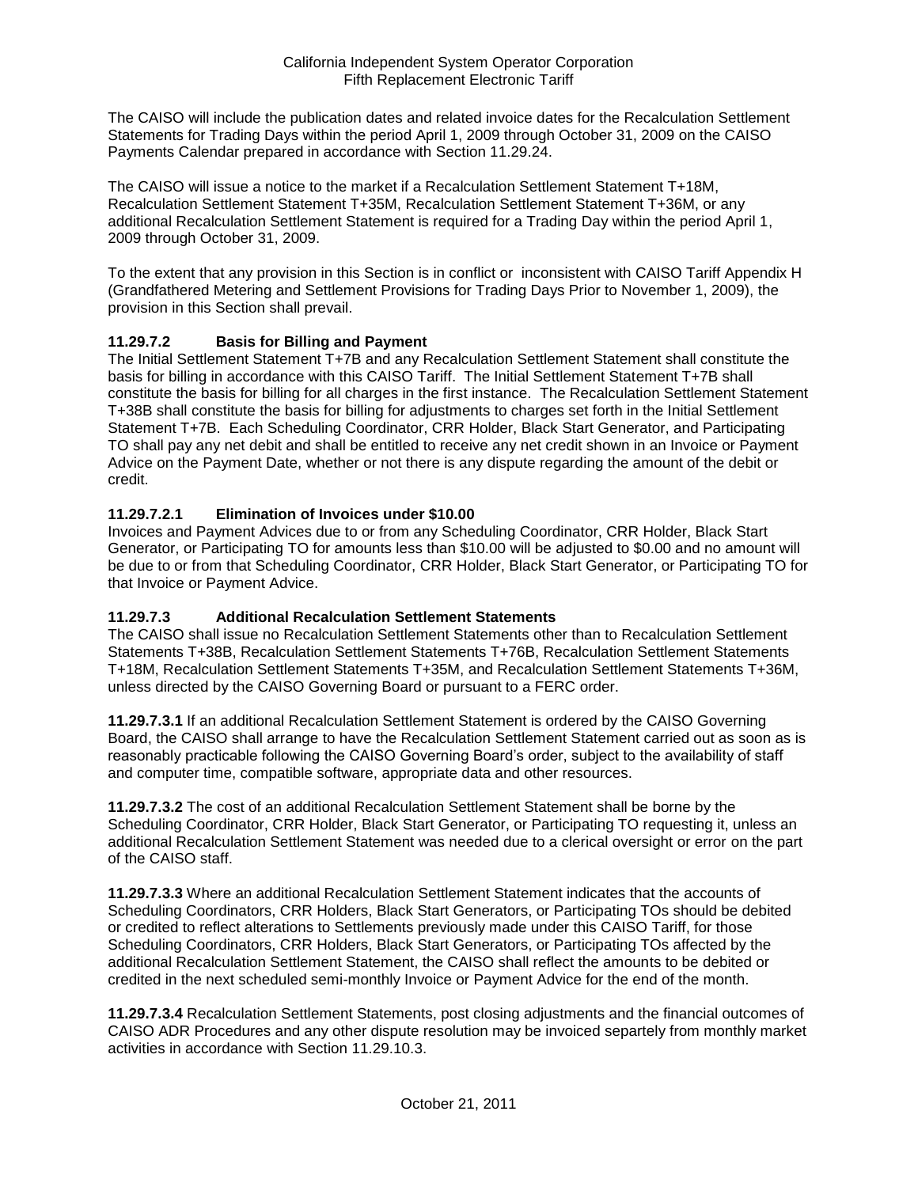The CAISO will include the publication dates and related invoice dates for the Recalculation Settlement Statements for Trading Days within the period April 1, 2009 through October 31, 2009 on the CAISO Payments Calendar prepared in accordance with Section 11.29.24.

The CAISO will issue a notice to the market if a Recalculation Settlement Statement T+18M, Recalculation Settlement Statement T+35M, Recalculation Settlement Statement T+36M, or any additional Recalculation Settlement Statement is required for a Trading Day within the period April 1, 2009 through October 31, 2009.

To the extent that any provision in this Section is in conflict or inconsistent with CAISO Tariff Appendix H (Grandfathered Metering and Settlement Provisions for Trading Days Prior to November 1, 2009), the provision in this Section shall prevail.

## **11.29.7.2 Basis for Billing and Payment**

The Initial Settlement Statement T+7B and any Recalculation Settlement Statement shall constitute the basis for billing in accordance with this CAISO Tariff. The Initial Settlement Statement T+7B shall constitute the basis for billing for all charges in the first instance. The Recalculation Settlement Statement T+38B shall constitute the basis for billing for adjustments to charges set forth in the Initial Settlement Statement T+7B. Each Scheduling Coordinator, CRR Holder, Black Start Generator, and Participating TO shall pay any net debit and shall be entitled to receive any net credit shown in an Invoice or Payment Advice on the Payment Date, whether or not there is any dispute regarding the amount of the debit or credit.

## **11.29.7.2.1 Elimination of Invoices under \$10.00**

Invoices and Payment Advices due to or from any Scheduling Coordinator, CRR Holder, Black Start Generator, or Participating TO for amounts less than \$10.00 will be adjusted to \$0.00 and no amount will be due to or from that Scheduling Coordinator, CRR Holder, Black Start Generator, or Participating TO for that Invoice or Payment Advice.

### **11.29.7.3 Additional Recalculation Settlement Statements**

The CAISO shall issue no Recalculation Settlement Statements other than to Recalculation Settlement Statements T+38B, Recalculation Settlement Statements T+76B, Recalculation Settlement Statements T+18M, Recalculation Settlement Statements T+35M, and Recalculation Settlement Statements T+36M, unless directed by the CAISO Governing Board or pursuant to a FERC order.

**11.29.7.3.1** If an additional Recalculation Settlement Statement is ordered by the CAISO Governing Board, the CAISO shall arrange to have the Recalculation Settlement Statement carried out as soon as is reasonably practicable following the CAISO Governing Board's order, subject to the availability of staff and computer time, compatible software, appropriate data and other resources.

**11.29.7.3.2** The cost of an additional Recalculation Settlement Statement shall be borne by the Scheduling Coordinator, CRR Holder, Black Start Generator, or Participating TO requesting it, unless an additional Recalculation Settlement Statement was needed due to a clerical oversight or error on the part of the CAISO staff.

**11.29.7.3.3** Where an additional Recalculation Settlement Statement indicates that the accounts of Scheduling Coordinators, CRR Holders, Black Start Generators, or Participating TOs should be debited or credited to reflect alterations to Settlements previously made under this CAISO Tariff, for those Scheduling Coordinators, CRR Holders, Black Start Generators, or Participating TOs affected by the additional Recalculation Settlement Statement, the CAISO shall reflect the amounts to be debited or credited in the next scheduled semi-monthly Invoice or Payment Advice for the end of the month.

**11.29.7.3.4** Recalculation Settlement Statements, post closing adjustments and the financial outcomes of CAISO ADR Procedures and any other dispute resolution may be invoiced separtely from monthly market activities in accordance with Section 11.29.10.3.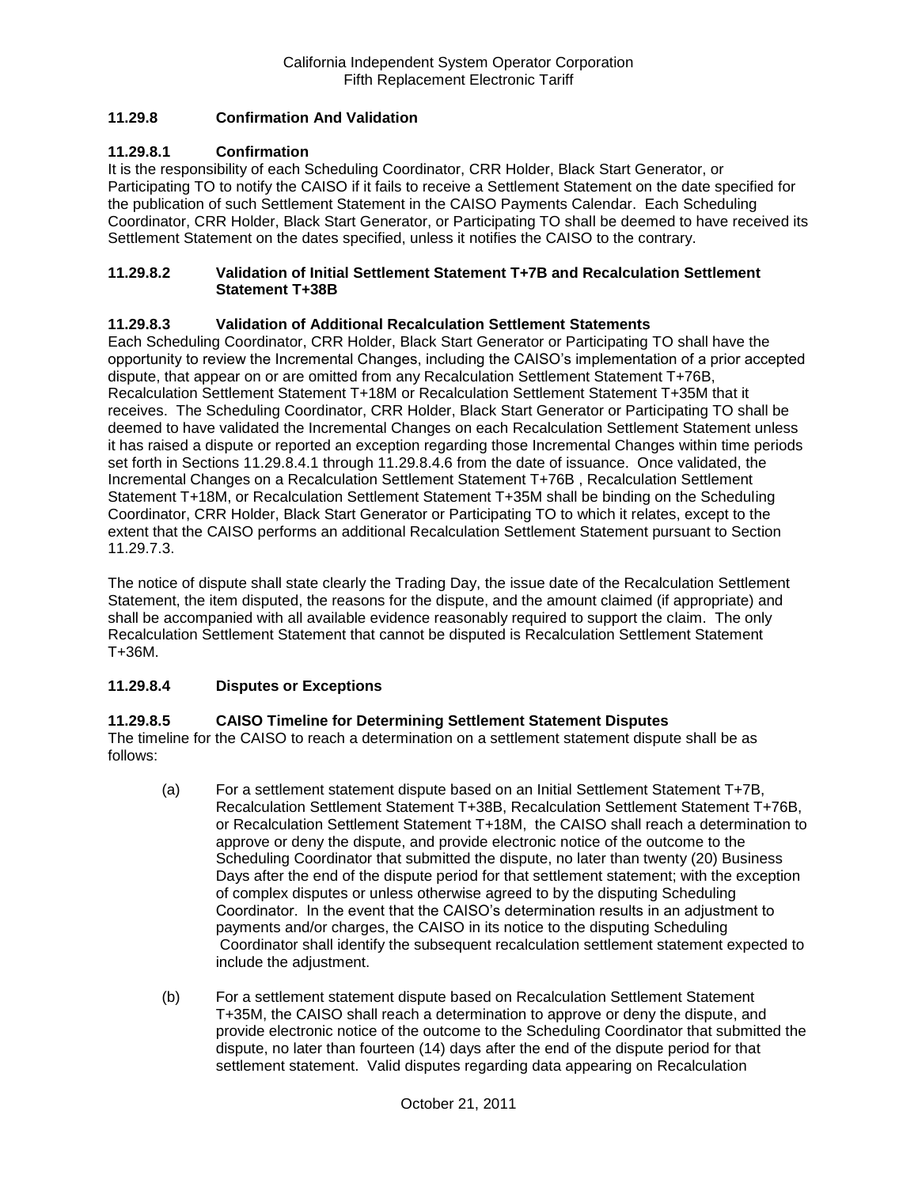### **11.29.8 Confirmation And Validation**

### **11.29.8.1 Confirmation**

It is the responsibility of each Scheduling Coordinator, CRR Holder, Black Start Generator, or Participating TO to notify the CAISO if it fails to receive a Settlement Statement on the date specified for the publication of such Settlement Statement in the CAISO Payments Calendar. Each Scheduling Coordinator, CRR Holder, Black Start Generator, or Participating TO shall be deemed to have received its Settlement Statement on the dates specified, unless it notifies the CAISO to the contrary.

### **11.29.8.2 Validation of Initial Settlement Statement T+7B and Recalculation Settlement Statement T+38B**

### **11.29.8.3 Validation of Additional Recalculation Settlement Statements**

Each Scheduling Coordinator, CRR Holder, Black Start Generator or Participating TO shall have the opportunity to review the Incremental Changes, including the CAISO's implementation of a prior accepted dispute, that appear on or are omitted from any Recalculation Settlement Statement T+76B, Recalculation Settlement Statement T+18M or Recalculation Settlement Statement T+35M that it receives. The Scheduling Coordinator, CRR Holder, Black Start Generator or Participating TO shall be deemed to have validated the Incremental Changes on each Recalculation Settlement Statement unless it has raised a dispute or reported an exception regarding those Incremental Changes within time periods set forth in Sections 11.29.8.4.1 through 11.29.8.4.6 from the date of issuance. Once validated, the Incremental Changes on a Recalculation Settlement Statement T+76B , Recalculation Settlement Statement T+18M, or Recalculation Settlement Statement T+35M shall be binding on the Scheduling Coordinator, CRR Holder, Black Start Generator or Participating TO to which it relates, except to the extent that the CAISO performs an additional Recalculation Settlement Statement pursuant to Section 11.29.7.3.

The notice of dispute shall state clearly the Trading Day, the issue date of the Recalculation Settlement Statement, the item disputed, the reasons for the dispute, and the amount claimed (if appropriate) and shall be accompanied with all available evidence reasonably required to support the claim. The only Recalculation Settlement Statement that cannot be disputed is Recalculation Settlement Statement T+36M.

### **11.29.8.4 Disputes or Exceptions**

### **11.29.8.5 CAISO Timeline for Determining Settlement Statement Disputes**

The timeline for the CAISO to reach a determination on a settlement statement dispute shall be as follows:

- (a) For a settlement statement dispute based on an Initial Settlement Statement T+7B, Recalculation Settlement Statement T+38B, Recalculation Settlement Statement T+76B, or Recalculation Settlement Statement T+18M, the CAISO shall reach a determination to approve or deny the dispute, and provide electronic notice of the outcome to the Scheduling Coordinator that submitted the dispute, no later than twenty (20) Business Days after the end of the dispute period for that settlement statement; with the exception of complex disputes or unless otherwise agreed to by the disputing Scheduling Coordinator. In the event that the CAISO's determination results in an adjustment to payments and/or charges, the CAISO in its notice to the disputing Scheduling Coordinator shall identify the subsequent recalculation settlement statement expected to include the adjustment.
- (b) For a settlement statement dispute based on Recalculation Settlement Statement T+35M, the CAISO shall reach a determination to approve or deny the dispute, and provide electronic notice of the outcome to the Scheduling Coordinator that submitted the dispute, no later than fourteen (14) days after the end of the dispute period for that settlement statement. Valid disputes regarding data appearing on Recalculation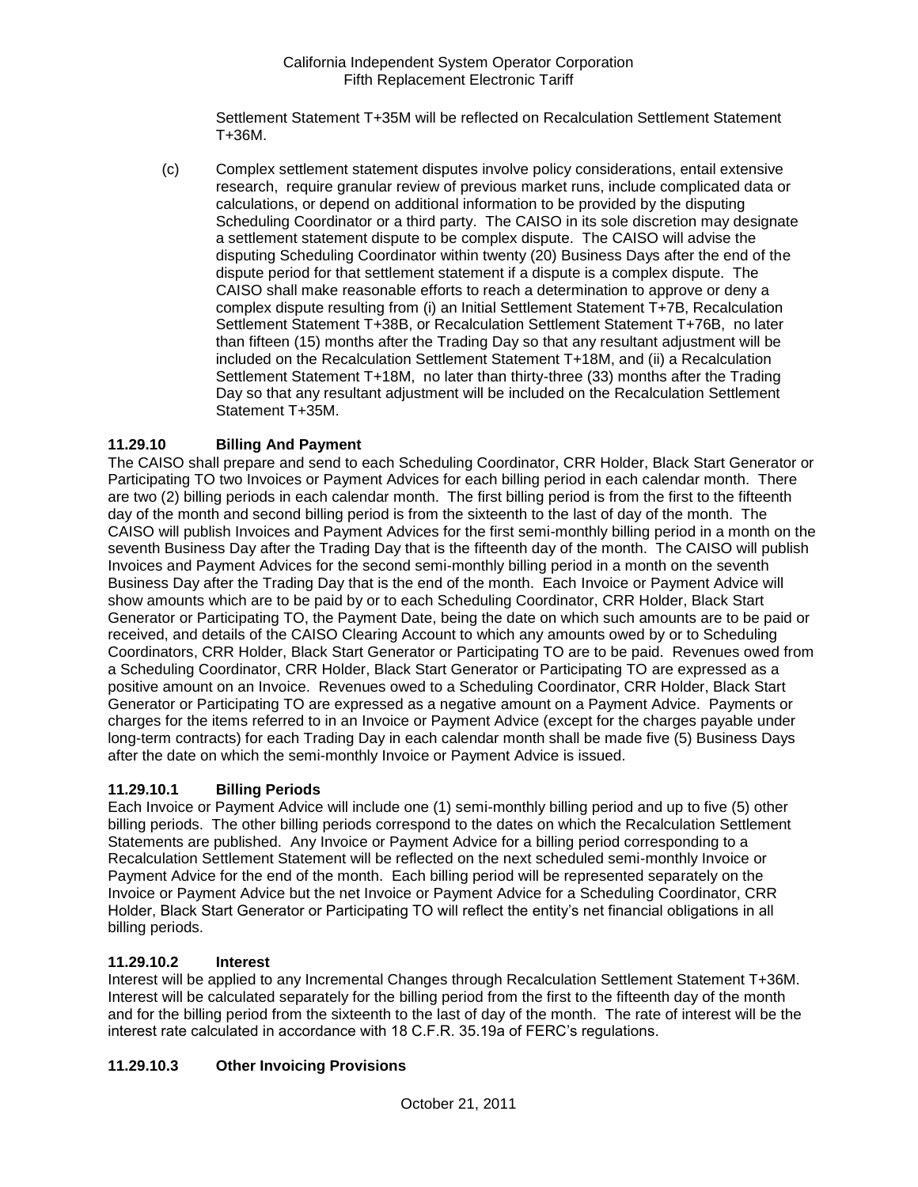Settlement Statement T+35M will be reflected on Recalculation Settlement Statement T+36M.

(c) Complex settlement statement disputes involve policy considerations, entail extensive research, require granular review of previous market runs, include complicated data or calculations, or depend on additional information to be provided by the disputing Scheduling Coordinator or a third party. The CAISO in its sole discretion may designate a settlement statement dispute to be complex dispute. The CAISO will advise the disputing Scheduling Coordinator within twenty (20) Business Days after the end of the dispute period for that settlement statement if a dispute is a complex dispute. The CAISO shall make reasonable efforts to reach a determination to approve or deny a complex dispute resulting from (i) an Initial Settlement Statement T+7B, Recalculation Settlement Statement T+38B, or Recalculation Settlement Statement T+76B, no later than fifteen (15) months after the Trading Day so that any resultant adjustment will be included on the Recalculation Settlement Statement T+18M, and (ii) a Recalculation Settlement Statement T+18M, no later than thirty-three (33) months after the Trading Day so that any resultant adjustment will be included on the Recalculation Settlement Statement T+35M.

## **11.29.10 Billing And Payment**

The CAISO shall prepare and send to each Scheduling Coordinator, CRR Holder, Black Start Generator or Participating TO two Invoices or Payment Advices for each billing period in each calendar month. There are two (2) billing periods in each calendar month. The first billing period is from the first to the fifteenth day of the month and second billing period is from the sixteenth to the last of day of the month. The CAISO will publish Invoices and Payment Advices for the first semi-monthly billing period in a month on the seventh Business Day after the Trading Day that is the fifteenth day of the month. The CAISO will publish Invoices and Payment Advices for the second semi-monthly billing period in a month on the seventh Business Day after the Trading Day that is the end of the month. Each Invoice or Payment Advice will show amounts which are to be paid by or to each Scheduling Coordinator, CRR Holder, Black Start Generator or Participating TO, the Payment Date, being the date on which such amounts are to be paid or received, and details of the CAISO Clearing Account to which any amounts owed by or to Scheduling Coordinators, CRR Holder, Black Start Generator or Participating TO are to be paid. Revenues owed from a Scheduling Coordinator, CRR Holder, Black Start Generator or Participating TO are expressed as a positive amount on an Invoice. Revenues owed to a Scheduling Coordinator, CRR Holder, Black Start Generator or Participating TO are expressed as a negative amount on a Payment Advice. Payments or charges for the items referred to in an Invoice or Payment Advice (except for the charges payable under long-term contracts) for each Trading Day in each calendar month shall be made five (5) Business Days after the date on which the semi-monthly Invoice or Payment Advice is issued.

## **11.29.10.1 Billing Periods**

Each Invoice or Payment Advice will include one (1) semi-monthly billing period and up to five (5) other billing periods. The other billing periods correspond to the dates on which the Recalculation Settlement Statements are published. Any Invoice or Payment Advice for a billing period corresponding to a Recalculation Settlement Statement will be reflected on the next scheduled semi-monthly Invoice or Payment Advice for the end of the month. Each billing period will be represented separately on the Invoice or Payment Advice but the net Invoice or Payment Advice for a Scheduling Coordinator, CRR Holder, Black Start Generator or Participating TO will reflect the entity's net financial obligations in all billing periods.

### **11.29.10.2 Interest**

Interest will be applied to any Incremental Changes through Recalculation Settlement Statement T+36M. Interest will be calculated separately for the billing period from the first to the fifteenth day of the month and for the billing period from the sixteenth to the last of day of the month. The rate of interest will be the interest rate calculated in accordance with 18 C.F.R. 35.19a of FERC's regulations.

## **11.29.10.3 Other Invoicing Provisions**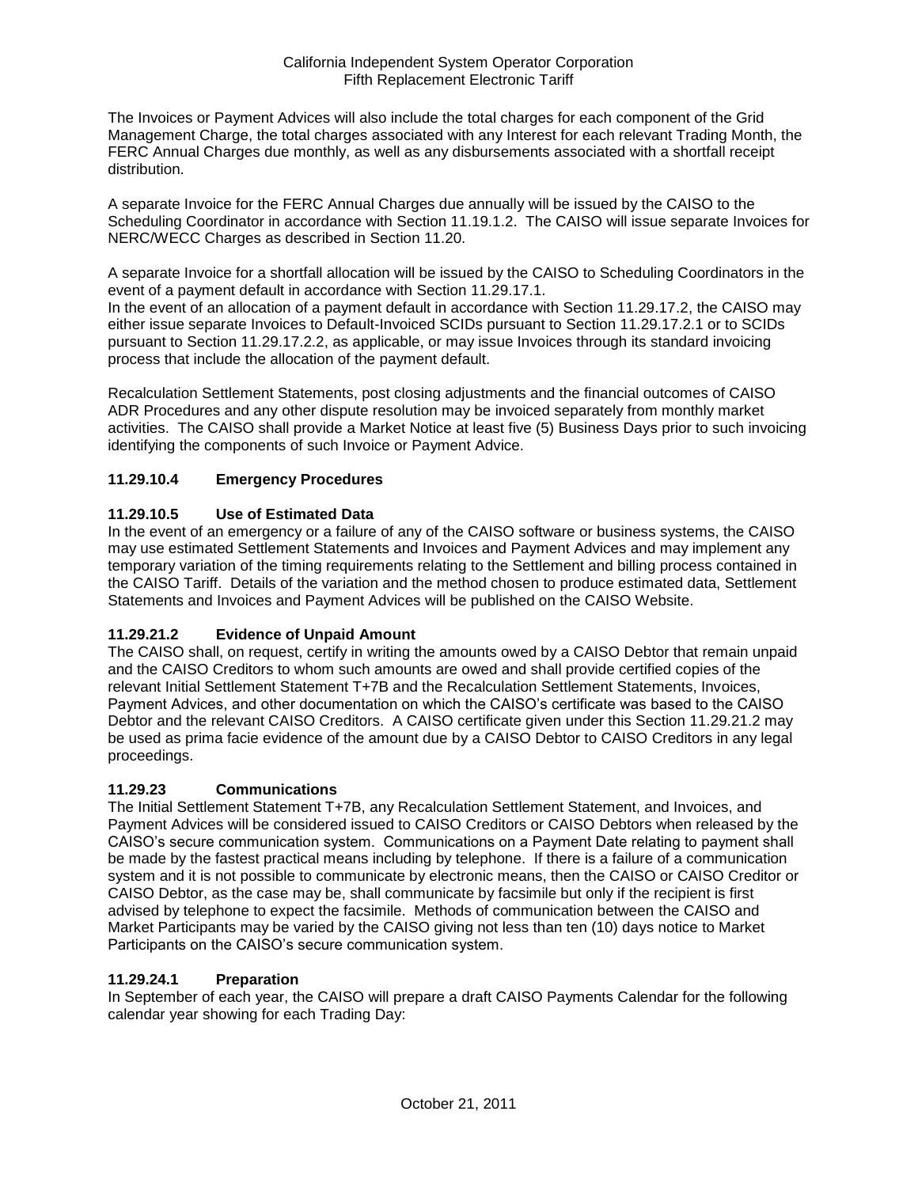The Invoices or Payment Advices will also include the total charges for each component of the Grid Management Charge, the total charges associated with any Interest for each relevant Trading Month, the FERC Annual Charges due monthly, as well as any disbursements associated with a shortfall receipt distribution.

A separate Invoice for the FERC Annual Charges due annually will be issued by the CAISO to the Scheduling Coordinator in accordance with Section 11.19.1.2. The CAISO will issue separate Invoices for NERC/WECC Charges as described in Section 11.20.

A separate Invoice for a shortfall allocation will be issued by the CAISO to Scheduling Coordinators in the event of a payment default in accordance with Section 11.29.17.1.

In the event of an allocation of a payment default in accordance with Section 11.29.17.2, the CAISO may either issue separate Invoices to Default-Invoiced SCIDs pursuant to Section 11.29.17.2.1 or to SCIDs pursuant to Section 11.29.17.2.2, as applicable, or may issue Invoices through its standard invoicing process that include the allocation of the payment default.

Recalculation Settlement Statements, post closing adjustments and the financial outcomes of CAISO ADR Procedures and any other dispute resolution may be invoiced separately from monthly market activities. The CAISO shall provide a Market Notice at least five (5) Business Days prior to such invoicing identifying the components of such Invoice or Payment Advice.

## **11.29.10.4 Emergency Procedures**

## **11.29.10.5 Use of Estimated Data**

In the event of an emergency or a failure of any of the CAISO software or business systems, the CAISO may use estimated Settlement Statements and Invoices and Payment Advices and may implement any temporary variation of the timing requirements relating to the Settlement and billing process contained in the CAISO Tariff. Details of the variation and the method chosen to produce estimated data, Settlement Statements and Invoices and Payment Advices will be published on the CAISO Website.

## **11.29.21.2 Evidence of Unpaid Amount**

The CAISO shall, on request, certify in writing the amounts owed by a CAISO Debtor that remain unpaid and the CAISO Creditors to whom such amounts are owed and shall provide certified copies of the relevant Initial Settlement Statement T+7B and the Recalculation Settlement Statements, Invoices, Payment Advices, and other documentation on which the CAISO's certificate was based to the CAISO Debtor and the relevant CAISO Creditors. A CAISO certificate given under this Section 11.29.21.2 may be used as prima facie evidence of the amount due by a CAISO Debtor to CAISO Creditors in any legal proceedings.

### **11.29.23 Communications**

The Initial Settlement Statement T+7B, any Recalculation Settlement Statement, and Invoices, and Payment Advices will be considered issued to CAISO Creditors or CAISO Debtors when released by the CAISO's secure communication system. Communications on a Payment Date relating to payment shall be made by the fastest practical means including by telephone. If there is a failure of a communication system and it is not possible to communicate by electronic means, then the CAISO or CAISO Creditor or CAISO Debtor, as the case may be, shall communicate by facsimile but only if the recipient is first advised by telephone to expect the facsimile. Methods of communication between the CAISO and Market Participants may be varied by the CAISO giving not less than ten (10) days notice to Market Participants on the CAISO's secure communication system.

### **11.29.24.1 Preparation**

In September of each year, the CAISO will prepare a draft CAISO Payments Calendar for the following calendar year showing for each Trading Day: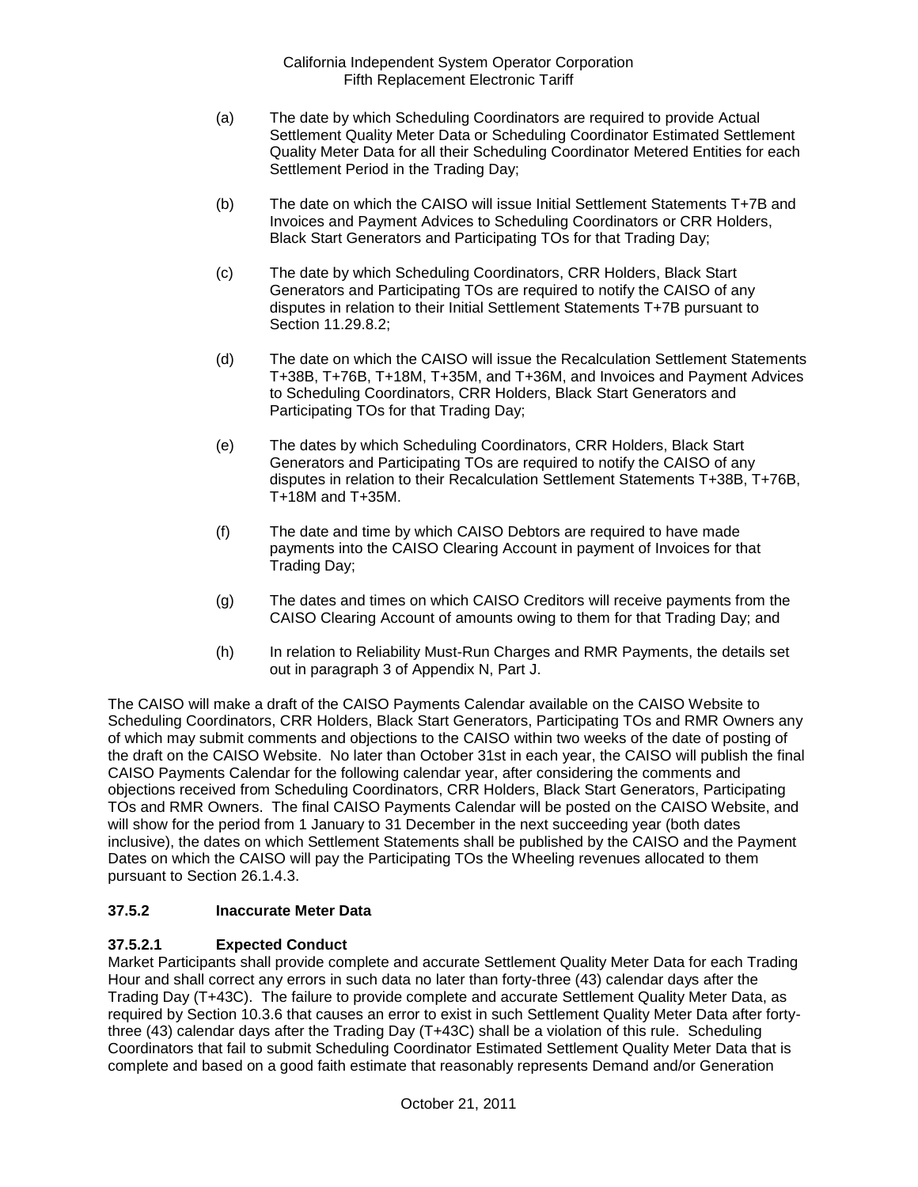- (a) The date by which Scheduling Coordinators are required to provide Actual Settlement Quality Meter Data or Scheduling Coordinator Estimated Settlement Quality Meter Data for all their Scheduling Coordinator Metered Entities for each Settlement Period in the Trading Day;
- (b) The date on which the CAISO will issue Initial Settlement Statements T+7B and Invoices and Payment Advices to Scheduling Coordinators or CRR Holders, Black Start Generators and Participating TOs for that Trading Day;
- (c) The date by which Scheduling Coordinators, CRR Holders, Black Start Generators and Participating TOs are required to notify the CAISO of any disputes in relation to their Initial Settlement Statements T+7B pursuant to Section 11.29.8.2;
- (d) The date on which the CAISO will issue the Recalculation Settlement Statements T+38B, T+76B, T+18M, T+35M, and T+36M, and Invoices and Payment Advices to Scheduling Coordinators, CRR Holders, Black Start Generators and Participating TOs for that Trading Day;
- (e) The dates by which Scheduling Coordinators, CRR Holders, Black Start Generators and Participating TOs are required to notify the CAISO of any disputes in relation to their Recalculation Settlement Statements T+38B, T+76B, T+18M and T+35M.
- (f) The date and time by which CAISO Debtors are required to have made payments into the CAISO Clearing Account in payment of Invoices for that Trading Day;
- (g) The dates and times on which CAISO Creditors will receive payments from the CAISO Clearing Account of amounts owing to them for that Trading Day; and
- (h) In relation to Reliability Must-Run Charges and RMR Payments, the details set out in paragraph 3 of Appendix N, Part J.

The CAISO will make a draft of the CAISO Payments Calendar available on the CAISO Website to Scheduling Coordinators, CRR Holders, Black Start Generators, Participating TOs and RMR Owners any of which may submit comments and objections to the CAISO within two weeks of the date of posting of the draft on the CAISO Website. No later than October 31st in each year, the CAISO will publish the final CAISO Payments Calendar for the following calendar year, after considering the comments and objections received from Scheduling Coordinators, CRR Holders, Black Start Generators, Participating TOs and RMR Owners. The final CAISO Payments Calendar will be posted on the CAISO Website, and will show for the period from 1 January to 31 December in the next succeeding year (both dates inclusive), the dates on which Settlement Statements shall be published by the CAISO and the Payment Dates on which the CAISO will pay the Participating TOs the Wheeling revenues allocated to them pursuant to Section 26.1.4.3.

## **37.5.2 Inaccurate Meter Data**

## **37.5.2.1 Expected Conduct**

Market Participants shall provide complete and accurate Settlement Quality Meter Data for each Trading Hour and shall correct any errors in such data no later than forty-three (43) calendar days after the Trading Day (T+43C). The failure to provide complete and accurate Settlement Quality Meter Data, as required by Section 10.3.6 that causes an error to exist in such Settlement Quality Meter Data after fortythree (43) calendar days after the Trading Day (T+43C) shall be a violation of this rule. Scheduling Coordinators that fail to submit Scheduling Coordinator Estimated Settlement Quality Meter Data that is complete and based on a good faith estimate that reasonably represents Demand and/or Generation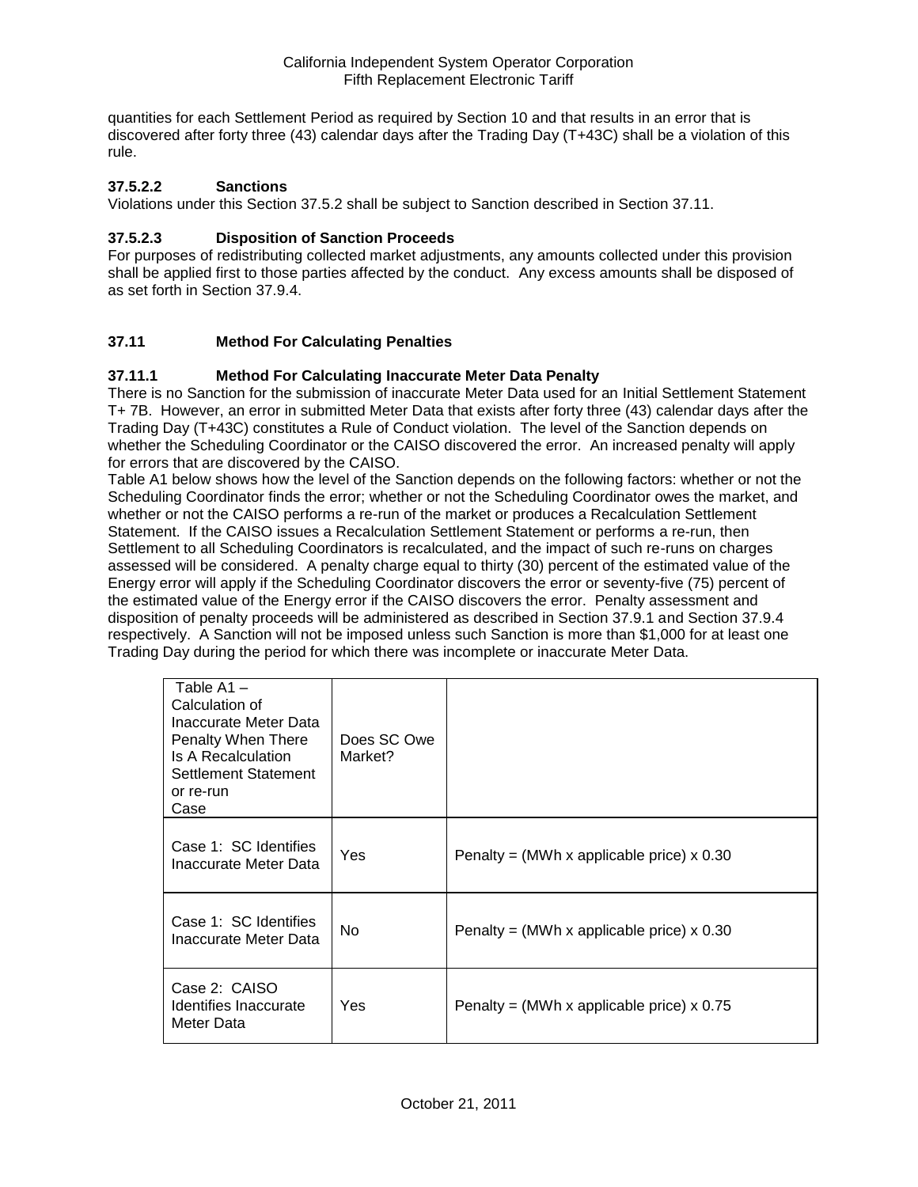quantities for each Settlement Period as required by Section 10 and that results in an error that is discovered after forty three (43) calendar days after the Trading Day (T+43C) shall be a violation of this rule.

### **37.5.2.2 Sanctions**

Violations under this Section 37.5.2 shall be subject to Sanction described in Section 37.11.

### **37.5.2.3 Disposition of Sanction Proceeds**

For purposes of redistributing collected market adjustments, any amounts collected under this provision shall be applied first to those parties affected by the conduct. Any excess amounts shall be disposed of as set forth in Section 37.9.4.

## **37.11 Method For Calculating Penalties**

### **37.11.1 Method For Calculating Inaccurate Meter Data Penalty**

There is no Sanction for the submission of inaccurate Meter Data used for an Initial Settlement Statement T+ 7B. However, an error in submitted Meter Data that exists after forty three (43) calendar days after the Trading Day (T+43C) constitutes a Rule of Conduct violation. The level of the Sanction depends on whether the Scheduling Coordinator or the CAISO discovered the error. An increased penalty will apply for errors that are discovered by the CAISO.

Table A1 below shows how the level of the Sanction depends on the following factors: whether or not the Scheduling Coordinator finds the error; whether or not the Scheduling Coordinator owes the market, and whether or not the CAISO performs a re-run of the market or produces a Recalculation Settlement Statement. If the CAISO issues a Recalculation Settlement Statement or performs a re-run, then Settlement to all Scheduling Coordinators is recalculated, and the impact of such re-runs on charges assessed will be considered. A penalty charge equal to thirty (30) percent of the estimated value of the Energy error will apply if the Scheduling Coordinator discovers the error or seventy-five (75) percent of the estimated value of the Energy error if the CAISO discovers the error. Penalty assessment and disposition of penalty proceeds will be administered as described in Section 37.9.1 and Section 37.9.4 respectively. A Sanction will not be imposed unless such Sanction is more than \$1,000 for at least one Trading Day during the period for which there was incomplete or inaccurate Meter Data.

| Table $A1 -$<br>Calculation of<br>Inaccurate Meter Data<br>Penalty When There<br>Is A Recalculation<br>Settlement Statement<br>or re-run<br>Case | Does SC Owe<br>Market? |                                             |
|--------------------------------------------------------------------------------------------------------------------------------------------------|------------------------|---------------------------------------------|
| Case 1: SC Identifies<br>Inaccurate Meter Data                                                                                                   | Yes                    | Penalty = (MWh x applicable price) $x$ 0.30 |
| Case 1: SC Identifies<br>Inaccurate Meter Data                                                                                                   | No.                    | Penalty = (MWh x applicable price) $x$ 0.30 |
| Case 2: CAISO<br>Identifies Inaccurate<br>Meter Data                                                                                             | Yes                    | Penalty = (MWh x applicable price) $x$ 0.75 |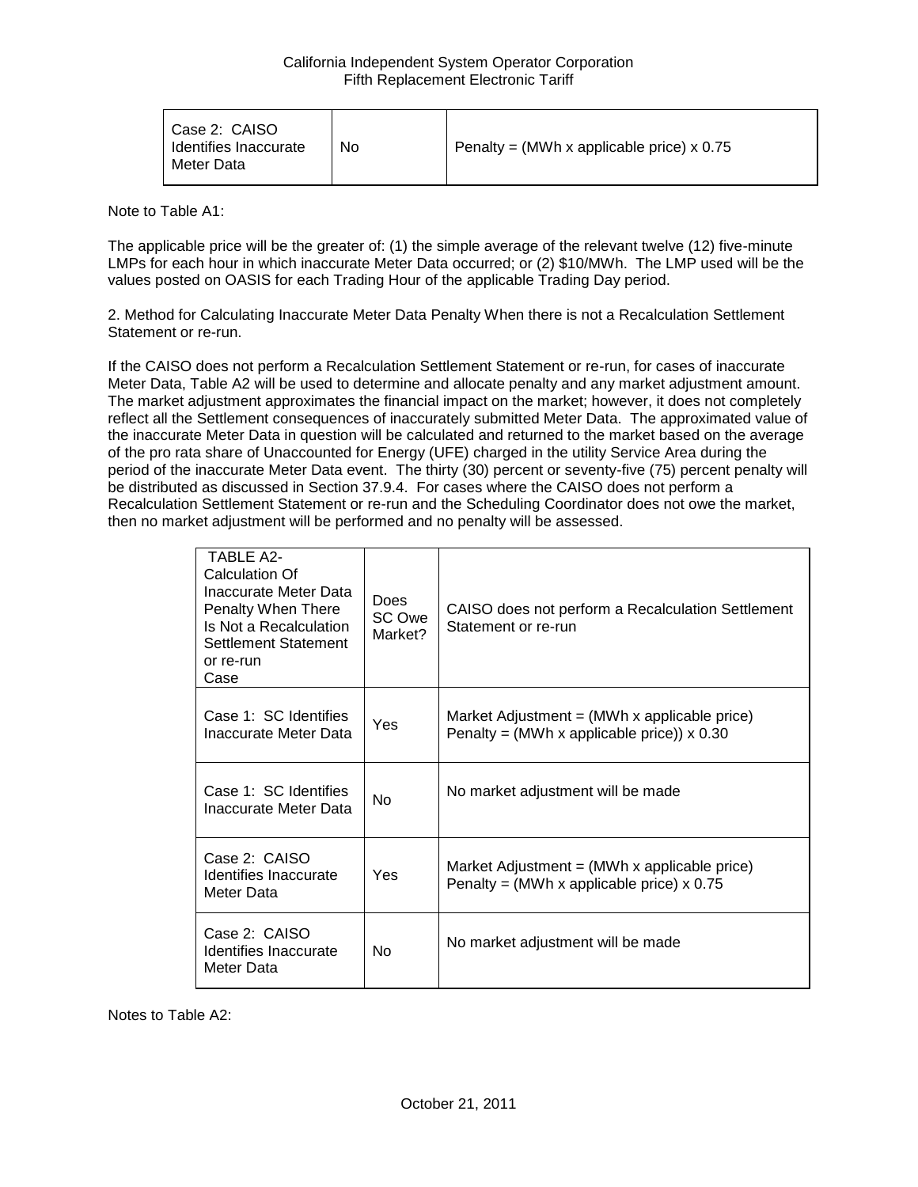Note to Table A1:

The applicable price will be the greater of: (1) the simple average of the relevant twelve (12) five-minute LMPs for each hour in which inaccurate Meter Data occurred; or (2) \$10/MWh. The LMP used will be the values posted on OASIS for each Trading Hour of the applicable Trading Day period.

2. Method for Calculating Inaccurate Meter Data Penalty When there is not a Recalculation Settlement Statement or re-run.

If the CAISO does not perform a Recalculation Settlement Statement or re-run, for cases of inaccurate Meter Data, Table A2 will be used to determine and allocate penalty and any market adjustment amount. The market adjustment approximates the financial impact on the market; however, it does not completely reflect all the Settlement consequences of inaccurately submitted Meter Data. The approximated value of the inaccurate Meter Data in question will be calculated and returned to the market based on the average of the pro rata share of Unaccounted for Energy (UFE) charged in the utility Service Area during the period of the inaccurate Meter Data event. The thirty (30) percent or seventy-five (75) percent penalty will be distributed as discussed in Section 37.9.4. For cases where the CAISO does not perform a Recalculation Settlement Statement or re-run and the Scheduling Coordinator does not owe the market, then no market adjustment will be performed and no penalty will be assessed.

| TARI F A <sub>2</sub><br>Calculation Of<br>Inaccurate Meter Data<br>Penalty When There<br>Is Not a Recalculation<br>Settlement Statement<br>or re-run<br>Case | <b>Does</b><br>SC Owe<br>Market? | CAISO does not perform a Recalculation Settlement<br>Statement or re-run                            |
|---------------------------------------------------------------------------------------------------------------------------------------------------------------|----------------------------------|-----------------------------------------------------------------------------------------------------|
| Case 1: SC Identifies<br>Inaccurate Meter Data                                                                                                                | Yes                              | Market Adjustment $=$ (MWh x applicable price)<br>Penalty = (MWh x applicable price)) $\times$ 0.30 |
| Case 1: SC Identifies<br>Inaccurate Meter Data                                                                                                                | <b>No</b>                        | No market adjustment will be made                                                                   |
| Case 2: CAISO<br>Identifies Inaccurate<br>Meter Data                                                                                                          | Yes                              | Market Adjustment = $(MWh \times applicable\ price)$<br>Penalty = (MWh x applicable price) $x$ 0.75 |
| Case 2: CAISO<br>Identifies Inaccurate<br>Meter Data                                                                                                          | <b>No</b>                        | No market adjustment will be made                                                                   |

Notes to Table A2: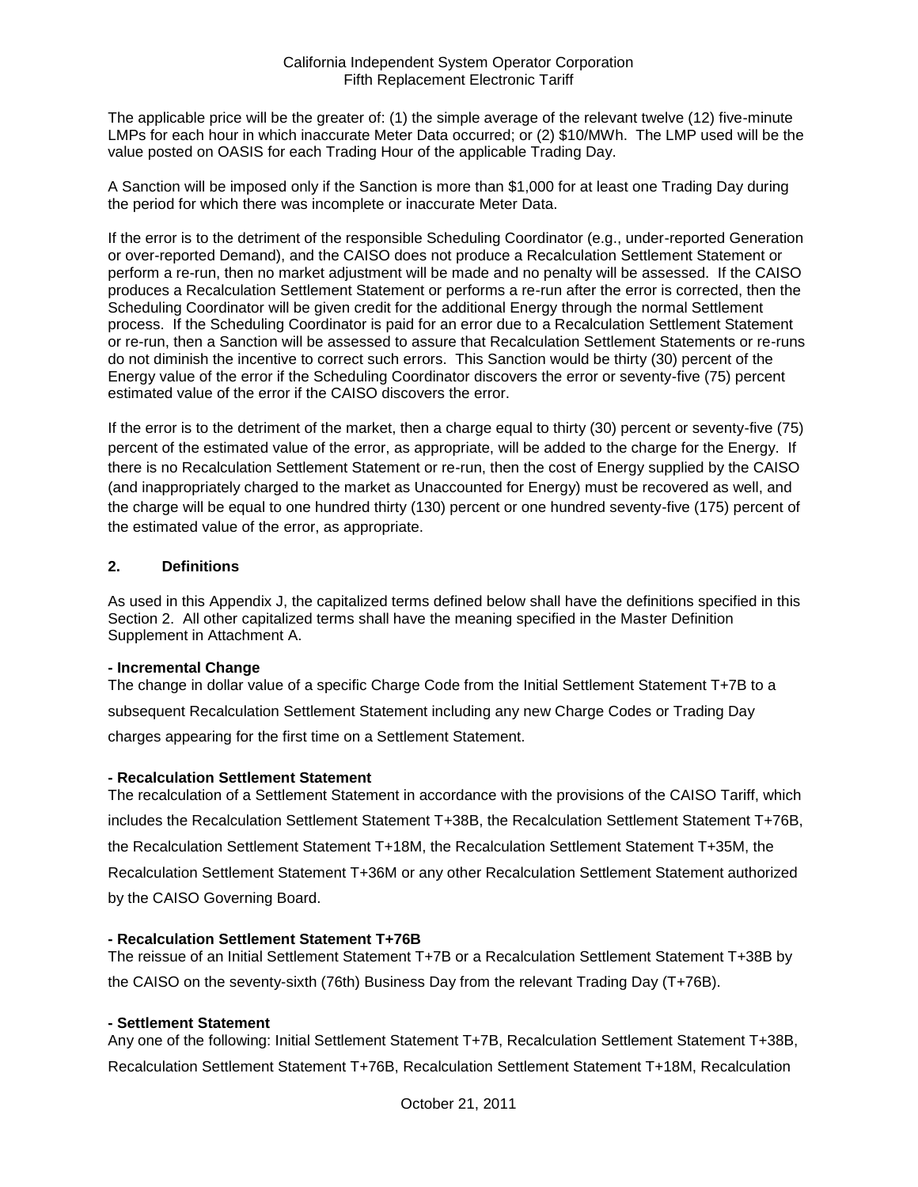The applicable price will be the greater of: (1) the simple average of the relevant twelve (12) five-minute LMPs for each hour in which inaccurate Meter Data occurred; or (2) \$10/MWh. The LMP used will be the value posted on OASIS for each Trading Hour of the applicable Trading Day.

A Sanction will be imposed only if the Sanction is more than \$1,000 for at least one Trading Day during the period for which there was incomplete or inaccurate Meter Data.

If the error is to the detriment of the responsible Scheduling Coordinator (e.g., under-reported Generation or over-reported Demand), and the CAISO does not produce a Recalculation Settlement Statement or perform a re-run, then no market adjustment will be made and no penalty will be assessed. If the CAISO produces a Recalculation Settlement Statement or performs a re-run after the error is corrected, then the Scheduling Coordinator will be given credit for the additional Energy through the normal Settlement process. If the Scheduling Coordinator is paid for an error due to a Recalculation Settlement Statement or re-run, then a Sanction will be assessed to assure that Recalculation Settlement Statements or re-runs do not diminish the incentive to correct such errors. This Sanction would be thirty (30) percent of the Energy value of the error if the Scheduling Coordinator discovers the error or seventy-five (75) percent estimated value of the error if the CAISO discovers the error.

If the error is to the detriment of the market, then a charge equal to thirty (30) percent or seventy-five (75) percent of the estimated value of the error, as appropriate, will be added to the charge for the Energy. If there is no Recalculation Settlement Statement or re-run, then the cost of Energy supplied by the CAISO (and inappropriately charged to the market as Unaccounted for Energy) must be recovered as well, and the charge will be equal to one hundred thirty (130) percent or one hundred seventy-five (175) percent of the estimated value of the error, as appropriate.

### **2. Definitions**

As used in this Appendix J, the capitalized terms defined below shall have the definitions specified in this Section 2. All other capitalized terms shall have the meaning specified in the Master Definition Supplement in Attachment A.

#### **- Incremental Change**

The change in dollar value of a specific Charge Code from the Initial Settlement Statement T+7B to a subsequent Recalculation Settlement Statement including any new Charge Codes or Trading Day charges appearing for the first time on a Settlement Statement.

### **- Recalculation Settlement Statement**

The recalculation of a Settlement Statement in accordance with the provisions of the CAISO Tariff, which includes the Recalculation Settlement Statement T+38B, the Recalculation Settlement Statement T+76B, the Recalculation Settlement Statement T+18M, the Recalculation Settlement Statement T+35M, the Recalculation Settlement Statement T+36M or any other Recalculation Settlement Statement authorized by the CAISO Governing Board.

### **- Recalculation Settlement Statement T+76B**

The reissue of an Initial Settlement Statement T+7B or a Recalculation Settlement Statement T+38B by the CAISO on the seventy-sixth (76th) Business Day from the relevant Trading Day (T+76B).

### **- Settlement Statement**

Any one of the following: Initial Settlement Statement T+7B, Recalculation Settlement Statement T+38B, Recalculation Settlement Statement T+76B, Recalculation Settlement Statement T+18M, Recalculation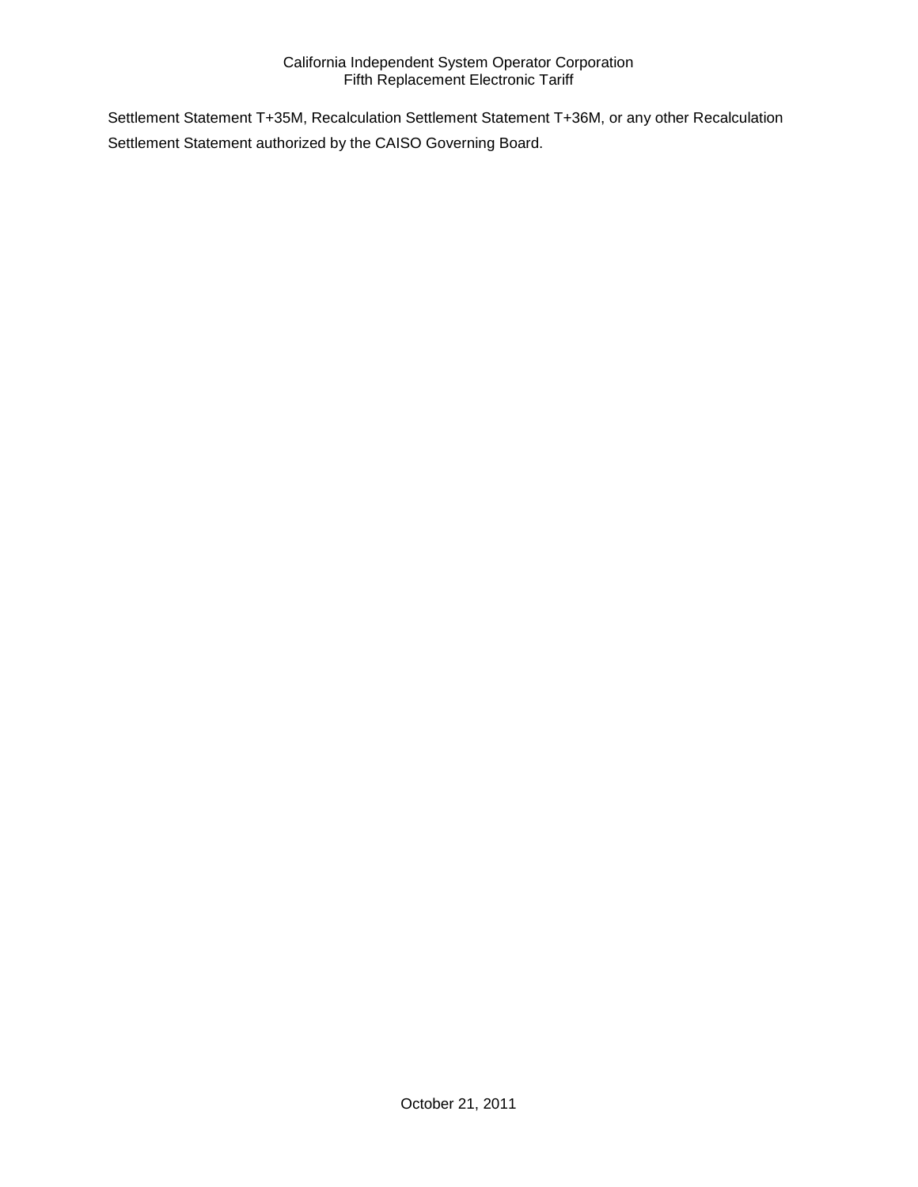Settlement Statement T+35M, Recalculation Settlement Statement T+36M, or any other Recalculation Settlement Statement authorized by the CAISO Governing Board.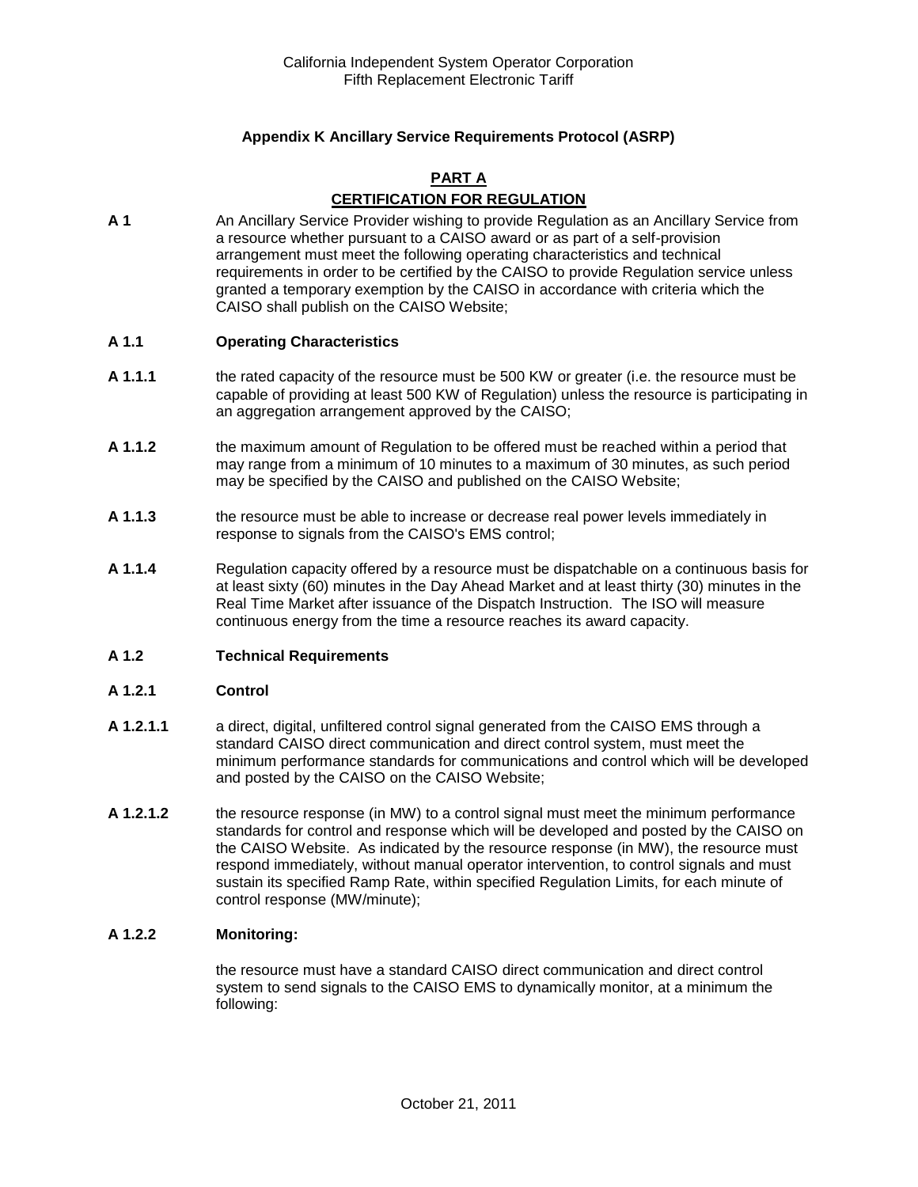## **Appendix K Ancillary Service Requirements Protocol (ASRP)**

### **PART A CERTIFICATION FOR REGULATION**

**A 1** An Ancillary Service Provider wishing to provide Regulation as an Ancillary Service from a resource whether pursuant to a CAISO award or as part of a self-provision arrangement must meet the following operating characteristics and technical requirements in order to be certified by the CAISO to provide Regulation service unless granted a temporary exemption by the CAISO in accordance with criteria which the CAISO shall publish on the CAISO Website;

#### **A 1.1 Operating Characteristics**

- **A 1.1.1** the rated capacity of the resource must be 500 KW or greater (i.e. the resource must be capable of providing at least 500 KW of Regulation) unless the resource is participating in an aggregation arrangement approved by the CAISO;
- **A 1.1.2** the maximum amount of Regulation to be offered must be reached within a period that may range from a minimum of 10 minutes to a maximum of 30 minutes, as such period may be specified by the CAISO and published on the CAISO Website;
- **A 1.1.3** the resource must be able to increase or decrease real power levels immediately in response to signals from the CAISO's EMS control;
- **A 1.1.4** Regulation capacity offered by a resource must be dispatchable on a continuous basis for at least sixty (60) minutes in the Day Ahead Market and at least thirty (30) minutes in the Real Time Market after issuance of the Dispatch Instruction. The ISO will measure continuous energy from the time a resource reaches its award capacity.

#### **A 1.2 Technical Requirements**

#### **A 1.2.1 Control**

- **A 1.2.1.1** a direct, digital, unfiltered control signal generated from the CAISO EMS through a standard CAISO direct communication and direct control system, must meet the minimum performance standards for communications and control which will be developed and posted by the CAISO on the CAISO Website;
- **A 1.2.1.2** the resource response (in MW) to a control signal must meet the minimum performance standards for control and response which will be developed and posted by the CAISO on the CAISO Website. As indicated by the resource response (in MW), the resource must respond immediately, without manual operator intervention, to control signals and must sustain its specified Ramp Rate, within specified Regulation Limits, for each minute of control response (MW/minute);

#### **A 1.2.2 Monitoring:**

the resource must have a standard CAISO direct communication and direct control system to send signals to the CAISO EMS to dynamically monitor, at a minimum the following: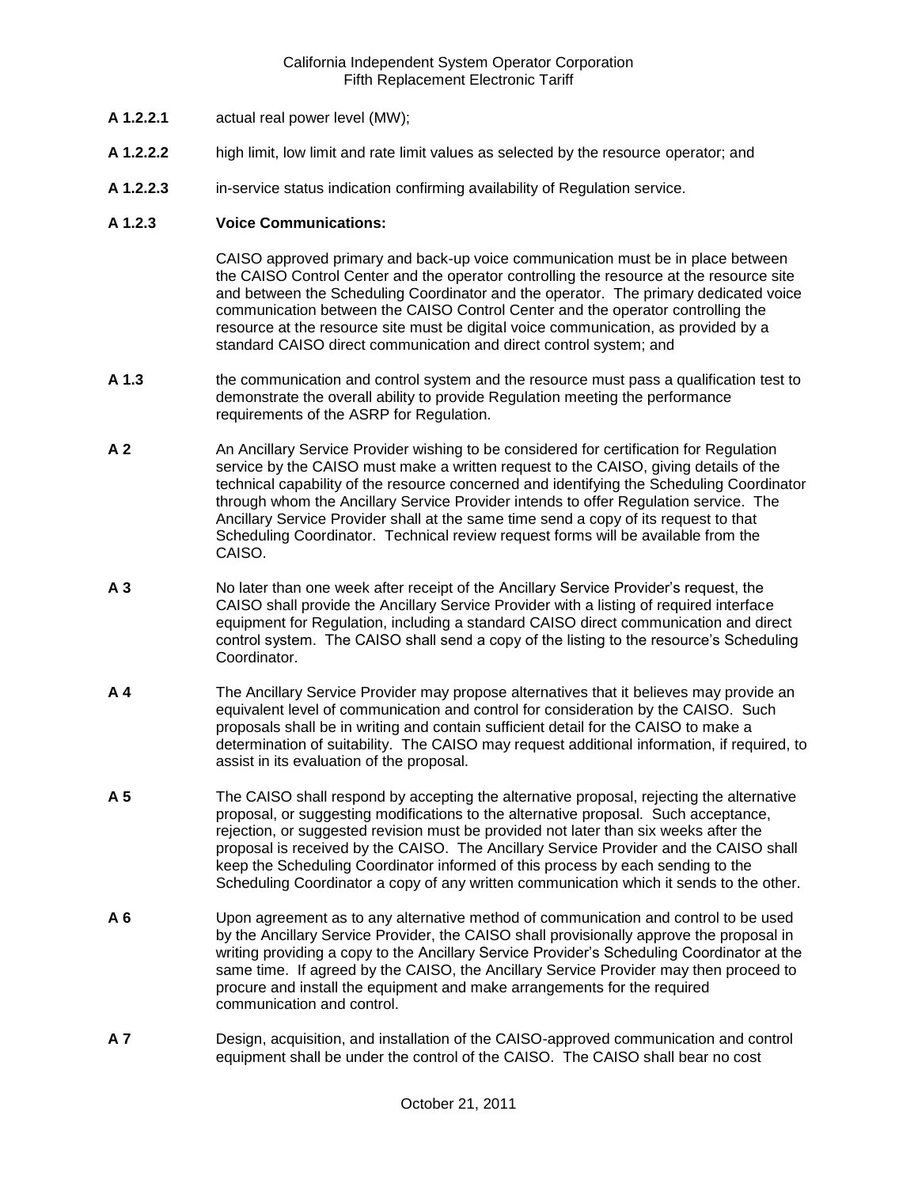- **A 1.2.2.1** actual real power level (MW);
- **A 1.2.2.2** high limit, low limit and rate limit values as selected by the resource operator; and
- **A 1.2.2.3** in-service status indication confirming availability of Regulation service.

#### **A 1.2.3 Voice Communications:**

CAISO approved primary and back-up voice communication must be in place between the CAISO Control Center and the operator controlling the resource at the resource site and between the Scheduling Coordinator and the operator. The primary dedicated voice communication between the CAISO Control Center and the operator controlling the resource at the resource site must be digital voice communication, as provided by a standard CAISO direct communication and direct control system; and

- **A 1.3** the communication and control system and the resource must pass a qualification test to demonstrate the overall ability to provide Regulation meeting the performance requirements of the ASRP for Regulation.
- **A 2** An Ancillary Service Provider wishing to be considered for certification for Regulation service by the CAISO must make a written request to the CAISO, giving details of the technical capability of the resource concerned and identifying the Scheduling Coordinator through whom the Ancillary Service Provider intends to offer Regulation service. The Ancillary Service Provider shall at the same time send a copy of its request to that Scheduling Coordinator. Technical review request forms will be available from the CAISO.
- **A 3** No later than one week after receipt of the Ancillary Service Provider's request, the CAISO shall provide the Ancillary Service Provider with a listing of required interface equipment for Regulation, including a standard CAISO direct communication and direct control system. The CAISO shall send a copy of the listing to the resource's Scheduling Coordinator.
- **A 4** The Ancillary Service Provider may propose alternatives that it believes may provide an equivalent level of communication and control for consideration by the CAISO. Such proposals shall be in writing and contain sufficient detail for the CAISO to make a determination of suitability. The CAISO may request additional information, if required, to assist in its evaluation of the proposal.
- **A 5** The CAISO shall respond by accepting the alternative proposal, rejecting the alternative proposal, or suggesting modifications to the alternative proposal. Such acceptance, rejection, or suggested revision must be provided not later than six weeks after the proposal is received by the CAISO. The Ancillary Service Provider and the CAISO shall keep the Scheduling Coordinator informed of this process by each sending to the Scheduling Coordinator a copy of any written communication which it sends to the other.
- **A 6** Upon agreement as to any alternative method of communication and control to be used by the Ancillary Service Provider, the CAISO shall provisionally approve the proposal in writing providing a copy to the Ancillary Service Provider's Scheduling Coordinator at the same time. If agreed by the CAISO, the Ancillary Service Provider may then proceed to procure and install the equipment and make arrangements for the required communication and control.
- **A 7** Design, acquisition, and installation of the CAISO-approved communication and control equipment shall be under the control of the CAISO. The CAISO shall bear no cost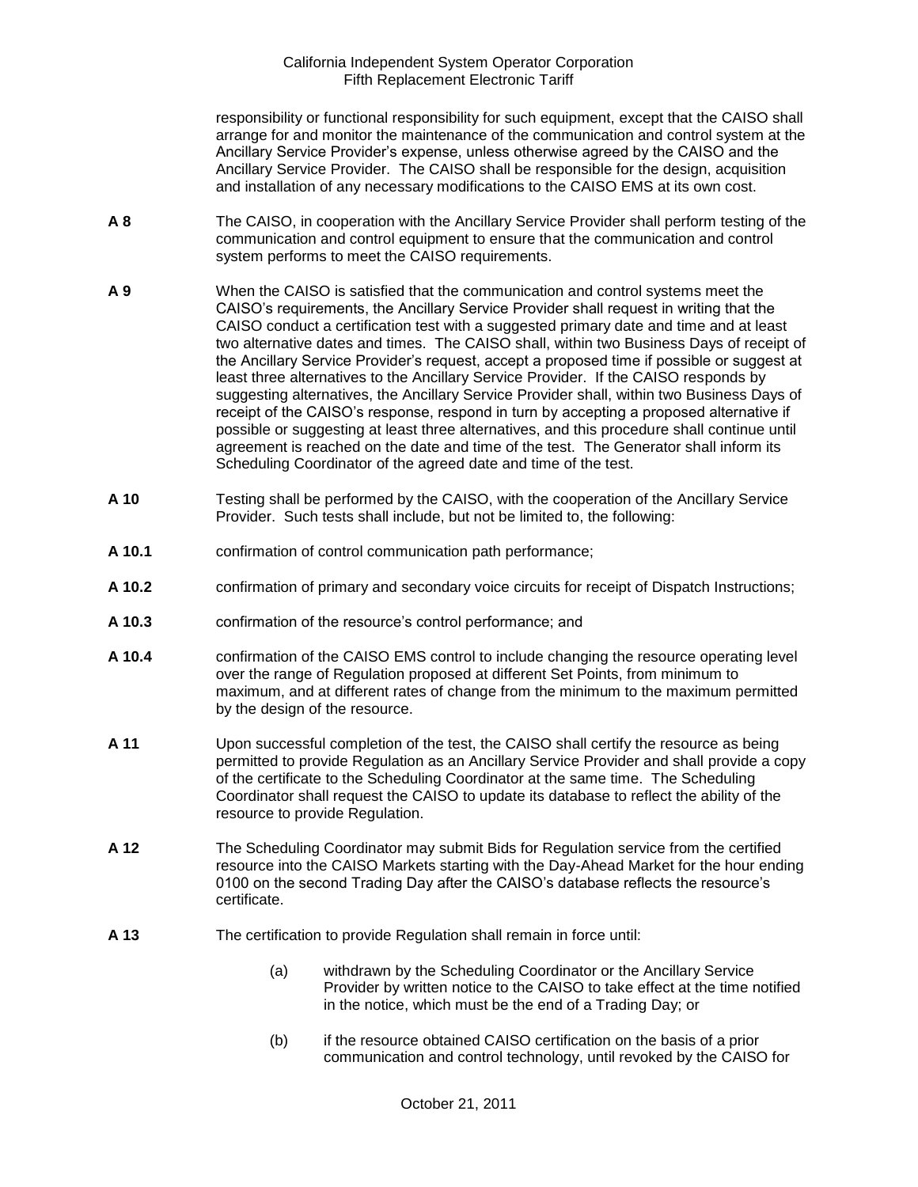responsibility or functional responsibility for such equipment, except that the CAISO shall arrange for and monitor the maintenance of the communication and control system at the Ancillary Service Provider's expense, unless otherwise agreed by the CAISO and the Ancillary Service Provider. The CAISO shall be responsible for the design, acquisition and installation of any necessary modifications to the CAISO EMS at its own cost.

- **A 8** The CAISO, in cooperation with the Ancillary Service Provider shall perform testing of the communication and control equipment to ensure that the communication and control system performs to meet the CAISO requirements.
- **A 9** When the CAISO is satisfied that the communication and control systems meet the CAISO's requirements, the Ancillary Service Provider shall request in writing that the CAISO conduct a certification test with a suggested primary date and time and at least two alternative dates and times. The CAISO shall, within two Business Days of receipt of the Ancillary Service Provider's request, accept a proposed time if possible or suggest at least three alternatives to the Ancillary Service Provider. If the CAISO responds by suggesting alternatives, the Ancillary Service Provider shall, within two Business Days of receipt of the CAISO's response, respond in turn by accepting a proposed alternative if possible or suggesting at least three alternatives, and this procedure shall continue until agreement is reached on the date and time of the test. The Generator shall inform its Scheduling Coordinator of the agreed date and time of the test.
- **A 10** Testing shall be performed by the CAISO, with the cooperation of the Ancillary Service Provider. Such tests shall include, but not be limited to, the following:
- **A 10.1** confirmation of control communication path performance;
- **A 10.2** confirmation of primary and secondary voice circuits for receipt of Dispatch Instructions;
- **A 10.3** confirmation of the resource's control performance; and
- **A 10.4** confirmation of the CAISO EMS control to include changing the resource operating level over the range of Regulation proposed at different Set Points, from minimum to maximum, and at different rates of change from the minimum to the maximum permitted by the design of the resource.
- **A 11** Upon successful completion of the test, the CAISO shall certify the resource as being permitted to provide Regulation as an Ancillary Service Provider and shall provide a copy of the certificate to the Scheduling Coordinator at the same time. The Scheduling Coordinator shall request the CAISO to update its database to reflect the ability of the resource to provide Regulation.
- **A 12** The Scheduling Coordinator may submit Bids for Regulation service from the certified resource into the CAISO Markets starting with the Day-Ahead Market for the hour ending 0100 on the second Trading Day after the CAISO's database reflects the resource's certificate.
- **A 13** The certification to provide Regulation shall remain in force until:
	- (a) withdrawn by the Scheduling Coordinator or the Ancillary Service Provider by written notice to the CAISO to take effect at the time notified in the notice, which must be the end of a Trading Day; or
	- (b) if the resource obtained CAISO certification on the basis of a prior communication and control technology, until revoked by the CAISO for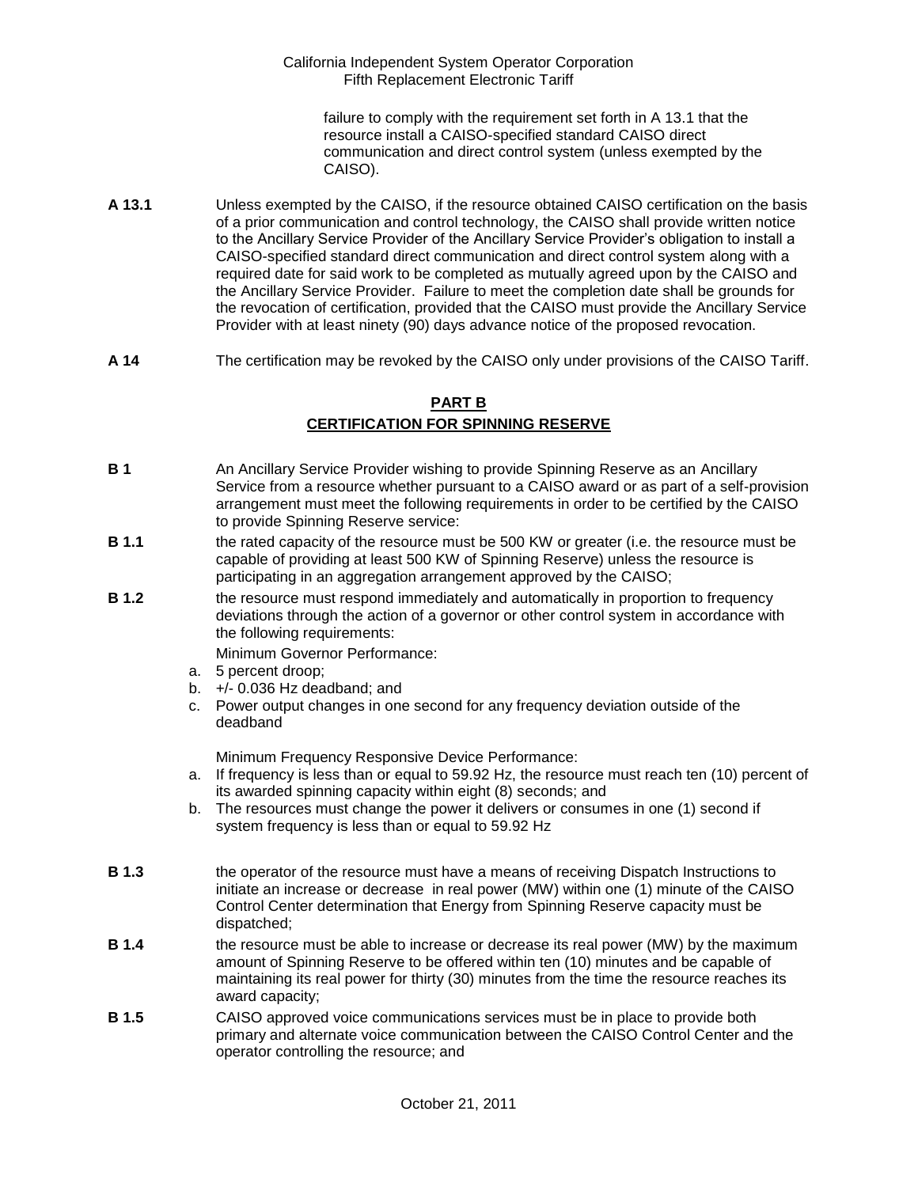failure to comply with the requirement set forth in A 13.1 that the resource install a CAISO-specified standard CAISO direct communication and direct control system (unless exempted by the CAISO).

- **A 13.1** Unless exempted by the CAISO, if the resource obtained CAISO certification on the basis of a prior communication and control technology, the CAISO shall provide written notice to the Ancillary Service Provider of the Ancillary Service Provider's obligation to install a CAISO-specified standard direct communication and direct control system along with a required date for said work to be completed as mutually agreed upon by the CAISO and the Ancillary Service Provider. Failure to meet the completion date shall be grounds for the revocation of certification, provided that the CAISO must provide the Ancillary Service Provider with at least ninety (90) days advance notice of the proposed revocation.
- **A 14** The certification may be revoked by the CAISO only under provisions of the CAISO Tariff.

# **PART B**

# **CERTIFICATION FOR SPINNING RESERVE**

- **B 1** An Ancillary Service Provider wishing to provide Spinning Reserve as an Ancillary Service from a resource whether pursuant to a CAISO award or as part of a self-provision arrangement must meet the following requirements in order to be certified by the CAISO to provide Spinning Reserve service:
- **B 1.1** the rated capacity of the resource must be 500 KW or greater (i.e. the resource must be capable of providing at least 500 KW of Spinning Reserve) unless the resource is participating in an aggregation arrangement approved by the CAISO;
- **B 1.2** the resource must respond immediately and automatically in proportion to frequency deviations through the action of a governor or other control system in accordance with the following requirements:

Minimum Governor Performance:

- a. 5 percent droop;
- b. +/- 0.036 Hz deadband; and
- c. Power output changes in one second for any frequency deviation outside of the deadband

Minimum Frequency Responsive Device Performance:

- a. If frequency is less than or equal to 59.92 Hz, the resource must reach ten (10) percent of its awarded spinning capacity within eight (8) seconds; and
- b. The resources must change the power it delivers or consumes in one (1) second if system frequency is less than or equal to 59.92 Hz
- **B 1.3** the operator of the resource must have a means of receiving Dispatch Instructions to initiate an increase or decrease in real power (MW) within one (1) minute of the CAISO Control Center determination that Energy from Spinning Reserve capacity must be dispatched;
- **B 1.4** the resource must be able to increase or decrease its real power (MW) by the maximum amount of Spinning Reserve to be offered within ten (10) minutes and be capable of maintaining its real power for thirty (30) minutes from the time the resource reaches its award capacity;
- **B 1.5** CAISO approved voice communications services must be in place to provide both primary and alternate voice communication between the CAISO Control Center and the operator controlling the resource; and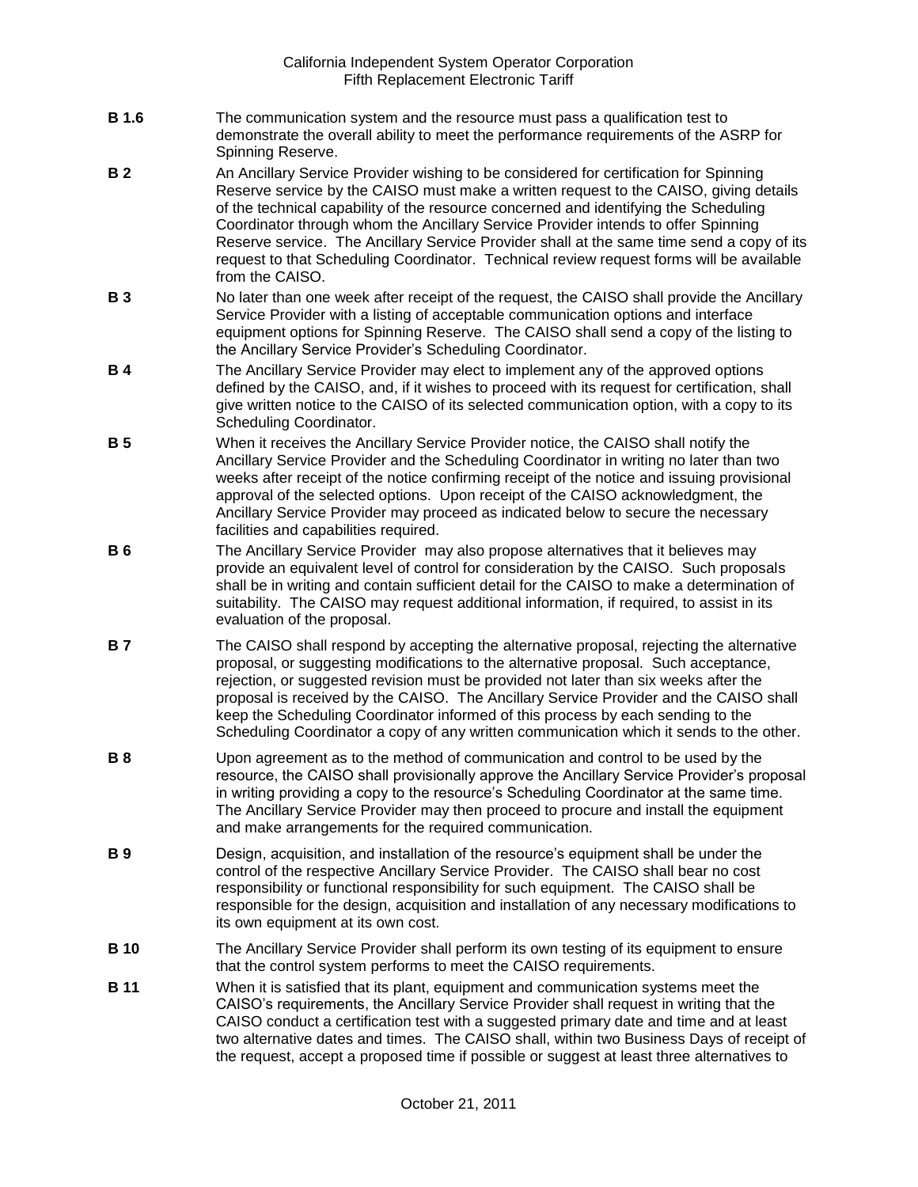- **B 1.6** The communication system and the resource must pass a qualification test to demonstrate the overall ability to meet the performance requirements of the ASRP for Spinning Reserve.
- **B 2** An Ancillary Service Provider wishing to be considered for certification for Spinning Reserve service by the CAISO must make a written request to the CAISO, giving details of the technical capability of the resource concerned and identifying the Scheduling Coordinator through whom the Ancillary Service Provider intends to offer Spinning Reserve service. The Ancillary Service Provider shall at the same time send a copy of its request to that Scheduling Coordinator. Technical review request forms will be available from the CAISO.
- **B 3** No later than one week after receipt of the request, the CAISO shall provide the Ancillary Service Provider with a listing of acceptable communication options and interface equipment options for Spinning Reserve. The CAISO shall send a copy of the listing to the Ancillary Service Provider's Scheduling Coordinator.
- **B 4** The Ancillary Service Provider may elect to implement any of the approved options defined by the CAISO, and, if it wishes to proceed with its request for certification, shall give written notice to the CAISO of its selected communication option, with a copy to its Scheduling Coordinator.
- **B 5** When it receives the Ancillary Service Provider notice, the CAISO shall notify the Ancillary Service Provider and the Scheduling Coordinator in writing no later than two weeks after receipt of the notice confirming receipt of the notice and issuing provisional approval of the selected options. Upon receipt of the CAISO acknowledgment, the Ancillary Service Provider may proceed as indicated below to secure the necessary facilities and capabilities required.
- **B 6** The Ancillary Service Provider may also propose alternatives that it believes may provide an equivalent level of control for consideration by the CAISO. Such proposals shall be in writing and contain sufficient detail for the CAISO to make a determination of suitability. The CAISO may request additional information, if required, to assist in its evaluation of the proposal.
- **B 7** The CAISO shall respond by accepting the alternative proposal, rejecting the alternative proposal, or suggesting modifications to the alternative proposal. Such acceptance, rejection, or suggested revision must be provided not later than six weeks after the proposal is received by the CAISO. The Ancillary Service Provider and the CAISO shall keep the Scheduling Coordinator informed of this process by each sending to the Scheduling Coordinator a copy of any written communication which it sends to the other.
- **B 8** Upon agreement as to the method of communication and control to be used by the resource, the CAISO shall provisionally approve the Ancillary Service Provider's proposal in writing providing a copy to the resource's Scheduling Coordinator at the same time. The Ancillary Service Provider may then proceed to procure and install the equipment and make arrangements for the required communication.
- **B 9** Design, acquisition, and installation of the resource's equipment shall be under the control of the respective Ancillary Service Provider. The CAISO shall bear no cost responsibility or functional responsibility for such equipment. The CAISO shall be responsible for the design, acquisition and installation of any necessary modifications to its own equipment at its own cost.
- **B 10** The Ancillary Service Provider shall perform its own testing of its equipment to ensure that the control system performs to meet the CAISO requirements.
- **B 11** When it is satisfied that its plant, equipment and communication systems meet the CAISO's requirements, the Ancillary Service Provider shall request in writing that the CAISO conduct a certification test with a suggested primary date and time and at least two alternative dates and times. The CAISO shall, within two Business Days of receipt of the request, accept a proposed time if possible or suggest at least three alternatives to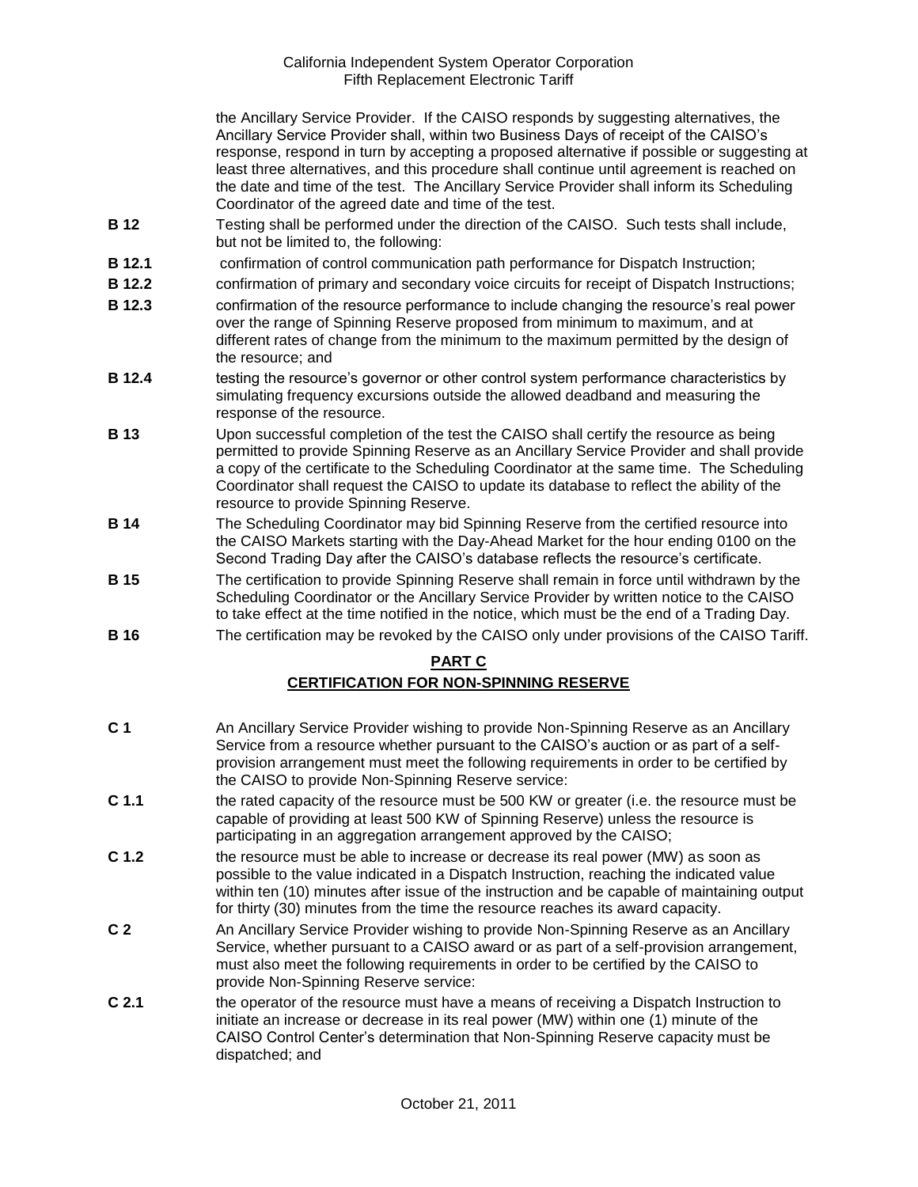the Ancillary Service Provider. If the CAISO responds by suggesting alternatives, the Ancillary Service Provider shall, within two Business Days of receipt of the CAISO's response, respond in turn by accepting a proposed alternative if possible or suggesting at least three alternatives, and this procedure shall continue until agreement is reached on the date and time of the test. The Ancillary Service Provider shall inform its Scheduling Coordinator of the agreed date and time of the test.

- **B 12** Testing shall be performed under the direction of the CAISO. Such tests shall include, but not be limited to, the following:
- **B 12.1** confirmation of control communication path performance for Dispatch Instruction;
- **B 12.2** confirmation of primary and secondary voice circuits for receipt of Dispatch Instructions;
- **B 12.3** confirmation of the resource performance to include changing the resource's real power over the range of Spinning Reserve proposed from minimum to maximum, and at different rates of change from the minimum to the maximum permitted by the design of the resource; and
- **B 12.4** testing the resource's governor or other control system performance characteristics by simulating frequency excursions outside the allowed deadband and measuring the response of the resource.
- **B 13** Upon successful completion of the test the CAISO shall certify the resource as being permitted to provide Spinning Reserve as an Ancillary Service Provider and shall provide a copy of the certificate to the Scheduling Coordinator at the same time. The Scheduling Coordinator shall request the CAISO to update its database to reflect the ability of the resource to provide Spinning Reserve.
- **B 14** The Scheduling Coordinator may bid Spinning Reserve from the certified resource into the CAISO Markets starting with the Day-Ahead Market for the hour ending 0100 on the Second Trading Day after the CAISO's database reflects the resource's certificate.
- **B 15** The certification to provide Spinning Reserve shall remain in force until withdrawn by the Scheduling Coordinator or the Ancillary Service Provider by written notice to the CAISO to take effect at the time notified in the notice, which must be the end of a Trading Day.
- **B 16** The certification may be revoked by the CAISO only under provisions of the CAISO Tariff.

### **PART C**

## **CERTIFICATION FOR NON-SPINNING RESERVE**

- **C 1** An Ancillary Service Provider wishing to provide Non-Spinning Reserve as an Ancillary Service from a resource whether pursuant to the CAISO's auction or as part of a selfprovision arrangement must meet the following requirements in order to be certified by the CAISO to provide Non-Spinning Reserve service:
- **C 1.1** the rated capacity of the resource must be 500 KW or greater (i.e. the resource must be capable of providing at least 500 KW of Spinning Reserve) unless the resource is participating in an aggregation arrangement approved by the CAISO;
- **C 1.2** the resource must be able to increase or decrease its real power (MW) as soon as possible to the value indicated in a Dispatch Instruction, reaching the indicated value within ten (10) minutes after issue of the instruction and be capable of maintaining output for thirty (30) minutes from the time the resource reaches its award capacity.
- **C 2** An Ancillary Service Provider wishing to provide Non-Spinning Reserve as an Ancillary Service, whether pursuant to a CAISO award or as part of a self-provision arrangement, must also meet the following requirements in order to be certified by the CAISO to provide Non-Spinning Reserve service:
- **C 2.1** the operator of the resource must have a means of receiving a Dispatch Instruction to initiate an increase or decrease in its real power (MW) within one (1) minute of the CAISO Control Center's determination that Non-Spinning Reserve capacity must be dispatched; and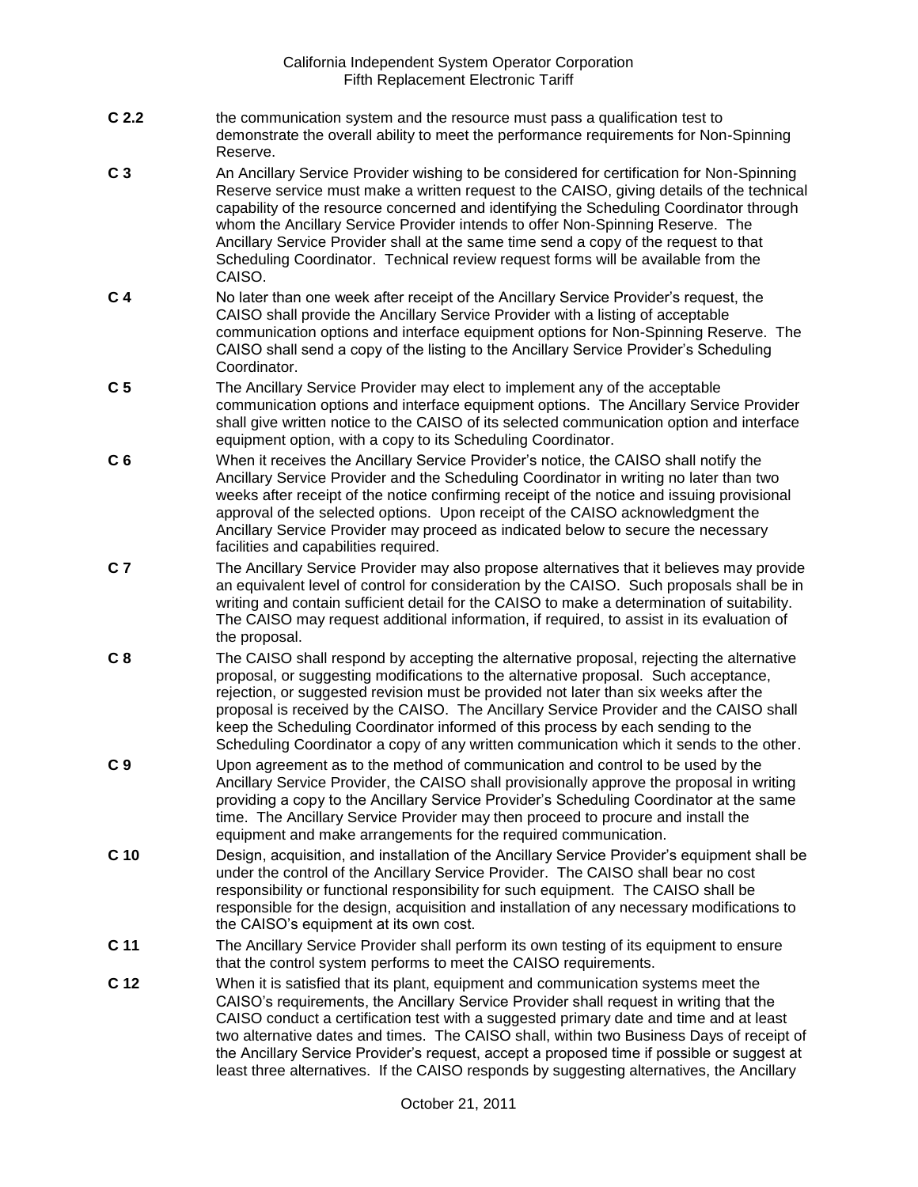- **C 2.2** the communication system and the resource must pass a qualification test to demonstrate the overall ability to meet the performance requirements for Non-Spinning Reserve.
- **C 3** An Ancillary Service Provider wishing to be considered for certification for Non-Spinning Reserve service must make a written request to the CAISO, giving details of the technical capability of the resource concerned and identifying the Scheduling Coordinator through whom the Ancillary Service Provider intends to offer Non-Spinning Reserve. The Ancillary Service Provider shall at the same time send a copy of the request to that Scheduling Coordinator. Technical review request forms will be available from the CAISO.
- **C 4** No later than one week after receipt of the Ancillary Service Provider's request, the CAISO shall provide the Ancillary Service Provider with a listing of acceptable communication options and interface equipment options for Non-Spinning Reserve. The CAISO shall send a copy of the listing to the Ancillary Service Provider's Scheduling Coordinator.
- **C 5** The Ancillary Service Provider may elect to implement any of the acceptable communication options and interface equipment options. The Ancillary Service Provider shall give written notice to the CAISO of its selected communication option and interface equipment option, with a copy to its Scheduling Coordinator.
- **C 6** When it receives the Ancillary Service Provider's notice, the CAISO shall notify the Ancillary Service Provider and the Scheduling Coordinator in writing no later than two weeks after receipt of the notice confirming receipt of the notice and issuing provisional approval of the selected options. Upon receipt of the CAISO acknowledgment the Ancillary Service Provider may proceed as indicated below to secure the necessary facilities and capabilities required.
- **C 7** The Ancillary Service Provider may also propose alternatives that it believes may provide an equivalent level of control for consideration by the CAISO. Such proposals shall be in writing and contain sufficient detail for the CAISO to make a determination of suitability. The CAISO may request additional information, if required, to assist in its evaluation of the proposal.
- **C 8** The CAISO shall respond by accepting the alternative proposal, rejecting the alternative proposal, or suggesting modifications to the alternative proposal. Such acceptance, rejection, or suggested revision must be provided not later than six weeks after the proposal is received by the CAISO. The Ancillary Service Provider and the CAISO shall keep the Scheduling Coordinator informed of this process by each sending to the Scheduling Coordinator a copy of any written communication which it sends to the other.
- **C 9** Upon agreement as to the method of communication and control to be used by the Ancillary Service Provider, the CAISO shall provisionally approve the proposal in writing providing a copy to the Ancillary Service Provider's Scheduling Coordinator at the same time. The Ancillary Service Provider may then proceed to procure and install the equipment and make arrangements for the required communication.
- **C 10** Design, acquisition, and installation of the Ancillary Service Provider's equipment shall be under the control of the Ancillary Service Provider. The CAISO shall bear no cost responsibility or functional responsibility for such equipment. The CAISO shall be responsible for the design, acquisition and installation of any necessary modifications to the CAISO's equipment at its own cost.
- **C 11** The Ancillary Service Provider shall perform its own testing of its equipment to ensure that the control system performs to meet the CAISO requirements.
- **C 12** When it is satisfied that its plant, equipment and communication systems meet the CAISO's requirements, the Ancillary Service Provider shall request in writing that the CAISO conduct a certification test with a suggested primary date and time and at least two alternative dates and times. The CAISO shall, within two Business Days of receipt of the Ancillary Service Provider's request, accept a proposed time if possible or suggest at least three alternatives. If the CAISO responds by suggesting alternatives, the Ancillary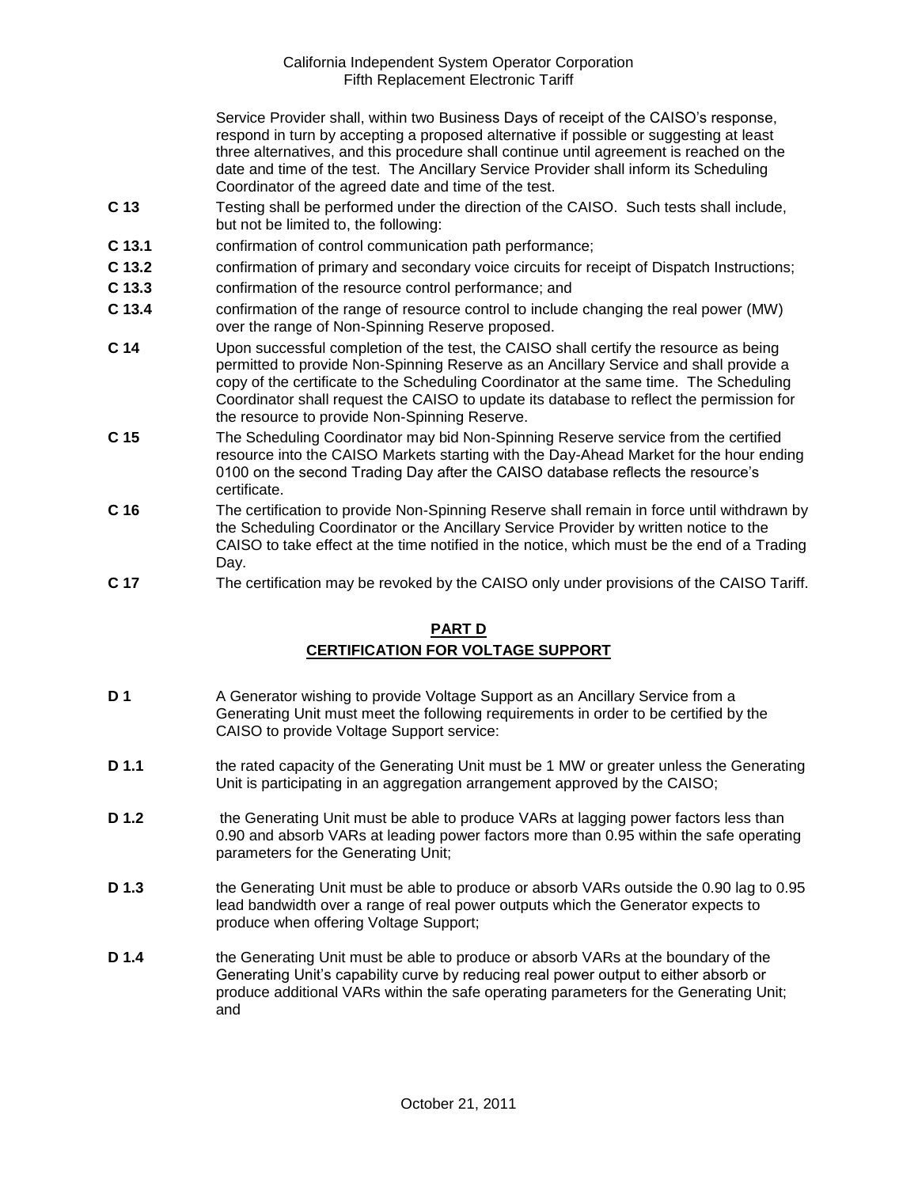Service Provider shall, within two Business Days of receipt of the CAISO's response, respond in turn by accepting a proposed alternative if possible or suggesting at least three alternatives, and this procedure shall continue until agreement is reached on the date and time of the test. The Ancillary Service Provider shall inform its Scheduling Coordinator of the agreed date and time of the test.

- **C 13** Testing shall be performed under the direction of the CAISO. Such tests shall include, but not be limited to, the following:
- **C 13.1** confirmation of control communication path performance;
- **C 13.2** confirmation of primary and secondary voice circuits for receipt of Dispatch Instructions;
- **C 13.3** confirmation of the resource control performance; and
- **C 13.4** confirmation of the range of resource control to include changing the real power (MW) over the range of Non-Spinning Reserve proposed.
- **C 14** Upon successful completion of the test, the CAISO shall certify the resource as being permitted to provide Non-Spinning Reserve as an Ancillary Service and shall provide a copy of the certificate to the Scheduling Coordinator at the same time. The Scheduling Coordinator shall request the CAISO to update its database to reflect the permission for the resource to provide Non-Spinning Reserve.
- **C 15** The Scheduling Coordinator may bid Non-Spinning Reserve service from the certified resource into the CAISO Markets starting with the Day-Ahead Market for the hour ending 0100 on the second Trading Day after the CAISO database reflects the resource's certificate.
- **C 16** The certification to provide Non-Spinning Reserve shall remain in force until withdrawn by the Scheduling Coordinator or the Ancillary Service Provider by written notice to the CAISO to take effect at the time notified in the notice, which must be the end of a Trading Day.
- **C 17** The certification may be revoked by the CAISO only under provisions of the CAISO Tariff.

## **PART D CERTIFICATION FOR VOLTAGE SUPPORT**

- **D 1** A Generator wishing to provide Voltage Support as an Ancillary Service from a Generating Unit must meet the following requirements in order to be certified by the CAISO to provide Voltage Support service:
- **D 1.1** the rated capacity of the Generating Unit must be 1 MW or greater unless the Generating Unit is participating in an aggregation arrangement approved by the CAISO;
- **D 1.2** the Generating Unit must be able to produce VARs at lagging power factors less than 0.90 and absorb VARs at leading power factors more than 0.95 within the safe operating parameters for the Generating Unit;
- **D 1.3** the Generating Unit must be able to produce or absorb VARs outside the 0.90 lag to 0.95 lead bandwidth over a range of real power outputs which the Generator expects to produce when offering Voltage Support;
- **D 1.4** the Generating Unit must be able to produce or absorb VARs at the boundary of the Generating Unit's capability curve by reducing real power output to either absorb or produce additional VARs within the safe operating parameters for the Generating Unit; and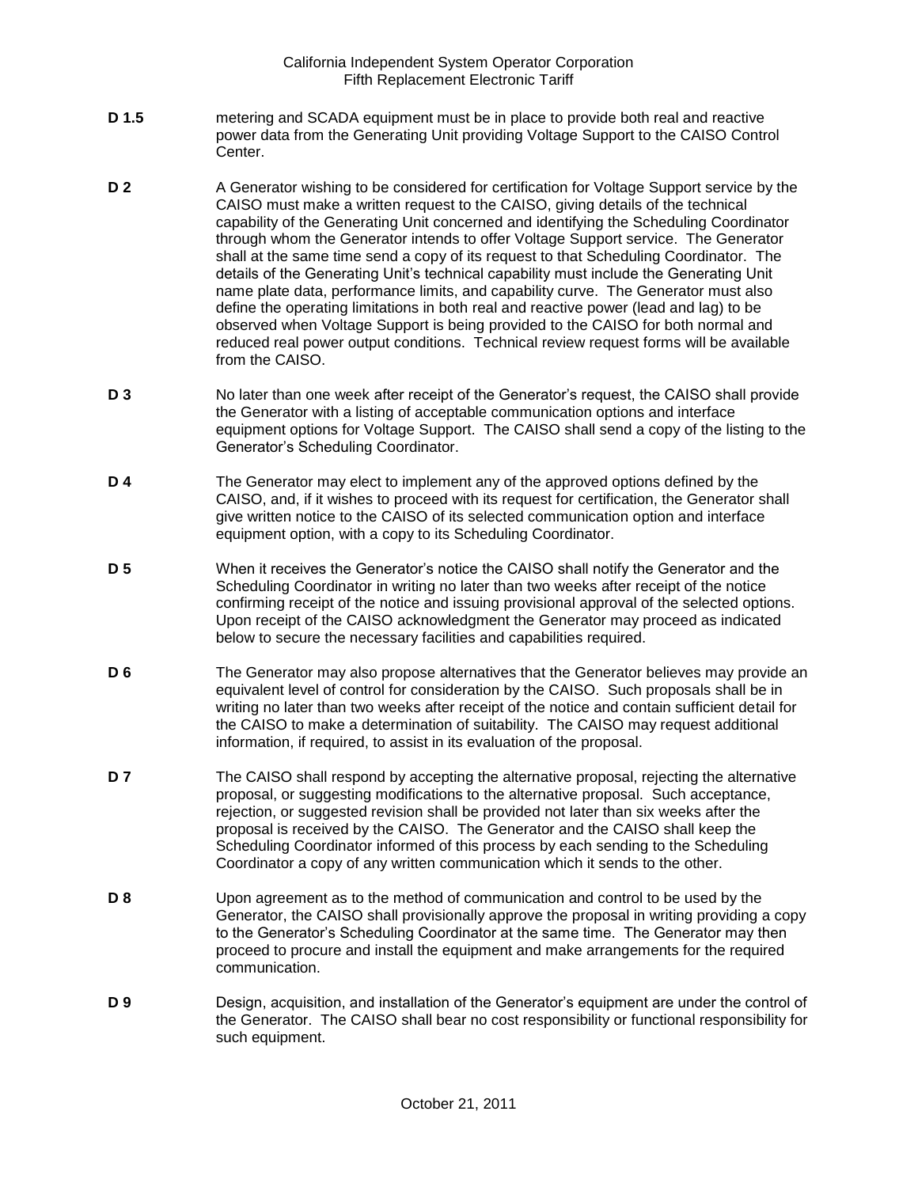- **D 1.5** metering and SCADA equipment must be in place to provide both real and reactive power data from the Generating Unit providing Voltage Support to the CAISO Control Center.
- **D 2** A Generator wishing to be considered for certification for Voltage Support service by the CAISO must make a written request to the CAISO, giving details of the technical capability of the Generating Unit concerned and identifying the Scheduling Coordinator through whom the Generator intends to offer Voltage Support service. The Generator shall at the same time send a copy of its request to that Scheduling Coordinator. The details of the Generating Unit's technical capability must include the Generating Unit name plate data, performance limits, and capability curve. The Generator must also define the operating limitations in both real and reactive power (lead and lag) to be observed when Voltage Support is being provided to the CAISO for both normal and reduced real power output conditions. Technical review request forms will be available from the CAISO.
- **D 3** No later than one week after receipt of the Generator's request, the CAISO shall provide the Generator with a listing of acceptable communication options and interface equipment options for Voltage Support. The CAISO shall send a copy of the listing to the Generator's Scheduling Coordinator.
- **D 4** The Generator may elect to implement any of the approved options defined by the CAISO, and, if it wishes to proceed with its request for certification, the Generator shall give written notice to the CAISO of its selected communication option and interface equipment option, with a copy to its Scheduling Coordinator.
- **D 5** When it receives the Generator's notice the CAISO shall notify the Generator and the Scheduling Coordinator in writing no later than two weeks after receipt of the notice confirming receipt of the notice and issuing provisional approval of the selected options. Upon receipt of the CAISO acknowledgment the Generator may proceed as indicated below to secure the necessary facilities and capabilities required.
- **D 6** The Generator may also propose alternatives that the Generator believes may provide an equivalent level of control for consideration by the CAISO. Such proposals shall be in writing no later than two weeks after receipt of the notice and contain sufficient detail for the CAISO to make a determination of suitability. The CAISO may request additional information, if required, to assist in its evaluation of the proposal.
- **D 7** The CAISO shall respond by accepting the alternative proposal, rejecting the alternative proposal, or suggesting modifications to the alternative proposal. Such acceptance, rejection, or suggested revision shall be provided not later than six weeks after the proposal is received by the CAISO. The Generator and the CAISO shall keep the Scheduling Coordinator informed of this process by each sending to the Scheduling Coordinator a copy of any written communication which it sends to the other.
- **D 8** Upon agreement as to the method of communication and control to be used by the Generator, the CAISO shall provisionally approve the proposal in writing providing a copy to the Generator's Scheduling Coordinator at the same time. The Generator may then proceed to procure and install the equipment and make arrangements for the required communication.
- **D 9** Design, acquisition, and installation of the Generator's equipment are under the control of the Generator. The CAISO shall bear no cost responsibility or functional responsibility for such equipment.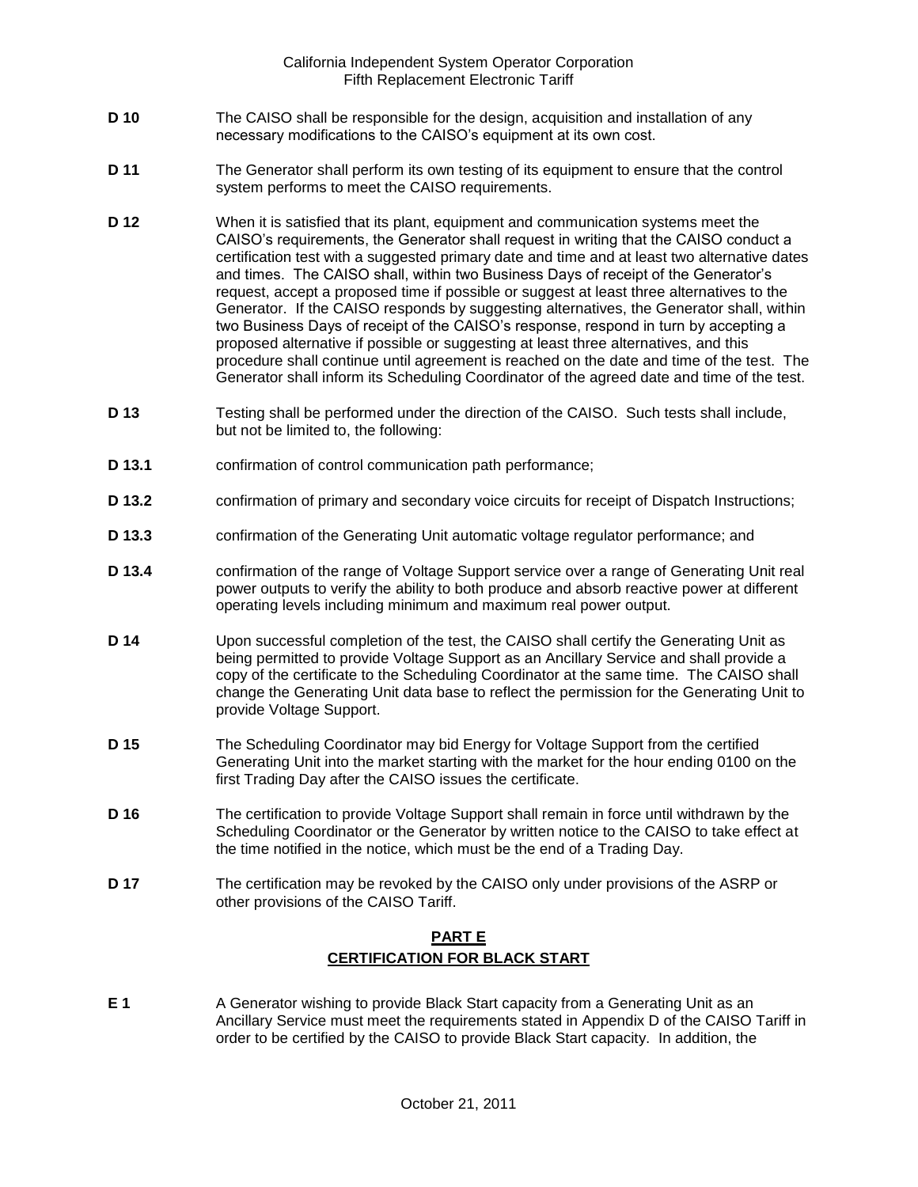- **D 10** The CAISO shall be responsible for the design, acquisition and installation of any necessary modifications to the CAISO's equipment at its own cost.
- **D 11** The Generator shall perform its own testing of its equipment to ensure that the control system performs to meet the CAISO requirements.
- **D 12** When it is satisfied that its plant, equipment and communication systems meet the CAISO's requirements, the Generator shall request in writing that the CAISO conduct a certification test with a suggested primary date and time and at least two alternative dates and times. The CAISO shall, within two Business Days of receipt of the Generator's request, accept a proposed time if possible or suggest at least three alternatives to the Generator. If the CAISO responds by suggesting alternatives, the Generator shall, within two Business Days of receipt of the CAISO's response, respond in turn by accepting a proposed alternative if possible or suggesting at least three alternatives, and this procedure shall continue until agreement is reached on the date and time of the test. The Generator shall inform its Scheduling Coordinator of the agreed date and time of the test.
- **D 13** Testing shall be performed under the direction of the CAISO. Such tests shall include, but not be limited to, the following:
- **D 13.1** confirmation of control communication path performance;
- **D 13.2** confirmation of primary and secondary voice circuits for receipt of Dispatch Instructions;
- **D 13.3** confirmation of the Generating Unit automatic voltage regulator performance; and
- **D 13.4** confirmation of the range of Voltage Support service over a range of Generating Unit real power outputs to verify the ability to both produce and absorb reactive power at different operating levels including minimum and maximum real power output.
- **D 14** Upon successful completion of the test, the CAISO shall certify the Generating Unit as being permitted to provide Voltage Support as an Ancillary Service and shall provide a copy of the certificate to the Scheduling Coordinator at the same time. The CAISO shall change the Generating Unit data base to reflect the permission for the Generating Unit to provide Voltage Support.
- **D 15** The Scheduling Coordinator may bid Energy for Voltage Support from the certified Generating Unit into the market starting with the market for the hour ending 0100 on the first Trading Day after the CAISO issues the certificate.
- **D 16** The certification to provide Voltage Support shall remain in force until withdrawn by the Scheduling Coordinator or the Generator by written notice to the CAISO to take effect at the time notified in the notice, which must be the end of a Trading Day.
- **D 17** The certification may be revoked by the CAISO only under provisions of the ASRP or other provisions of the CAISO Tariff.

## **PART E CERTIFICATION FOR BLACK START**

**E 1** A Generator wishing to provide Black Start capacity from a Generating Unit as an Ancillary Service must meet the requirements stated in Appendix D of the CAISO Tariff in order to be certified by the CAISO to provide Black Start capacity. In addition, the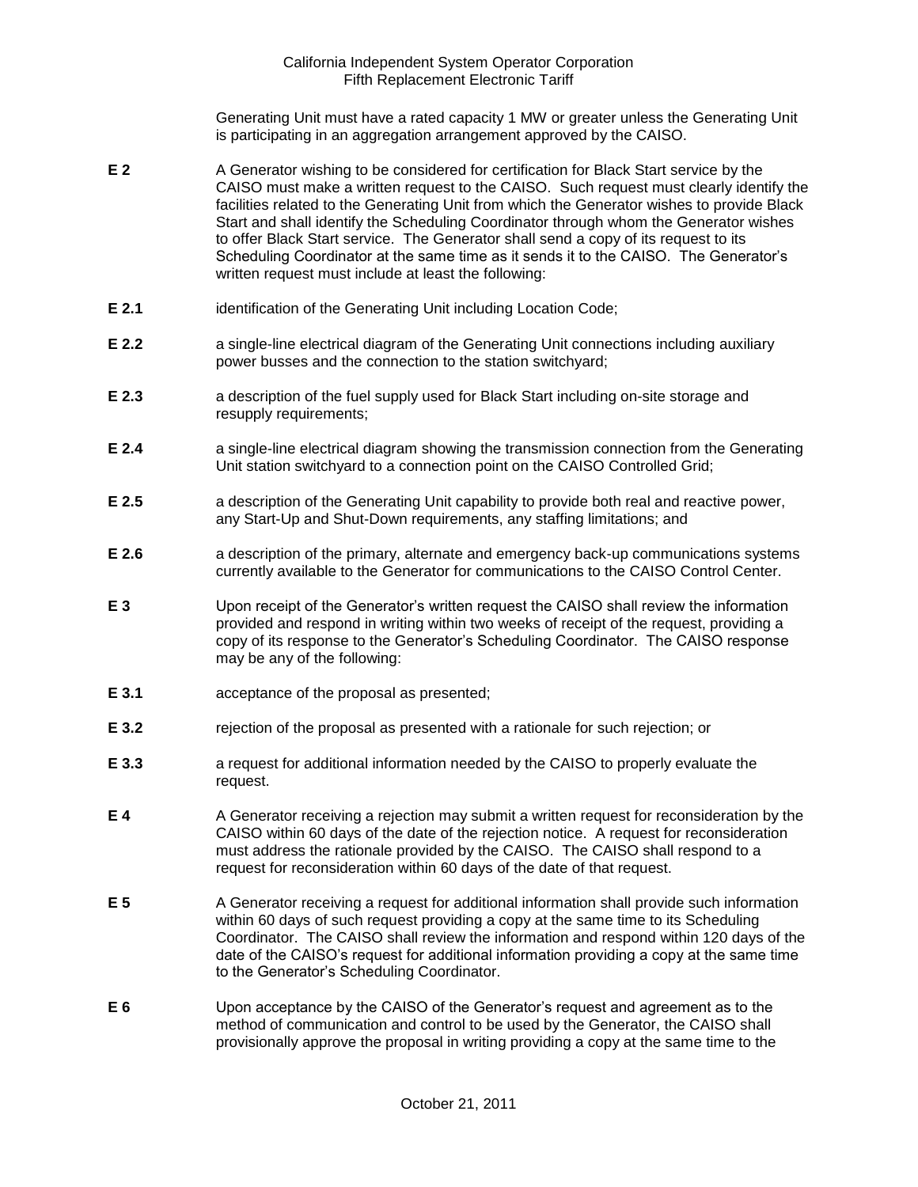Generating Unit must have a rated capacity 1 MW or greater unless the Generating Unit is participating in an aggregation arrangement approved by the CAISO.

- **E 2** A Generator wishing to be considered for certification for Black Start service by the CAISO must make a written request to the CAISO. Such request must clearly identify the facilities related to the Generating Unit from which the Generator wishes to provide Black Start and shall identify the Scheduling Coordinator through whom the Generator wishes to offer Black Start service. The Generator shall send a copy of its request to its Scheduling Coordinator at the same time as it sends it to the CAISO. The Generator's written request must include at least the following:
- **E 2.1** identification of the Generating Unit including Location Code;
- **E 2.2 a** single-line electrical diagram of the Generating Unit connections including auxiliary power busses and the connection to the station switchyard;
- **E 2.3** a description of the fuel supply used for Black Start including on-site storage and resupply requirements;
- **E 2.4** a single-line electrical diagram showing the transmission connection from the Generating Unit station switchyard to a connection point on the CAISO Controlled Grid;
- **E 2.5** a description of the Generating Unit capability to provide both real and reactive power, any Start-Up and Shut-Down requirements, any staffing limitations; and
- **E 2.6** a description of the primary, alternate and emergency back-up communications systems currently available to the Generator for communications to the CAISO Control Center.
- **E 3** Upon receipt of the Generator's written request the CAISO shall review the information provided and respond in writing within two weeks of receipt of the request, providing a copy of its response to the Generator's Scheduling Coordinator. The CAISO response may be any of the following:
- **E 3.1** acceptance of the proposal as presented;
- **E 3.2** rejection of the proposal as presented with a rationale for such rejection; or
- **E 3.3** a request for additional information needed by the CAISO to properly evaluate the request.
- **E 4** A Generator receiving a rejection may submit a written request for reconsideration by the CAISO within 60 days of the date of the rejection notice. A request for reconsideration must address the rationale provided by the CAISO. The CAISO shall respond to a request for reconsideration within 60 days of the date of that request.
- **E 5** A Generator receiving a request for additional information shall provide such information within 60 days of such request providing a copy at the same time to its Scheduling Coordinator. The CAISO shall review the information and respond within 120 days of the date of the CAISO's request for additional information providing a copy at the same time to the Generator's Scheduling Coordinator.
- **E 6** Upon acceptance by the CAISO of the Generator's request and agreement as to the method of communication and control to be used by the Generator, the CAISO shall provisionally approve the proposal in writing providing a copy at the same time to the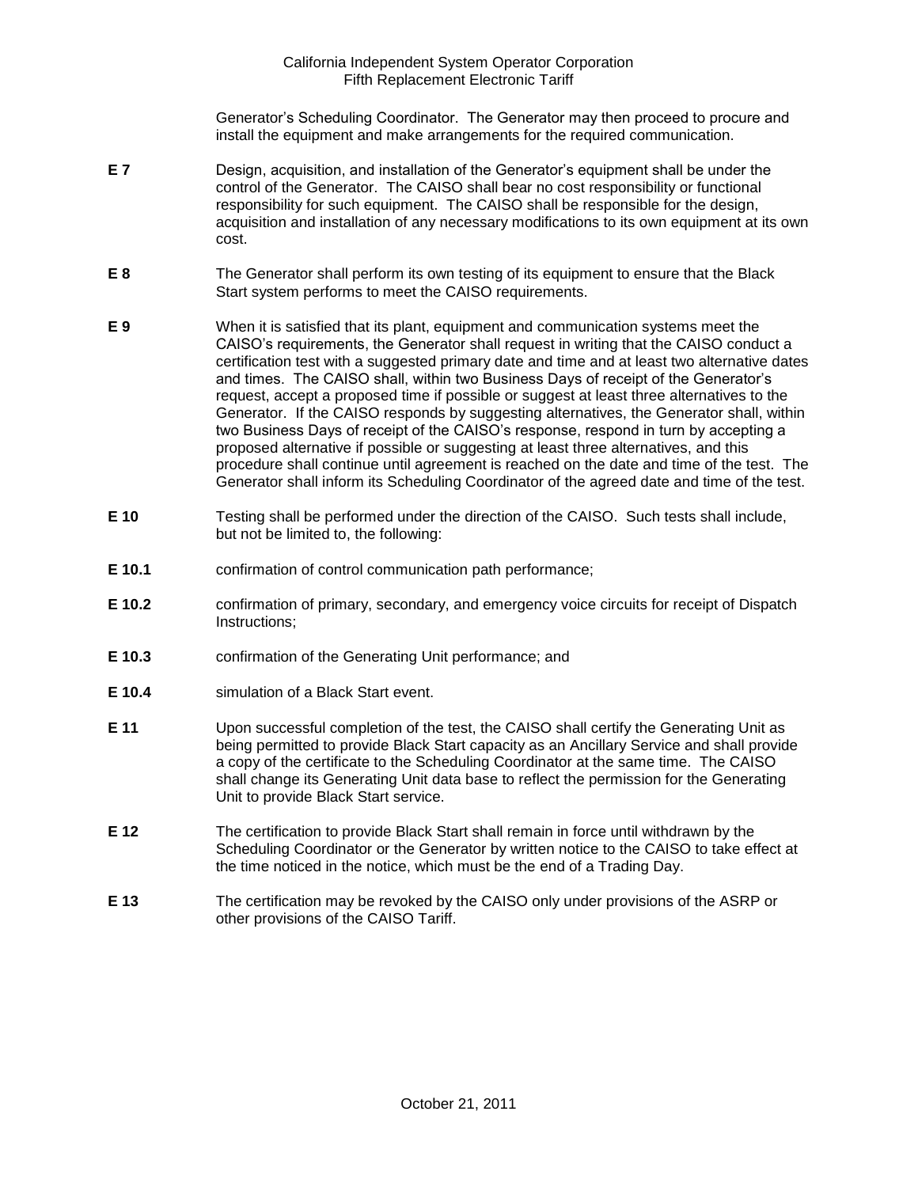Generator's Scheduling Coordinator. The Generator may then proceed to procure and install the equipment and make arrangements for the required communication.

- **E 7** Design, acquisition, and installation of the Generator's equipment shall be under the control of the Generator. The CAISO shall bear no cost responsibility or functional responsibility for such equipment. The CAISO shall be responsible for the design, acquisition and installation of any necessary modifications to its own equipment at its own cost.
- **E 8** The Generator shall perform its own testing of its equipment to ensure that the Black Start system performs to meet the CAISO requirements.
- **E 9** When it is satisfied that its plant, equipment and communication systems meet the CAISO's requirements, the Generator shall request in writing that the CAISO conduct a certification test with a suggested primary date and time and at least two alternative dates and times. The CAISO shall, within two Business Days of receipt of the Generator's request, accept a proposed time if possible or suggest at least three alternatives to the Generator. If the CAISO responds by suggesting alternatives, the Generator shall, within two Business Days of receipt of the CAISO's response, respond in turn by accepting a proposed alternative if possible or suggesting at least three alternatives, and this procedure shall continue until agreement is reached on the date and time of the test. The Generator shall inform its Scheduling Coordinator of the agreed date and time of the test.
- **E 10** Testing shall be performed under the direction of the CAISO. Such tests shall include, but not be limited to, the following:
- **E 10.1** confirmation of control communication path performance;
- **E 10.2** confirmation of primary, secondary, and emergency voice circuits for receipt of Dispatch Instructions;
- **E 10.3** confirmation of the Generating Unit performance; and
- **E 10.4** simulation of a Black Start event.
- **E 11** Upon successful completion of the test, the CAISO shall certify the Generating Unit as being permitted to provide Black Start capacity as an Ancillary Service and shall provide a copy of the certificate to the Scheduling Coordinator at the same time. The CAISO shall change its Generating Unit data base to reflect the permission for the Generating Unit to provide Black Start service.
- **E 12** The certification to provide Black Start shall remain in force until withdrawn by the Scheduling Coordinator or the Generator by written notice to the CAISO to take effect at the time noticed in the notice, which must be the end of a Trading Day.
- **E 13** The certification may be revoked by the CAISO only under provisions of the ASRP or other provisions of the CAISO Tariff.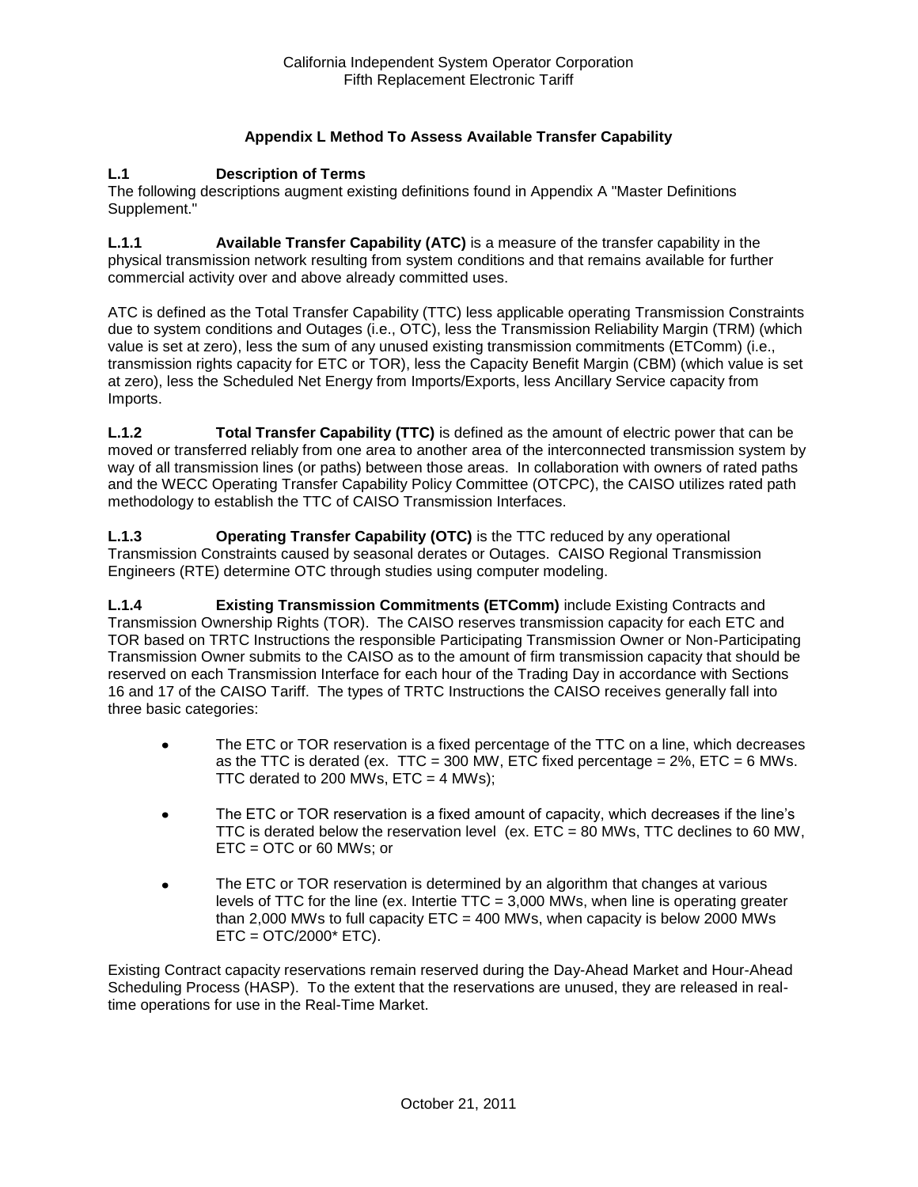## **Appendix L Method To Assess Available Transfer Capability**

#### **L.1 Description of Terms**

The following descriptions augment existing definitions found in Appendix A "Master Definitions Supplement."

**L.1.1 Available Transfer Capability (ATC)** is a measure of the transfer capability in the physical transmission network resulting from system conditions and that remains available for further commercial activity over and above already committed uses.

ATC is defined as the Total Transfer Capability (TTC) less applicable operating Transmission Constraints due to system conditions and Outages (i.e., OTC), less the Transmission Reliability Margin (TRM) (which value is set at zero), less the sum of any unused existing transmission commitments (ETComm) (i.e., transmission rights capacity for ETC or TOR), less the Capacity Benefit Margin (CBM) (which value is set at zero), less the Scheduled Net Energy from Imports/Exports, less Ancillary Service capacity from Imports.

**L.1.2 Total Transfer Capability (TTC)** is defined as the amount of electric power that can be moved or transferred reliably from one area to another area of the interconnected transmission system by way of all transmission lines (or paths) between those areas. In collaboration with owners of rated paths and the WECC Operating Transfer Capability Policy Committee (OTCPC), the CAISO utilizes rated path methodology to establish the TTC of CAISO Transmission Interfaces.

**L.1.3 Operating Transfer Capability (OTC)** is the TTC reduced by any operational Transmission Constraints caused by seasonal derates or Outages. CAISO Regional Transmission Engineers (RTE) determine OTC through studies using computer modeling.

**L.1.4 Existing Transmission Commitments (ETComm)** include Existing Contracts and Transmission Ownership Rights (TOR). The CAISO reserves transmission capacity for each ETC and TOR based on TRTC Instructions the responsible Participating Transmission Owner or Non-Participating Transmission Owner submits to the CAISO as to the amount of firm transmission capacity that should be reserved on each Transmission Interface for each hour of the Trading Day in accordance with Sections 16 and 17 of the CAISO Tariff. The types of TRTC Instructions the CAISO receives generally fall into three basic categories:

- The ETC or TOR reservation is a fixed percentage of the TTC on a line, which decreases  $\bullet$ as the TTC is derated (ex. TTC = 300 MW, ETC fixed percentage =  $2\%$ , ETC = 6 MWs. TTC derated to 200 MWs,  $ETC = 4$  MWs);
- The ETC or TOR reservation is a fixed amount of capacity, which decreases if the line's  $\bullet$ TTC is derated below the reservation level (ex. ETC = 80 MWs, TTC declines to 60 MW, ETC = OTC or 60 MWs; or
- The ETC or TOR reservation is determined by an algorithm that changes at various  $\bullet$ levels of TTC for the line (ex. Intertie TTC = 3,000 MWs, when line is operating greater than 2,000 MWs to full capacity  $ETC = 400$  MWs, when capacity is below 2000 MWs  $ETC = OTC/2000* ETC$ ).

Existing Contract capacity reservations remain reserved during the Day-Ahead Market and Hour-Ahead Scheduling Process (HASP). To the extent that the reservations are unused, they are released in realtime operations for use in the Real-Time Market.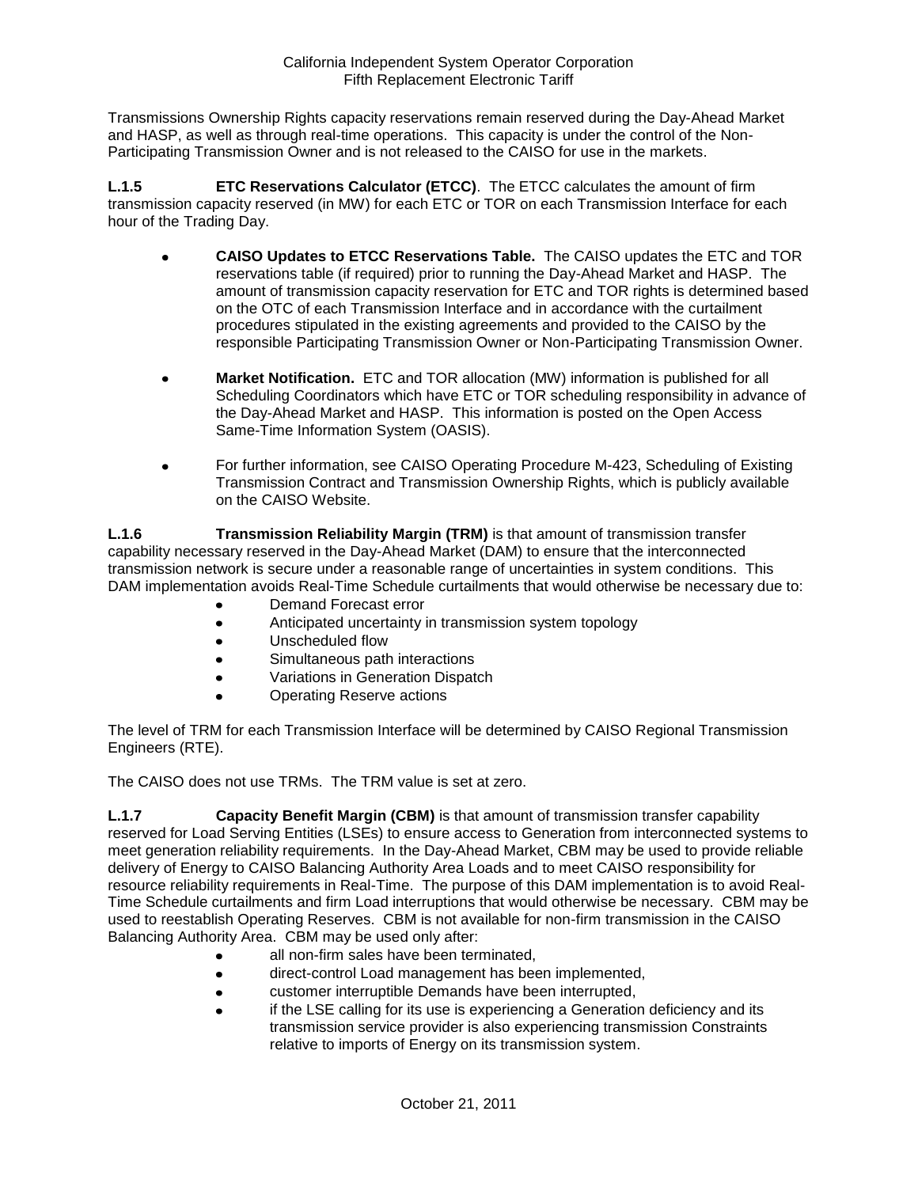Transmissions Ownership Rights capacity reservations remain reserved during the Day-Ahead Market and HASP, as well as through real-time operations. This capacity is under the control of the Non-Participating Transmission Owner and is not released to the CAISO for use in the markets.

**L.1.5 ETC Reservations Calculator (ETCC)**. The ETCC calculates the amount of firm transmission capacity reserved (in MW) for each ETC or TOR on each Transmission Interface for each hour of the Trading Day.

- **CAISO Updates to ETCC Reservations Table.** The CAISO updates the ETC and TOR  $\bullet$ reservations table (if required) prior to running the Day-Ahead Market and HASP. The amount of transmission capacity reservation for ETC and TOR rights is determined based on the OTC of each Transmission Interface and in accordance with the curtailment procedures stipulated in the existing agreements and provided to the CAISO by the responsible Participating Transmission Owner or Non-Participating Transmission Owner.
- **Market Notification.** ETC and TOR allocation (MW) information is published for all Scheduling Coordinators which have ETC or TOR scheduling responsibility in advance of the Day-Ahead Market and HASP. This information is posted on the Open Access Same-Time Information System (OASIS).
- For further information, see CAISO Operating Procedure M-423, Scheduling of Existing  $\bullet$ Transmission Contract and Transmission Ownership Rights, which is publicly available on the CAISO Website.

**L.1.6 Transmission Reliability Margin (TRM)** is that amount of transmission transfer capability necessary reserved in the Day-Ahead Market (DAM) to ensure that the interconnected transmission network is secure under a reasonable range of uncertainties in system conditions. This DAM implementation avoids Real-Time Schedule curtailments that would otherwise be necessary due to:

- Demand Forecast error
- Anticipated uncertainty in transmission system topology
- $\bullet$ Unscheduled flow
- Simultaneous path interactions  $\bullet$
- Variations in Generation Dispatch  $\bullet$
- Operating Reserve actions

The level of TRM for each Transmission Interface will be determined by CAISO Regional Transmission Engineers (RTE).

The CAISO does not use TRMs. The TRM value is set at zero.

**L.1.7 Capacity Benefit Margin (CBM)** is that amount of transmission transfer capability reserved for Load Serving Entities (LSEs) to ensure access to Generation from interconnected systems to meet generation reliability requirements. In the Day-Ahead Market, CBM may be used to provide reliable delivery of Energy to CAISO Balancing Authority Area Loads and to meet CAISO responsibility for resource reliability requirements in Real-Time. The purpose of this DAM implementation is to avoid Real-Time Schedule curtailments and firm Load interruptions that would otherwise be necessary. CBM may be used to reestablish Operating Reserves. CBM is not available for non-firm transmission in the CAISO Balancing Authority Area. CBM may be used only after:

- all non-firm sales have been terminated,
- direct-control Load management has been implemented,
- customer interruptible Demands have been interrupted,  $\bullet$
- if the LSE calling for its use is experiencing a Generation deficiency and its transmission service provider is also experiencing transmission Constraints relative to imports of Energy on its transmission system.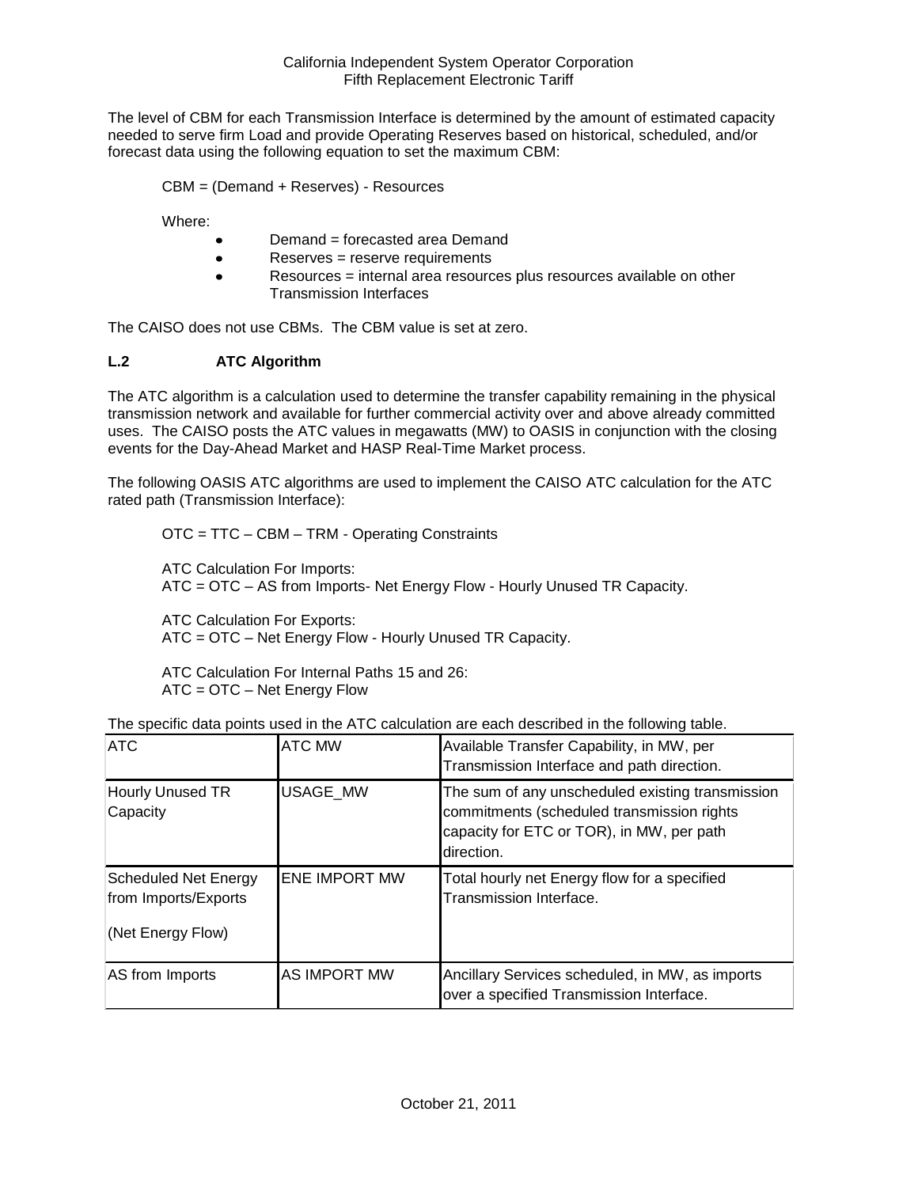The level of CBM for each Transmission Interface is determined by the amount of estimated capacity needed to serve firm Load and provide Operating Reserves based on historical, scheduled, and/or forecast data using the following equation to set the maximum CBM:

CBM = (Demand + Reserves) - Resources

Where:

- Demand = forecasted area Demand  $\bullet$
- Reserves = reserve requirements  $\bullet$
- Resources = internal area resources plus resources available on other  $\bullet$ Transmission Interfaces

The CAISO does not use CBMs. The CBM value is set at zero.

## **L.2 ATC Algorithm**

The ATC algorithm is a calculation used to determine the transfer capability remaining in the physical transmission network and available for further commercial activity over and above already committed uses. The CAISO posts the ATC values in megawatts (MW) to OASIS in conjunction with the closing events for the Day-Ahead Market and HASP Real-Time Market process.

The following OASIS ATC algorithms are used to implement the CAISO ATC calculation for the ATC rated path (Transmission Interface):

OTC = TTC – CBM – TRM - Operating Constraints

ATC Calculation For Imports: ATC = OTC – AS from Imports- Net Energy Flow - Hourly Unused TR Capacity.

ATC Calculation For Exports: ATC = OTC – Net Energy Flow - Hourly Unused TR Capacity.

ATC Calculation For Internal Paths 15 and 26: ATC = OTC – Net Energy Flow

| <b>ATC</b>                                                               | <b>ATC MW</b>        | Available Transfer Capability, in MW, per<br>Transmission Interface and path direction.                                                                   |
|--------------------------------------------------------------------------|----------------------|-----------------------------------------------------------------------------------------------------------------------------------------------------------|
| Hourly Unused TR<br>Capacity                                             | <b>USAGE MW</b>      | The sum of any unscheduled existing transmission<br>commitments (scheduled transmission rights<br>capacity for ETC or TOR), in MW, per path<br>direction. |
| <b>Scheduled Net Energy</b><br>from Imports/Exports<br>(Net Energy Flow) | <b>ENE IMPORT MW</b> | Total hourly net Energy flow for a specified<br>Transmission Interface.                                                                                   |
| AS from Imports                                                          | <b>AS IMPORT MW</b>  | Ancillary Services scheduled, in MW, as imports<br>over a specified Transmission Interface.                                                               |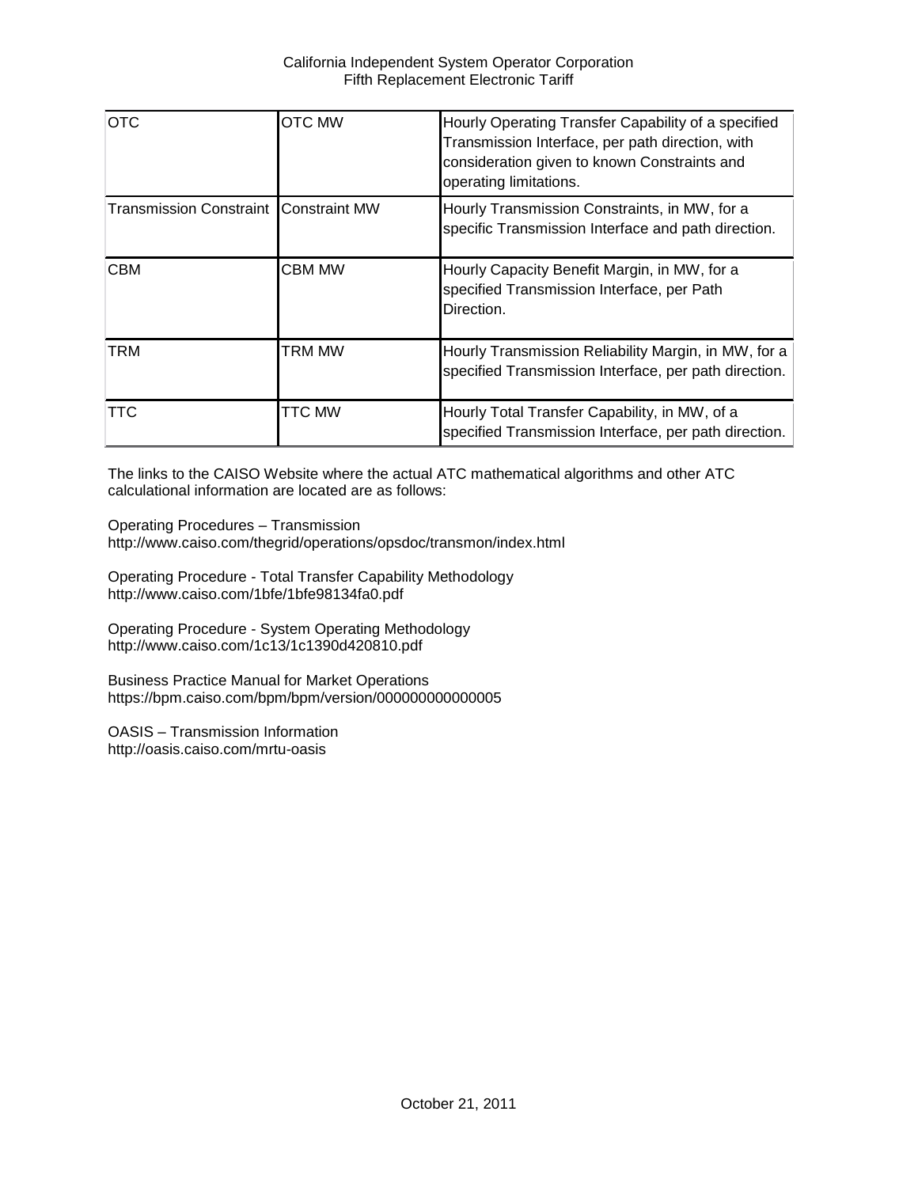| <b>OTC</b>                                   | <b>OTC MW</b> | Hourly Operating Transfer Capability of a specified<br>Transmission Interface, per path direction, with<br>consideration given to known Constraints and<br>operating limitations. |
|----------------------------------------------|---------------|-----------------------------------------------------------------------------------------------------------------------------------------------------------------------------------|
| <b>Transmission Constraint Constraint MW</b> |               | Hourly Transmission Constraints, in MW, for a<br>specific Transmission Interface and path direction.                                                                              |
| <b>CBM</b>                                   | <b>CBM MW</b> | Hourly Capacity Benefit Margin, in MW, for a<br>specified Transmission Interface, per Path<br>Direction.                                                                          |
| <b>TRM</b>                                   | TRM MW        | Hourly Transmission Reliability Margin, in MW, for a<br>specified Transmission Interface, per path direction.                                                                     |
| <b>TTC</b>                                   | <b>TTC MW</b> | Hourly Total Transfer Capability, in MW, of a<br>specified Transmission Interface, per path direction.                                                                            |

The links to the CAISO Website where the actual ATC mathematical algorithms and other ATC calculational information are located are as follows:

Operating Procedures – Transmission http://www.caiso.com/thegrid/operations/opsdoc/transmon/index.html

Operating Procedure - Total Transfer Capability Methodology http://www.caiso.com/1bfe/1bfe98134fa0.pdf

Operating Procedure - System Operating Methodology http://www.caiso.com/1c13/1c1390d420810.pdf

Business Practice Manual for Market Operations https://bpm.caiso.com/bpm/bpm/version/000000000000005

OASIS – Transmission Information http://oasis.caiso.com/mrtu-oasis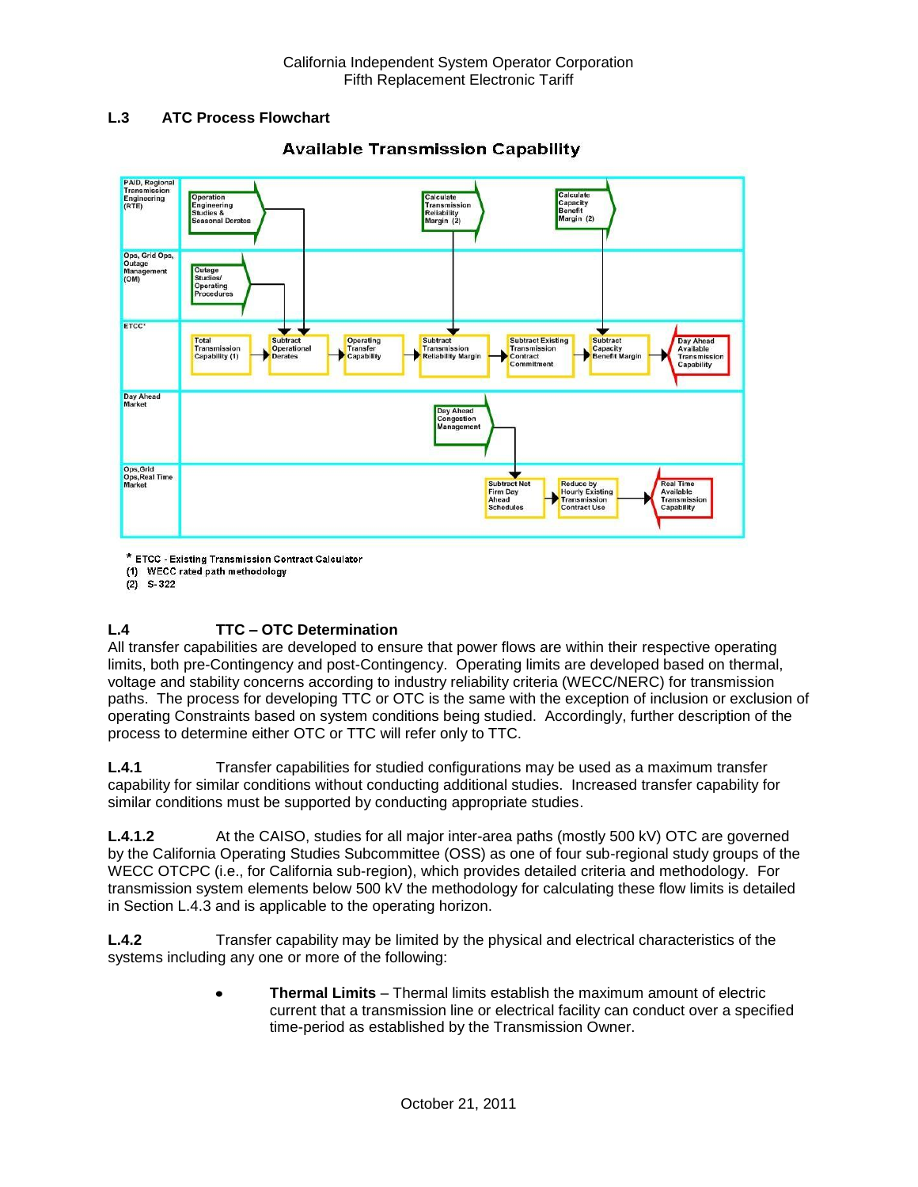### **L.3 ATC Process Flowchart**



## **Available Transmission Capability**

\* ETCC - Existing Transmission Contract Calculator

(1) WECC rated path methodology

 $(2)$  S-322

## **L.4 TTC – OTC Determination**

All transfer capabilities are developed to ensure that power flows are within their respective operating limits, both pre-Contingency and post-Contingency. Operating limits are developed based on thermal, voltage and stability concerns according to industry reliability criteria (WECC/NERC) for transmission paths. The process for developing TTC or OTC is the same with the exception of inclusion or exclusion of operating Constraints based on system conditions being studied. Accordingly, further description of the process to determine either OTC or TTC will refer only to TTC.

**L.4.1** Transfer capabilities for studied configurations may be used as a maximum transfer capability for similar conditions without conducting additional studies. Increased transfer capability for similar conditions must be supported by conducting appropriate studies.

**L.4.1.2** At the CAISO, studies for all major inter-area paths (mostly 500 kV) OTC are governed by the California Operating Studies Subcommittee (OSS) as one of four sub-regional study groups of the WECC OTCPC (i.e., for California sub-region), which provides detailed criteria and methodology. For transmission system elements below 500 kV the methodology for calculating these flow limits is detailed in Section L.4.3 and is applicable to the operating horizon.

**L.4.2** Transfer capability may be limited by the physical and electrical characteristics of the systems including any one or more of the following:

> **Thermal Limits** – Thermal limits establish the maximum amount of electric  $\bullet$ current that a transmission line or electrical facility can conduct over a specified time-period as established by the Transmission Owner.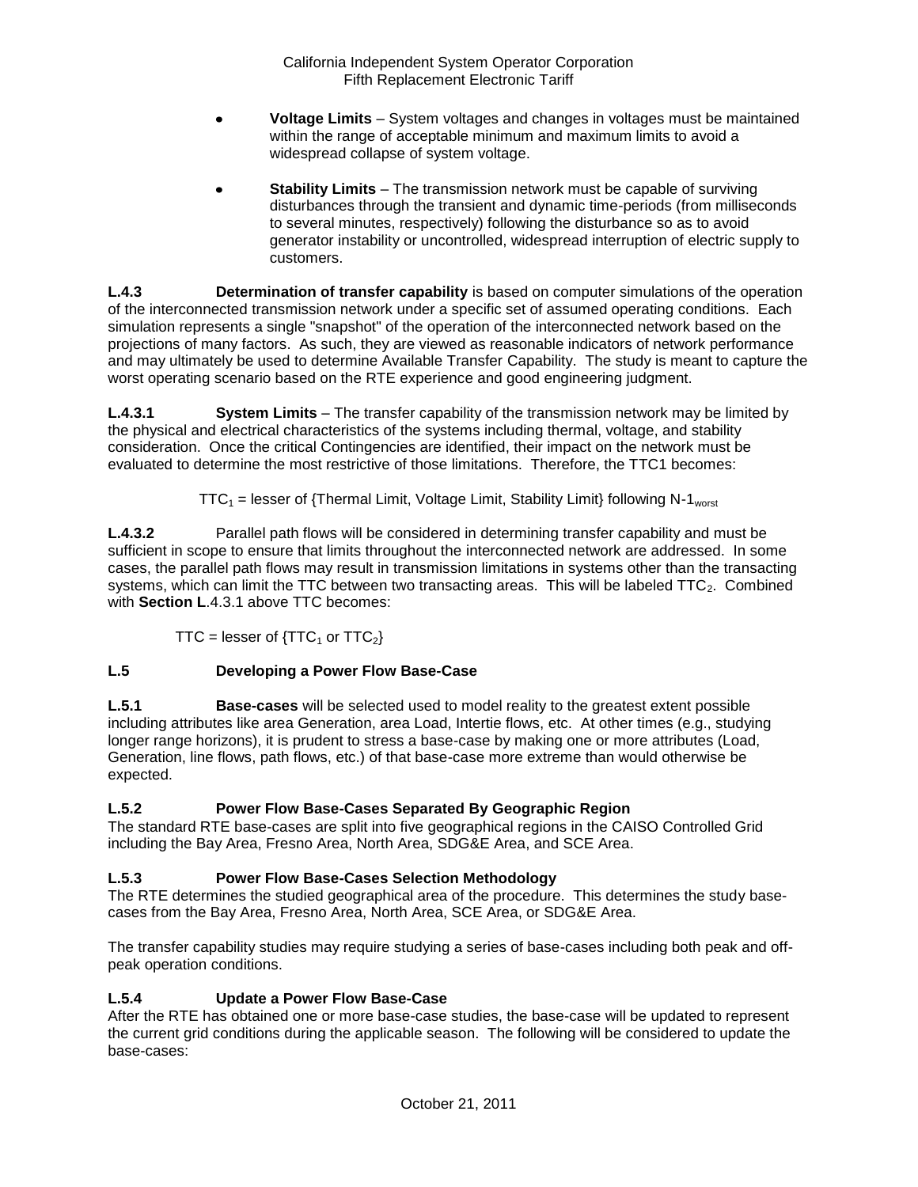- **Voltage Limits** System voltages and changes in voltages must be maintained within the range of acceptable minimum and maximum limits to avoid a widespread collapse of system voltage.
- **Stability Limits** The transmission network must be capable of surviving disturbances through the transient and dynamic time-periods (from milliseconds to several minutes, respectively) following the disturbance so as to avoid generator instability or uncontrolled, widespread interruption of electric supply to customers.

**L.4.3 Determination of transfer capability** is based on computer simulations of the operation of the interconnected transmission network under a specific set of assumed operating conditions. Each simulation represents a single "snapshot" of the operation of the interconnected network based on the projections of many factors. As such, they are viewed as reasonable indicators of network performance and may ultimately be used to determine Available Transfer Capability. The study is meant to capture the worst operating scenario based on the RTE experience and good engineering judgment.

**L.4.3.1 System Limits** – The transfer capability of the transmission network may be limited by the physical and electrical characteristics of the systems including thermal, voltage, and stability consideration. Once the critical Contingencies are identified, their impact on the network must be evaluated to determine the most restrictive of those limitations. Therefore, the TTC1 becomes:

 $TTC_1$  = lesser of {Thermal Limit, Voltage Limit, Stability Limit} following N-1<sub>worst</sub>

**L.4.3.2** Parallel path flows will be considered in determining transfer capability and must be sufficient in scope to ensure that limits throughout the interconnected network are addressed. In some cases, the parallel path flows may result in transmission limitations in systems other than the transacting systems, which can limit the TTC between two transacting areas. This will be labeled  $TTC_2$ . Combined with **Section L**.4.3.1 above TTC becomes:

TTC = lesser of  $\{TTC_1$  or  $TTC_2\}$ 

# **L.5 Developing a Power Flow Base-Case**

**L.5.1 Base-cases** will be selected used to model reality to the greatest extent possible including attributes like area Generation, area Load, Intertie flows, etc. At other times (e.g., studying longer range horizons), it is prudent to stress a base-case by making one or more attributes (Load, Generation, line flows, path flows, etc.) of that base-case more extreme than would otherwise be expected.

# **L.5.2 Power Flow Base-Cases Separated By Geographic Region**

The standard RTE base-cases are split into five geographical regions in the CAISO Controlled Grid including the Bay Area, Fresno Area, North Area, SDG&E Area, and SCE Area.

# **L.5.3 Power Flow Base-Cases Selection Methodology**

The RTE determines the studied geographical area of the procedure. This determines the study basecases from the Bay Area, Fresno Area, North Area, SCE Area, or SDG&E Area.

The transfer capability studies may require studying a series of base-cases including both peak and offpeak operation conditions.

## **L.5.4 Update a Power Flow Base-Case**

After the RTE has obtained one or more base-case studies, the base-case will be updated to represent the current grid conditions during the applicable season. The following will be considered to update the base-cases: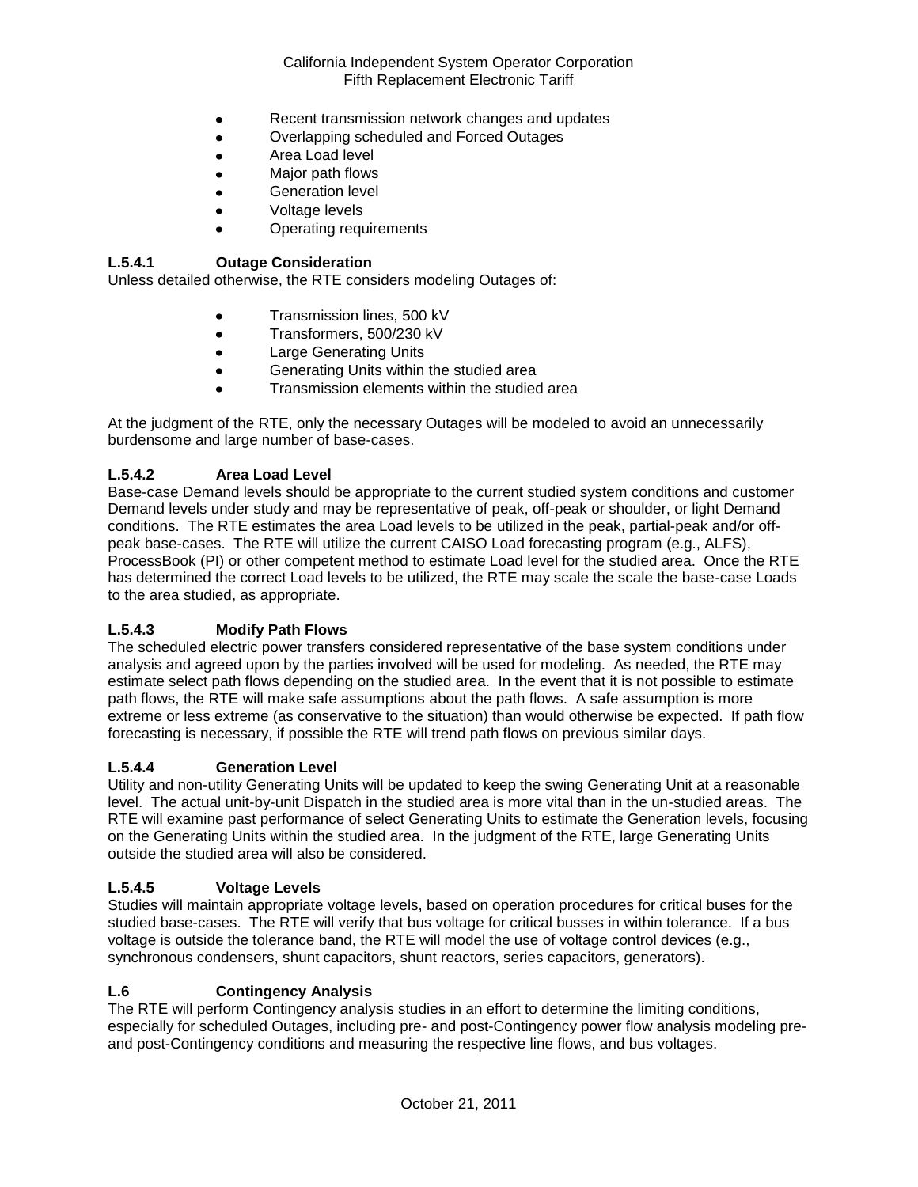- Recent transmission network changes and updates  $\bullet$
- Overlapping scheduled and Forced Outages  $\bullet$
- $\bullet$ Area Load level
- Major path flows
- Generation level
- Voltage levels
- Operating requirements

### **L.5.4.1 Outage Consideration**

Unless detailed otherwise, the RTE considers modeling Outages of:

- Transmission lines, 500 kV
- Transformers, 500/230 kV  $\bullet$
- Large Generating Units
- Generating Units within the studied area  $\bullet$
- Transmission elements within the studied area

At the judgment of the RTE, only the necessary Outages will be modeled to avoid an unnecessarily burdensome and large number of base-cases.

### **L.5.4.2 Area Load Level**

Base-case Demand levels should be appropriate to the current studied system conditions and customer Demand levels under study and may be representative of peak, off-peak or shoulder, or light Demand conditions. The RTE estimates the area Load levels to be utilized in the peak, partial-peak and/or offpeak base-cases. The RTE will utilize the current CAISO Load forecasting program (e.g., ALFS), ProcessBook (PI) or other competent method to estimate Load level for the studied area. Once the RTE has determined the correct Load levels to be utilized, the RTE may scale the scale the base-case Loads to the area studied, as appropriate.

### **L.5.4.3 Modify Path Flows**

The scheduled electric power transfers considered representative of the base system conditions under analysis and agreed upon by the parties involved will be used for modeling. As needed, the RTE may estimate select path flows depending on the studied area. In the event that it is not possible to estimate path flows, the RTE will make safe assumptions about the path flows. A safe assumption is more extreme or less extreme (as conservative to the situation) than would otherwise be expected. If path flow forecasting is necessary, if possible the RTE will trend path flows on previous similar days.

#### **L.5.4.4 Generation Level**

Utility and non-utility Generating Units will be updated to keep the swing Generating Unit at a reasonable level. The actual unit-by-unit Dispatch in the studied area is more vital than in the un-studied areas. The RTE will examine past performance of select Generating Units to estimate the Generation levels, focusing on the Generating Units within the studied area. In the judgment of the RTE, large Generating Units outside the studied area will also be considered.

### **L.5.4.5 Voltage Levels**

Studies will maintain appropriate voltage levels, based on operation procedures for critical buses for the studied base-cases. The RTE will verify that bus voltage for critical busses in within tolerance. If a bus voltage is outside the tolerance band, the RTE will model the use of voltage control devices (e.g., synchronous condensers, shunt capacitors, shunt reactors, series capacitors, generators).

#### **L.6 Contingency Analysis**

The RTE will perform Contingency analysis studies in an effort to determine the limiting conditions, especially for scheduled Outages, including pre- and post-Contingency power flow analysis modeling preand post-Contingency conditions and measuring the respective line flows, and bus voltages.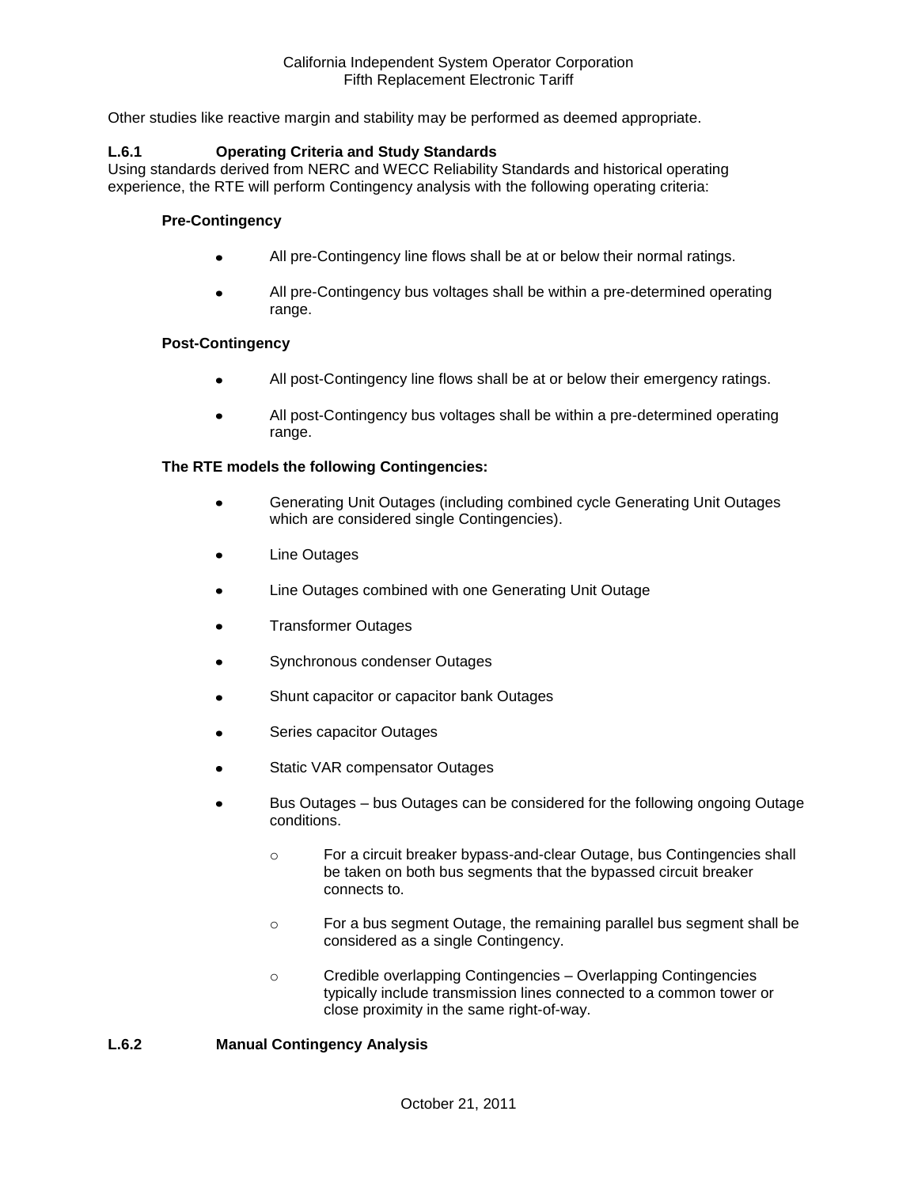Other studies like reactive margin and stability may be performed as deemed appropriate.

#### **L.6.1 Operating Criteria and Study Standards**

Using standards derived from NERC and WECC Reliability Standards and historical operating experience, the RTE will perform Contingency analysis with the following operating criteria:

#### **Pre-Contingency**

- All pre-Contingency line flows shall be at or below their normal ratings.
- All pre-Contingency bus voltages shall be within a pre-determined operating range.

#### **Post-Contingency**

- All post-Contingency line flows shall be at or below their emergency ratings.
- All post-Contingency bus voltages shall be within a pre-determined operating range.

#### **The RTE models the following Contingencies:**

- Generating Unit Outages (including combined cycle Generating Unit Outages which are considered single Contingencies).
- Line Outages
- Line Outages combined with one Generating Unit Outage
- Transformer Outages
- Synchronous condenser Outages
- Shunt capacitor or capacitor bank Outages
- Series capacitor Outages
- Static VAR compensator Outages
- Bus Outages bus Outages can be considered for the following ongoing Outage conditions.
	- o For a circuit breaker bypass-and-clear Outage, bus Contingencies shall be taken on both bus segments that the bypassed circuit breaker connects to.
	- o For a bus segment Outage, the remaining parallel bus segment shall be considered as a single Contingency.
	- o Credible overlapping Contingencies Overlapping Contingencies typically include transmission lines connected to a common tower or close proximity in the same right-of-way.

#### **L.6.2 Manual Contingency Analysis**